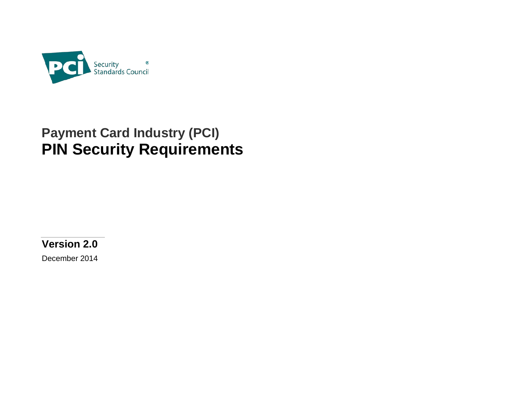

# **Payment Card Industry (PCI) PIN Security Requirements**

**Version 2.0**

December 2014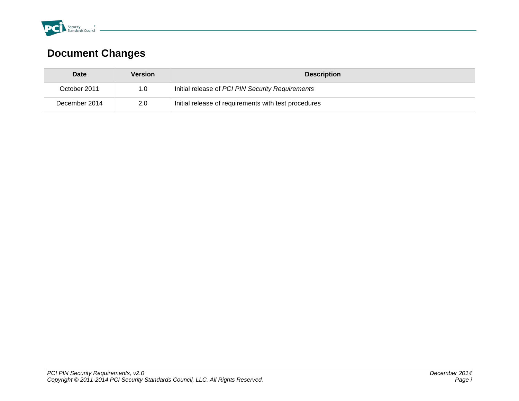

# **Document Changes**

| <b>Date</b>   | Version          | <b>Description</b>                                   |  |
|---------------|------------------|------------------------------------------------------|--|
| October 2011  | 1.0 <sub>1</sub> | Initial release of PCI PIN Security Requirements     |  |
| December 2014 | $2.0^{\circ}$    | Initial release of requirements with test procedures |  |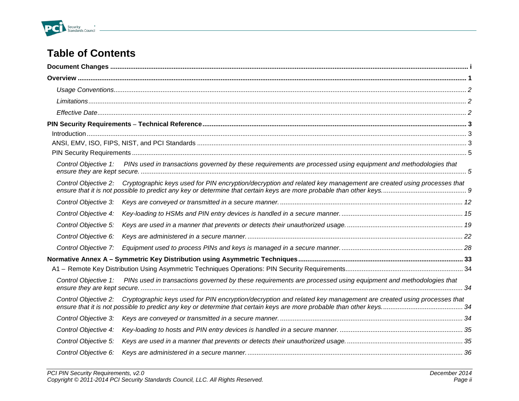

# **Table of Contents**

|                      | $\int_0^{\pi} \frac{1}{2} \int_0^{\pi} \frac{1}{2} \int_0^{\pi} \frac{1}{2} \int_0^{\pi} \frac{1}{2} \int_0^{\pi} \frac{1}{2} \int_0^{\pi} \frac{1}{2} \int_0^{\pi} \frac{1}{2} \int_0^{\pi} \frac{1}{2} \int_0^{\pi} \frac{1}{2} \int_0^{\pi} \frac{1}{2} \int_0^{\pi} \frac{1}{2} \int_0^{\pi} \frac{1}{2} \int_0^{\pi} \frac{1}{2} \int_0^{\pi} \frac{1}{2} \int_0^{\pi} \frac$ |  |
|----------------------|------------------------------------------------------------------------------------------------------------------------------------------------------------------------------------------------------------------------------------------------------------------------------------------------------------------------------------------------------------------------------------|--|
|                      |                                                                                                                                                                                                                                                                                                                                                                                    |  |
|                      |                                                                                                                                                                                                                                                                                                                                                                                    |  |
| Control Objective 1: | PINs used in transactions governed by these requirements are processed using equipment and methodologies that                                                                                                                                                                                                                                                                      |  |
| Control Objective 2: | Cryptographic keys used for PIN encryption/decryption and related key management are created using processes that                                                                                                                                                                                                                                                                  |  |
| Control Objective 3: |                                                                                                                                                                                                                                                                                                                                                                                    |  |
| Control Objective 4: |                                                                                                                                                                                                                                                                                                                                                                                    |  |
| Control Objective 5: |                                                                                                                                                                                                                                                                                                                                                                                    |  |
| Control Objective 6: |                                                                                                                                                                                                                                                                                                                                                                                    |  |
| Control Objective 7: |                                                                                                                                                                                                                                                                                                                                                                                    |  |
|                      |                                                                                                                                                                                                                                                                                                                                                                                    |  |
|                      |                                                                                                                                                                                                                                                                                                                                                                                    |  |
| Control Objective 1: | PINs used in transactions governed by these requirements are processed using equipment and methodologies that                                                                                                                                                                                                                                                                      |  |
|                      | Control Objective 2: Cryptographic keys used for PIN encryption/decryption and related key management are created using processes that                                                                                                                                                                                                                                             |  |
| Control Objective 3: |                                                                                                                                                                                                                                                                                                                                                                                    |  |
| Control Objective 4: |                                                                                                                                                                                                                                                                                                                                                                                    |  |
| Control Objective 5: |                                                                                                                                                                                                                                                                                                                                                                                    |  |
| Control Objective 6: |                                                                                                                                                                                                                                                                                                                                                                                    |  |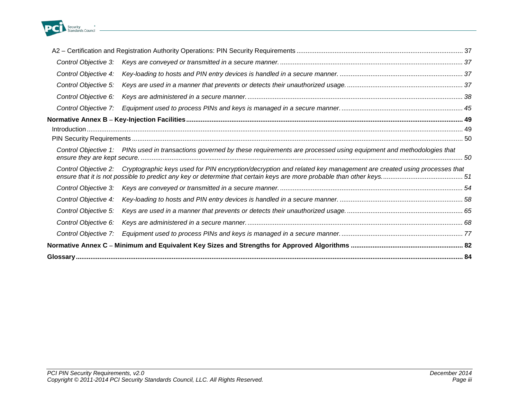

| Control Objective 3: |                                                                                                                                    |  |
|----------------------|------------------------------------------------------------------------------------------------------------------------------------|--|
| Control Objective 4: |                                                                                                                                    |  |
| Control Objective 5: |                                                                                                                                    |  |
| Control Objective 6: |                                                                                                                                    |  |
| Control Objective 7: |                                                                                                                                    |  |
|                      |                                                                                                                                    |  |
|                      |                                                                                                                                    |  |
|                      |                                                                                                                                    |  |
|                      | Control Objective 1: PINs used in transactions governed by these requirements are processed using equipment and methodologies that |  |
| Control Objective 2: | Cryptographic keys used for PIN encryption/decryption and related key management are created using processes that                  |  |
| Control Objective 3: |                                                                                                                                    |  |
| Control Objective 4: |                                                                                                                                    |  |
| Control Objective 5: |                                                                                                                                    |  |
| Control Objective 6: |                                                                                                                                    |  |
| Control Objective 7: |                                                                                                                                    |  |
|                      |                                                                                                                                    |  |
|                      |                                                                                                                                    |  |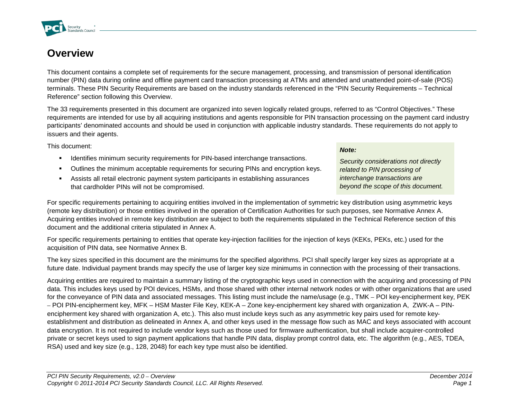## **Overview**

Security

This document contains a complete set of requirements for the secure management, processing, and transmission of personal identification number (PIN) data during online and offline payment card transaction processing at ATMs and attended and unattended point-of-sale (POS) terminals. These PIN Security Requirements are based on the industry standards referenced in the "PIN Security Requirements – Technical Reference" section following this Overview.

The 33 requirements presented in this document are organized into seven logically related groups, referred to as "Control Objectives." These requirements are intended for use by all acquiring institutions and agents responsible for PIN transaction processing on the payment card industry participants' denominated accounts and should be used in conjunction with applicable industry standards. These requirements do not apply to issuers and their agents.

This document:

- **IDENTIFIER MINIMUM** Security requirements for PIN-based interchange transactions.
- Outlines the minimum acceptable requirements for securing PINs and encryption keys.
- Assists all retail electronic payment system participants in establishing assurances that cardholder PINs will not be compromised.

For specific requirements pertaining to acquiring entities involved in the implementation of symmetric key distribution using asymmetric keys (remote key distribution) or those entities involved in the operation of Certification Authorities for such purposes, see Normative Annex A. Acquiring entities involved in remote key distribution are subject to both the requirements stipulated in the Technical Reference section of this document and the additional criteria stipulated in Annex A.

For specific requirements pertaining to entities that operate key-injection facilities for the injection of keys (KEKs, PEKs, etc.) used for the acquisition of PIN data, see Normative Annex B.

The key sizes specified in this document are the minimums for the specified algorithms. PCI shall specify larger key sizes as appropriate at a future date. Individual payment brands may specify the use of larger key size minimums in connection with the processing of their transactions.

Acquiring entities are required to maintain a summary listing of the cryptographic keys used in connection with the acquiring and processing of PIN data. This includes keys used by POI devices, HSMs, and those shared with other internal network nodes or with other organizations that are used for the conveyance of PIN data and associated messages. This listing must include the name/usage (e.g., TMK – POI key-encipherment key, PEK – POI PIN-encipherment key, MFK – HSM Master File Key, KEK-A – Zone key-encipherment key shared with organization A, ZWK-A – PINencipherment key shared with organization A, etc.). This also must include keys such as any asymmetric key pairs used for remote keyestablishment and distribution as delineated in Annex A, and other keys used in the message flow such as MAC and keys associated with account data encryption. It is not required to include vendor keys such as those used for firmware authentication, but shall include acquirer-controlled private or secret keys used to sign payment applications that handle PIN data, display prompt control data, etc. The algorithm (e.g., AES, TDEA, RSA) used and key size (e.g., 128, 2048) for each key type must also be identified.





*Security considerations not directly related to PIN processing of interchange transactions are beyond the scope of this document.*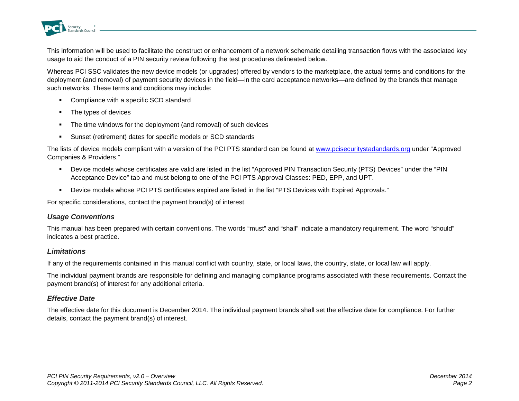

This information will be used to facilitate the construct or enhancement of a network schematic detailing transaction flows with the associated key usage to aid the conduct of a PIN security review following the test procedures delineated below.

Whereas PCI SSC validates the new device models (or upgrades) offered by vendors to the marketplace, the actual terms and conditions for the deployment (and removal) of payment security devices in the field—in the card acceptance networks—are defined by the brands that manage such networks. These terms and conditions may include:

- **•** Compliance with a specific SCD standard
- **The types of devices**
- The time windows for the deployment (and removal) of such devices
- Sunset (retirement) dates for specific models or SCD standards

The lists of device models compliant with a version of the PCI PTS standard can be found at [www.pcisecuritystadandards.org](http://www.pcisecuritystadandards.org/) under "Approved Companies & Providers."

- Device models whose certificates are valid are listed in the list "Approved PIN Transaction Security (PTS) Devices" under the "PIN Acceptance Device" tab and must belong to one of the PCI PTS Approval Classes: PED, EPP, and UPT.
- Device models whose PCI PTS certificates expired are listed in the list "PTS Devices with Expired Approvals."

For specific considerations, contact the payment brand(s) of interest.

#### *Usage Conventions*

This manual has been prepared with certain conventions. The words "must" and "shall" indicate a mandatory requirement. The word "should" indicates a best practice.

#### *Limitations*

If any of the requirements contained in this manual conflict with country, state, or local laws, the country, state, or local law will apply.

The individual payment brands are responsible for defining and managing compliance programs associated with these requirements. Contact the payment brand(s) of interest for any additional criteria.

#### *Effective Date*

The effective date for this document is December 2014. The individual payment brands shall set the effective date for compliance. For further details, contact the payment brand(s) of interest.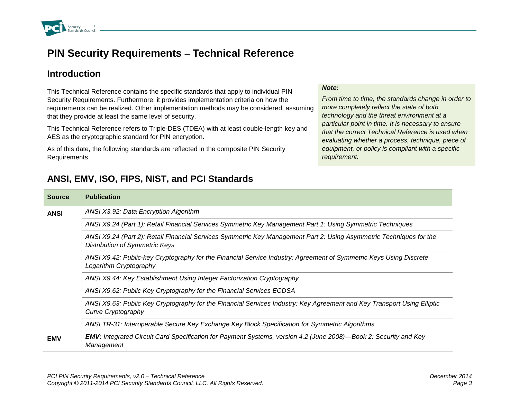

### **PIN Security Requirements – Technical Reference**

### **Introduction**

This Technical Reference contains the specific standards that apply to individual PIN Security Requirements. Furthermore, it provides implementation criteria on how the requirements can be realized. Other implementation methods may be considered, assuming that they provide at least the same level of security.

This Technical Reference refers to Triple-DES (TDEA) with at least double-length key and AES as the cryptographic standard for PIN encryption.

As of this date, the following standards are reflected in the composite PIN Security Requirements.

#### *Note:*

*From time to time, the standards change in order to more completely reflect the state of both technology and the threat environment at a particular point in time. It is necessary to ensure that the correct Technical Reference is used when evaluating whether a process, technique, piece of equipment, or policy is compliant with a specific requirement.*

| <b>Source</b> | <b>Publication</b>                                                                                                                                           |  |
|---------------|--------------------------------------------------------------------------------------------------------------------------------------------------------------|--|
| <b>ANSI</b>   | ANSI X3.92: Data Encryption Algorithm                                                                                                                        |  |
|               | ANSI X9.24 (Part 1): Retail Financial Services Symmetric Key Management Part 1: Using Symmetric Techniques                                                   |  |
|               | ANSI X9.24 (Part 2): Retail Financial Services Symmetric Key Management Part 2: Using Asymmetric Techniques for the<br><b>Distribution of Symmetric Keys</b> |  |
|               | ANSI X9.42: Public-key Cryptography for the Financial Service Industry: Agreement of Symmetric Keys Using Discrete<br>Logarithm Cryptography                 |  |
|               | ANSI X9.44: Key Establishment Using Integer Factorization Cryptography                                                                                       |  |
|               | ANSI X9.62: Public Key Cryptography for the Financial Services ECDSA                                                                                         |  |
|               | ANSI X9.63: Public Key Cryptography for the Financial Services Industry: Key Agreement and Key Transport Using Elliptic<br>Curve Cryptography                |  |
|               | ANSI TR-31: Interoperable Secure Key Exchange Key Block Specification for Symmetric Algorithms                                                               |  |
| <b>EMV</b>    | <b>EMV:</b> Integrated Circuit Card Specification for Payment Systems, version 4.2 (June 2008)—Book 2: Security and Key<br>Management                        |  |

### **ANSI, EMV, ISO, FIPS, NIST, and PCI Standards**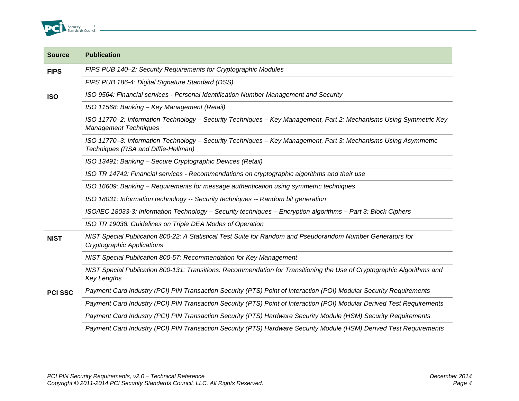

| <b>Source</b>  | <b>Publication</b>                                                                                                                                     |
|----------------|--------------------------------------------------------------------------------------------------------------------------------------------------------|
| <b>FIPS</b>    | FIPS PUB 140-2: Security Requirements for Cryptographic Modules                                                                                        |
|                | FIPS PUB 186-4: Digital Signature Standard (DSS)                                                                                                       |
| <b>ISO</b>     | ISO 9564: Financial services - Personal Identification Number Management and Security                                                                  |
|                | ISO 11568: Banking - Key Management (Retail)                                                                                                           |
|                | ISO 11770-2: Information Technology - Security Techniques - Key Management, Part 2: Mechanisms Using Symmetric Key<br><b>Management Techniques</b>     |
|                | ISO 11770-3: Information Technology - Security Techniques - Key Management, Part 3: Mechanisms Using Asymmetric<br>Techniques (RSA and Diffie-Hellman) |
|                | ISO 13491: Banking - Secure Cryptographic Devices (Retail)                                                                                             |
|                | ISO TR 14742: Financial services - Recommendations on cryptographic algorithms and their use                                                           |
|                | ISO 16609: Banking - Requirements for message authentication using symmetric techniques                                                                |
|                | ISO 18031: Information technology -- Security techniques -- Random bit generation                                                                      |
|                | ISO/IEC 18033-3: Information Technology - Security techniques - Encryption algorithms - Part 3: Block Ciphers                                          |
|                | ISO TR 19038: Guidelines on Triple DEA Modes of Operation                                                                                              |
| <b>NIST</b>    | NIST Special Publication 800-22: A Statistical Test Suite for Random and Pseudorandom Number Generators for<br><b>Cryptographic Applications</b>       |
|                | NIST Special Publication 800-57: Recommendation for Key Management                                                                                     |
|                | NIST Special Publication 800-131: Transitions: Recommendation for Transitioning the Use of Cryptographic Algorithms and<br><b>Key Lengths</b>          |
| <b>PCI SSC</b> | Payment Card Industry (PCI) PIN Transaction Security (PTS) Point of Interaction (POI) Modular Security Requirements                                    |
|                | Payment Card Industry (PCI) PIN Transaction Security (PTS) Point of Interaction (POI) Modular Derived Test Requirements                                |
|                | Payment Card Industry (PCI) PIN Transaction Security (PTS) Hardware Security Module (HSM) Security Requirements                                        |
|                | Payment Card Industry (PCI) PIN Transaction Security (PTS) Hardware Security Module (HSM) Derived Test Requirements                                    |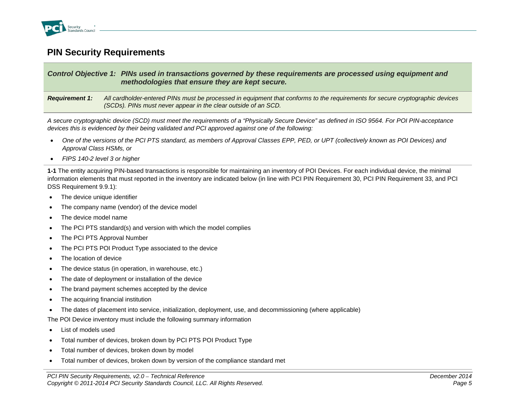

### **PIN Security Requirements**

#### *Control Objective 1: PINs used in transactions governed by these requirements are processed using equipment and methodologies that ensure they are kept secure.*

*Requirement 1: All cardholder-entered PINs must be processed in equipment that conforms to the requirements for secure cryptographic devices (SCDs). PINs must never appear in the clear outside of an SCD.* 

*A secure cryptographic device (SCD) must meet the requirements of a "Physically Secure Device" as defined in ISO 9564. For POI PIN-acceptance devices this is evidenced by their being validated and PCI approved against one of the following:* 

- *One of the versions of the PCI PTS standard, as members of Approval Classes EPP, PED, or UPT (collectively known as POI Devices) and Approval Class HSMs, or*
- *FIPS 140-2 level 3 or higher*

**1-1** The entity acquiring PIN-based transactions is responsible for maintaining an inventory of POI Devices. For each individual device, the minimal information elements that must reported in the inventory are indicated below (in line with PCI PIN Requirement 30, PCI PIN Requirement 33, and PCI DSS Requirement 9.9.1):

- The device unique identifier
- The company name (vendor) of the device model
- The device model name
- The PCI PTS standard(s) and version with which the model complies
- The PCI PTS Approval Number
- The PCI PTS POI Product Type associated to the device
- The location of device
- The device status (in operation, in warehouse, etc.)
- The date of deployment or installation of the device
- The brand payment schemes accepted by the device
- The acquiring financial institution
- The dates of placement into service, initialization, deployment, use, and decommissioning (where applicable)

The POI Device inventory must include the following summary information

- List of models used
- Total number of devices, broken down by PCI PTS POI Product Type
- Total number of devices, broken down by model
- Total number of devices, broken down by version of the compliance standard met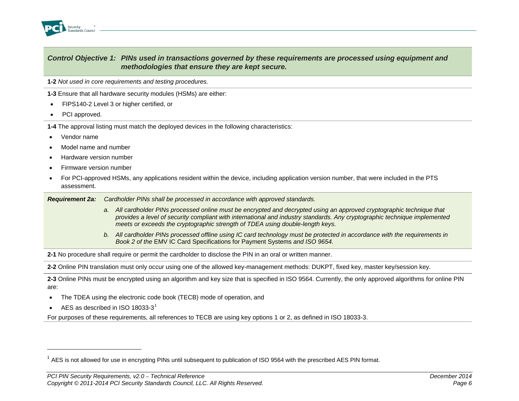<span id="page-9-0"></span>

#### *Control Objective 1: PINs used in transactions governed by these requirements are processed using equipment and methodologies that ensure they are kept secure.*

**1-2** *Not used in core requirements and testing procedures.*

**1-3** Ensure that all hardware security modules (HSMs) are either:

- FIPS140-2 Level 3 or higher certified, or
- PCI approved.

**1-4** The approval listing must match the deployed devices in the following characteristics:

- Vendor name
- Model name and number
- Hardware version number
- Firmware version number
- For PCI-approved HSMs, any applications resident within the device, including application version number, that were included in the PTS assessment.

*Requirement 2a: Cardholder PINs shall be processed in accordance with approved standards.*

- *a. All cardholder PINs processed online must be encrypted and decrypted using an approved cryptographic technique that provides a level of security compliant with international and industry standards. Any cryptographic technique implemented meets or exceeds the cryptographic strength of TDEA using double-length keys.*
- *b. All cardholder PINs processed offline using IC card technology must be protected in accordance with the requirements in Book 2 of the* EMV IC Card Specifications for Payment Systems *and ISO 9654.*

**2-1** No procedure shall require or permit the cardholder to disclose the PIN in an oral or written manner.

**2-2** Online PIN translation must only occur using one of the allowed key-management methods: DUKPT, fixed key, master key/session key.

**2-3** Online PINs must be encrypted using an algorithm and key size that is specified in ISO 9564. Currently, the only approved algorithms for online PIN are:

- The TDEA using the electronic code book (TECB) mode of operation, and
- AES as described in ISO [1](#page-9-0)8033-3 $1$

j

For purposes of these requirements, all references to TECB are using key options 1 or 2, as defined in ISO 18033-3.

 $1$  AES is not allowed for use in encrypting PINs until subsequent to publication of ISO 9564 with the prescribed AES PIN format.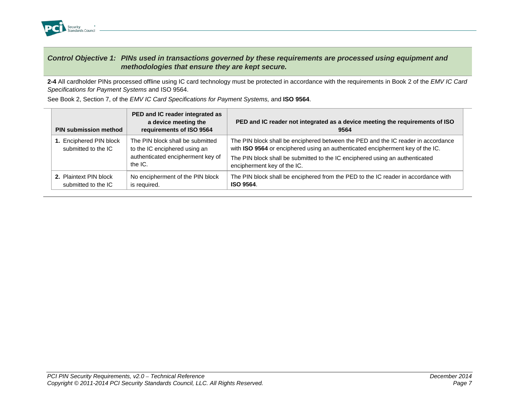

#### *Control Objective 1: PINs used in transactions governed by these requirements are processed using equipment and methodologies that ensure they are kept secure.*

**2-4** All cardholder PINs processed offline using IC card technology must be protected in accordance with the requirements in Book 2 of the *EMV IC Card Specifications for Payment Systems* and ISO 9564.

| <b>PIN submission method</b>                   | PED and IC reader integrated as<br>a device meeting the<br>requirements of ISO 9564                               | PED and IC reader not integrated as a device meeting the requirements of ISO<br>9564                                                                                                                                                                                               |
|------------------------------------------------|-------------------------------------------------------------------------------------------------------------------|------------------------------------------------------------------------------------------------------------------------------------------------------------------------------------------------------------------------------------------------------------------------------------|
| 1. Enciphered PIN block<br>submitted to the IC | The PIN block shall be submitted<br>to the IC enciphered using an<br>authenticated encipherment key of<br>the IC. | The PIN block shall be enciphered between the PED and the IC reader in accordance<br>with ISO 9564 or enciphered using an authenticated encipherment key of the IC.<br>The PIN block shall be submitted to the IC enciphered using an authenticated<br>encipherment key of the IC. |
| 2. Plaintext PIN block<br>submitted to the IC  | No encipherment of the PIN block<br>is required.                                                                  | The PIN block shall be enciphered from the PED to the IC reader in accordance with<br>ISO 9564.                                                                                                                                                                                    |

See Book 2, Section 7, of the *EMV IC Card Specifications for Payment Systems,* and **ISO 9564**.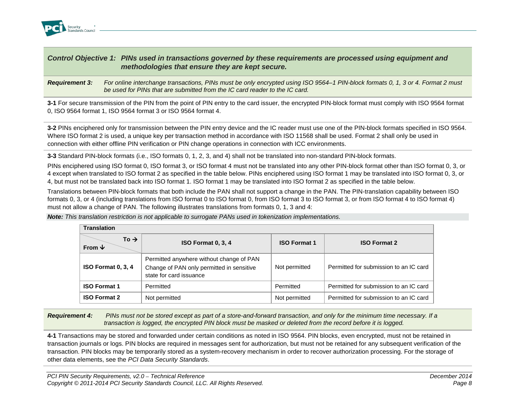

#### *Control Objective 1: PINs used in transactions governed by these requirements are processed using equipment and methodologies that ensure they are kept secure.*

*Requirement 3: For online interchange transactions, PINs must be only encrypted using ISO 9564–1 PIN-block formats 0, 1, 3 or 4. Format 2 must be used for PINs that are submitted from the IC card reader to the IC card.* 

**3-1** For secure transmission of the PIN from the point of PIN entry to the card issuer, the encrypted PIN-block format must comply with ISO 9564 format 0, ISO 9564 format 1, ISO 9564 format 3 or ISO 9564 format 4.

**3-2** PINs enciphered only for transmission between the PIN entry device and the IC reader must use one of the PIN-block formats specified in ISO 9564. Where ISO format 2 is used, a unique key per transaction method in accordance with ISO 11568 shall be used. Format 2 shall only be used in connection with either offline PIN verification or PIN change operations in connection with ICC environments.

**3-3** Standard PIN-block formats (i.e., ISO formats 0, 1, 2, 3, and 4) shall not be translated into non-standard PIN-block formats.

PINs enciphered using ISO format 0, ISO format 3, or ISO format 4 must not be translated into any other PIN-block format other than ISO format 0, 3, or 4 except when translated to ISO format 2 as specified in the table below. PINs enciphered using ISO format 1 may be translated into ISO format 0, 3, or 4, but must not be translated back into ISO format 1. ISO format 1 may be translated into ISO format 2 as specified in the table below.

Translations between PIN-block formats that both include the PAN shall not support a change in the PAN. The PIN-translation capability between ISO formats 0, 3, or 4 (including translations from ISO format 0 to ISO format 0, from ISO format 3 to ISO format 3, or from ISO format 4 to ISO format 4) must not allow a change of PAN. The following illustrates translations from formats 0, 1, 3 and 4:

| <b>Translation</b>              |                                                                                                                  |                     |                                        |  |
|---------------------------------|------------------------------------------------------------------------------------------------------------------|---------------------|----------------------------------------|--|
| To $\rightarrow$<br>From $\Psi$ | ISO Format 0, 3, 4                                                                                               | <b>ISO Format 1</b> | <b>ISO Format 2</b>                    |  |
| <b>ISO Format 0, 3, 4</b>       | Permitted anywhere without change of PAN<br>Change of PAN only permitted in sensitive<br>state for card issuance | Not permitted       | Permitted for submission to an IC card |  |
| <b>ISO Format 1</b>             | Permitted                                                                                                        | Permitted           | Permitted for submission to an IC card |  |
| <b>ISO Format 2</b>             | Not permitted                                                                                                    | Not permitted       | Permitted for submission to an IC card |  |

*Note: This translation restriction is not applicable to surrogate PANs used in tokenization implementations.*

*Requirement 4: PINs must not be stored except as part of a store-and-forward transaction, and only for the minimum time necessary. If a transaction is logged, the encrypted PIN block must be masked or deleted from the record before it is logged.*

**4-1** Transactions may be stored and forwarded under certain conditions as noted in ISO 9564. PIN blocks, even encrypted, must not be retained in transaction journals or logs. PIN blocks are required in messages sent for authorization, but must not be retained for any subsequent verification of the transaction. PIN blocks may be temporarily stored as a system-recovery mechanism in order to recover authorization processing. For the storage of other data elements, see the *PCI Data Security Standards*.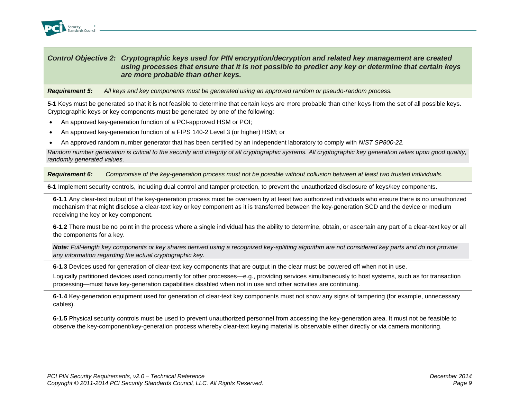

#### *Control Objective 2: Cryptographic keys used for PIN encryption/decryption and related key management are created using processes that ensure that it is not possible to predict any key or determine that certain keys are more probable than other keys.*

*Requirement 5: All keys and key components must be generated using an approved random or pseudo-random process.*

**5-1** Keys must be generated so that it is not feasible to determine that certain keys are more probable than other keys from the set of all possible keys. Cryptographic keys or key components must be generated by one of the following:

- An approved key-generation function of a PCI-approved HSM or POI;
- An approved key-generation function of a FIPS 140-2 Level 3 (or higher) HSM; or
- An approved random number generator that has been certified by an independent laboratory to comply with *NIST SP800-22.*

*Random number generation is critical to the security and integrity of all cryptographic systems. All cryptographic key generation relies upon good quality, randomly generated values.*

*Requirement 6: Compromise of the key-generation process must not be possible without collusion between at least two trusted individuals.*

**6-1** Implement security controls, including dual control and tamper protection, to prevent the unauthorized disclosure of keys/key components.

**6-1.1** Any clear-text output of the key-generation process must be overseen by at least two authorized individuals who ensure there is no unauthorized mechanism that might disclose a clear-text key or key component as it is transferred between the key-generation SCD and the device or medium receiving the key or key component.

**6-1.2** There must be no point in the process where a single individual has the ability to determine, obtain, or ascertain any part of a clear-text key or all the components for a key.

*Note: Full-length key components or key shares derived using a recognized key-splitting algorithm are not considered key parts and do not provide any information regarding the actual cryptographic key.*

**6-1.3** Devices used for generation of clear-text key components that are output in the clear must be powered off when not in use.

Logically partitioned devices used concurrently for other processes—e.g., providing services simultaneously to host systems, such as for transaction processing—must have key-generation capabilities disabled when not in use and other activities are continuing.

**6-1.4** Key-generation equipment used for generation of clear-text key components must not show any signs of tampering (for example, unnecessary cables).

**6-1.5** Physical security controls must be used to prevent unauthorized personnel from accessing the key-generation area. It must not be feasible to observe the key-component/key-generation process whereby clear-text keying material is observable either directly or via camera monitoring.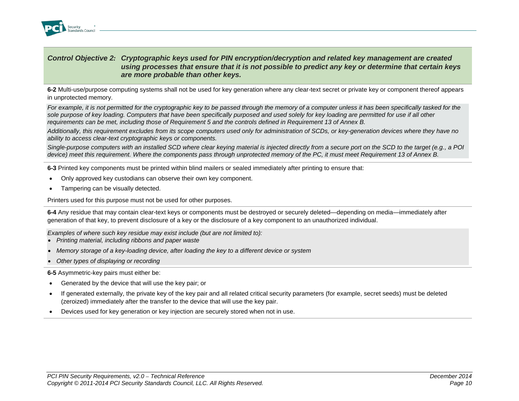

#### *Control Objective 2: Cryptographic keys used for PIN encryption/decryption and related key management are created using processes that ensure that it is not possible to predict any key or determine that certain keys are more probable than other keys.*

**6-2** Multi-use/purpose computing systems shall not be used for key generation where any clear-text secret or private key or component thereof appears in unprotected memory.

*For example, it is not permitted for the cryptographic key to be passed through the memory of a computer unless it has been specifically tasked for the sole purpose of key loading. Computers that have been specifically purposed and used solely for key loading are permitted for use if all other requirements can be met, including those of Requirement 5 and the controls defined in Requirement 13 of Annex B.*

*Additionally, this requirement excludes from its scope computers used only for administration of SCDs, or key-generation devices where they have no ability to access clear-text cryptographic keys or components.* 

*Single-purpose computers with an installed SCD where clear keying material is injected directly from a secure port on the SCD to the target (e.g., a POI device) meet this requirement. Where the components pass through unprotected memory of the PC, it must meet Requirement 13 of Annex B.*

**6-3** Printed key components must be printed within blind mailers or sealed immediately after printing to ensure that:

- Only approved key custodians can observe their own key component.
- Tampering can be visually detected.

Printers used for this purpose must not be used for other purposes.

**6-4** Any residue that may contain clear-text keys or components must be destroyed or securely deleted—depending on media—immediately after generation of that key, to prevent disclosure of a key or the disclosure of a key component to an unauthorized individual.

*Examples of where such key residue may exist include (but are not limited to):*

- *Printing material, including ribbons and paper waste*
- *Memory storage of a key-loading device, after loading the key to a different device or system*
- *Other types of displaying or recording*

**6-5** Asymmetric-key pairs must either be:

- Generated by the device that will use the key pair; or
- If generated externally, the private key of the key pair and all related critical security parameters (for example, secret seeds) must be deleted (zeroized) immediately after the transfer to the device that will use the key pair.
- Devices used for key generation or key injection are securely stored when not in use.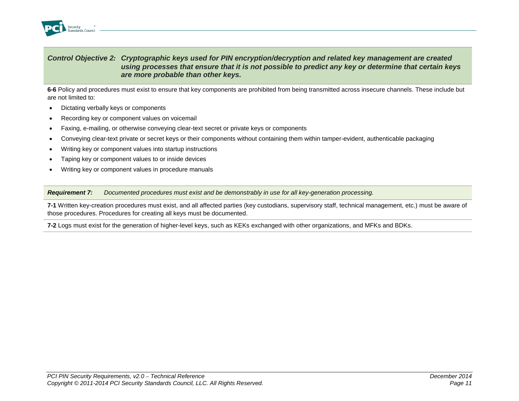

#### *Control Objective 2: Cryptographic keys used for PIN encryption/decryption and related key management are created using processes that ensure that it is not possible to predict any key or determine that certain keys are more probable than other keys.*

**6-6** Policy and procedures must exist to ensure that key components are prohibited from being transmitted across insecure channels. These include but are not limited to:

- Dictating verbally keys or components
- Recording key or component values on voicemail
- Faxing, e-mailing, or otherwise conveying clear-text secret or private keys or components
- Conveying clear-text private or secret keys or their components without containing them within tamper-evident, authenticable packaging
- Writing key or component values into startup instructions
- Taping key or component values to or inside devices
- Writing key or component values in procedure manuals

*Requirement 7: Documented procedures must exist and be demonstrably in use for all key-generation processing.* 

**7-1** Written key-creation procedures must exist, and all affected parties (key custodians, supervisory staff, technical management, etc.) must be aware of those procedures. Procedures for creating all keys must be documented.

**7-2** Logs must exist for the generation of higher-level keys, such as KEKs exchanged with other organizations, and MFKs and BDKs.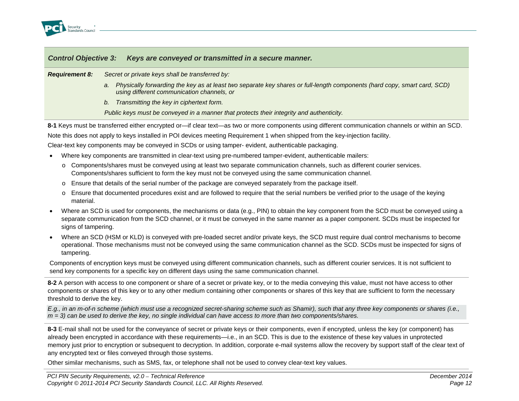

*Requirement 8: Secret or private keys shall be transferred by:*

- *a. Physically forwarding the key as at least two separate key shares or full-length components (hard copy, smart card, SCD) using different communication channels, or*
- *b. Transmitting the key in ciphertext form.*

*Public keys must be conveyed in a manner that protects their integrity and authenticity.*

**8-1** Keys must be transferred either encrypted or—if clear text—as two or more components using different communication channels or within an SCD.

Note this does not apply to keys installed in POI devices meeting Requirement 1 when shipped from the key-injection facility.

Clear-text key components may be conveyed in SCDs or using tamper- evident, authenticable packaging.

- Where key components are transmitted in clear-text using pre-numbered tamper-evident, authenticable mailers:
	- o Components/shares must be conveyed using at least two separate communication channels, such as different courier services. Components/shares sufficient to form the key must not be conveyed using the same communication channel.
	- o Ensure that details of the serial number of the package are conveyed separately from the package itself.
	- o Ensure that documented procedures exist and are followed to require that the serial numbers be verified prior to the usage of the keying material.
- Where an SCD is used for components, the mechanisms or data (e.g., PIN) to obtain the key component from the SCD must be conveyed using a separate communication from the SCD channel, or it must be conveyed in the same manner as a paper component. SCDs must be inspected for signs of tampering.
- Where an SCD (HSM or KLD) is conveyed with pre-loaded secret and/or private keys, the SCD must require dual control mechanisms to become operational. Those mechanisms must not be conveyed using the same communication channel as the SCD. SCDs must be inspected for signs of tampering.

Components of encryption keys must be conveyed using different communication channels, such as different courier services. It is not sufficient to send key components for a specific key on different days using the same communication channel.

**8-2** A person with access to one component or share of a secret or private key, or to the media conveying this value, must not have access to other components or shares of this key or to any other medium containing other components or shares of this key that are sufficient to form the necessary threshold to derive the key.

*E.g., in an m-of-n scheme (which must use a recognized secret-sharing scheme such as Shamir), such that any three key components or shares (i.e., m = 3) can be used to derive the key, no single individual can have access to more than two components/shares.*

**8-3** E-mail shall not be used for the conveyance of secret or private keys or their components, even if encrypted, unless the key (or component) has already been encrypted in accordance with these requirements—i.e., in an SCD. This is due to the existence of these key values in unprotected memory just prior to encryption or subsequent to decryption. In addition, corporate e-mail systems allow the recovery by support staff of the clear text of any encrypted text or files conveyed through those systems.

Other similar mechanisms, such as SMS, fax, or telephone shall not be used to convey clear-text key values.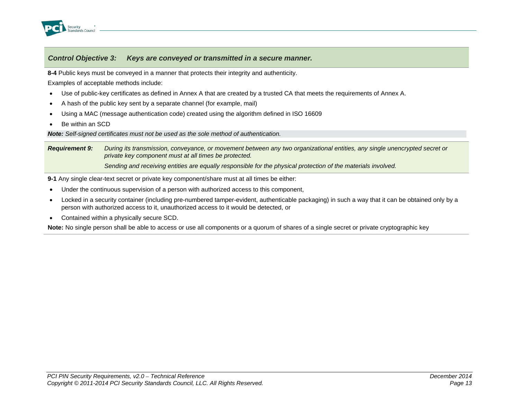

**8-4** Public keys must be conveyed in a manner that protects their integrity and authenticity.

Examples of acceptable methods include:

- Use of public-key certificates as defined in Annex A that are created by a trusted CA that meets the requirements of Annex A.
- A hash of the public key sent by a separate channel (for example, mail)
- Using a MAC (message authentication code) created using the algorithm defined in ISO 16609
- Be within an SCD

*Note: Self-signed certificates must not be used as the sole method of authentication.*

*Requirement 9: During its transmission, conveyance, or movement between any two organizational entities, any single unencrypted secret or private key component must at all times be protected. Sending and receiving entities are equally responsible for the physical protection of the materials involved.*

**9-1** Any single clear-text secret or private key component/share must at all times be either:

- Under the continuous supervision of a person with authorized access to this component,
- Locked in a security container (including pre-numbered tamper-evident, authenticable packaging) in such a way that it can be obtained only by a person with authorized access to it, unauthorized access to it would be detected, or
- Contained within a physically secure SCD.

**Note:** No single person shall be able to access or use all components or a quorum of shares of a single secret or private cryptographic key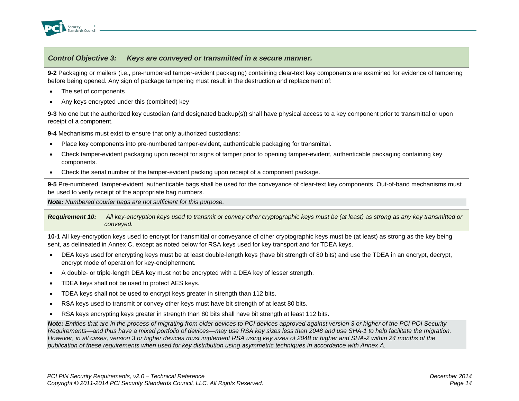

**9-2** Packaging or mailers (i.e., pre-numbered tamper-evident packaging) containing clear-text key components are examined for evidence of tampering before being opened. Any sign of package tampering must result in the destruction and replacement of:

- The set of components
- Any keys encrypted under this (combined) key

**9-3** No one but the authorized key custodian (and designated backup(s)) shall have physical access to a key component prior to transmittal or upon receipt of a component.

**9-4** Mechanisms must exist to ensure that only authorized custodians:

- Place key components into pre-numbered tamper-evident, authenticable packaging for transmittal.
- Check tamper-evident packaging upon receipt for signs of tamper prior to opening tamper-evident, authenticable packaging containing key components.
- Check the serial number of the tamper-evident packing upon receipt of a component package.

**9-5** Pre-numbered, tamper-evident, authenticable bags shall be used for the conveyance of clear-text key components. Out-of-band mechanisms must be used to verify receipt of the appropriate bag numbers.

*Note: Numbered courier bags are not sufficient for this purpose.*

*Requirement 10: All key-encryption keys used to transmit or convey other cryptographic keys must be (at least) as strong as any key transmitted or conveyed.*

**10-1** All key-encryption keys used to encrypt for transmittal or conveyance of other cryptographic keys must be (at least) as strong as the key being sent, as delineated in Annex C, except as noted below for RSA keys used for key transport and for TDEA keys.

- DEA keys used for encrypting keys must be at least double-length keys (have bit strength of 80 bits) and use the TDEA in an encrypt, decrypt, encrypt mode of operation for key-encipherment.
- A double- or triple-length DEA key must not be encrypted with a DEA key of lesser strength.
- TDEA keys shall not be used to protect AES keys.
- TDEA keys shall not be used to encrypt keys greater in strength than 112 bits.
- RSA keys used to transmit or convey other keys must have bit strength of at least 80 bits.
- RSA keys encrypting keys greater in strength than 80 bits shall have bit strength at least 112 bits.

*Note: Entities that are in the process of migrating from older devices to PCI devices approved against version 3 or higher of the PCI POI Security Requirements—and thus have a mixed portfolio of devices—may use RSA key sizes less than 2048 and use SHA-1 to help facilitate the migration. However, in all cases, version 3 or higher devices must implement RSA using key sizes of 2048 or higher and SHA-2 within 24 months of the publication of these requirements when used for key distribution using asymmetric techniques in accordance with Annex A.*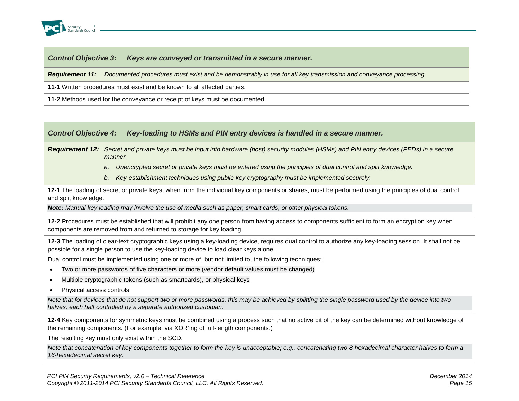

*Requirement 11: Documented procedures must exist and be demonstrably in use for all key transmission and conveyance processing.*

**11-1** Written procedures must exist and be known to all affected parties.

**11-2** Methods used for the conveyance or receipt of keys must be documented.

#### *Control Objective 4: Key-loading to HSMs and PIN entry devices is handled in a secure manner.*

*Requirement 12: Secret and private keys must be input into hardware (host) security modules (HSMs) and PIN entry devices (PEDs) in a secure manner.*

- *a. Unencrypted secret or private keys must be entered using the principles of dual control and split knowledge.*
- *b. Key-establishment techniques using public-key cryptography must be implemented securely.*

**12-1** The loading of secret or private keys, when from the individual key components or shares, must be performed using the principles of dual control and split knowledge.

*Note: Manual key loading may involve the use of media such as paper, smart cards, or other physical tokens.*

**12-2** Procedures must be established that will prohibit any one person from having access to components sufficient to form an encryption key when components are removed from and returned to storage for key loading.

**12-3** The loading of clear-text cryptographic keys using a key-loading device, requires dual control to authorize any key-loading session. It shall not be possible for a single person to use the key-loading device to load clear keys alone.

Dual control must be implemented using one or more of, but not limited to, the following techniques:

- Two or more passwords of five characters or more (vendor default values must be changed)
- Multiple cryptographic tokens (such as smartcards), or physical keys
- Physical access controls

*Note that for devices that do not support two or more passwords, this may be achieved by splitting the single password used by the device into two halves, each half controlled by a separate authorized custodian.*

**12-4** Key components for symmetric keys must be combined using a process such that no active bit of the key can be determined without knowledge of the remaining components. (For example, via XOR'ing of full-length components.)

The resulting key must only exist within the SCD.

*Note that concatenation of key components together to form the key is unacceptable; e.g., concatenating two 8-hexadecimal character halves to form a 16-hexadecimal secret key.*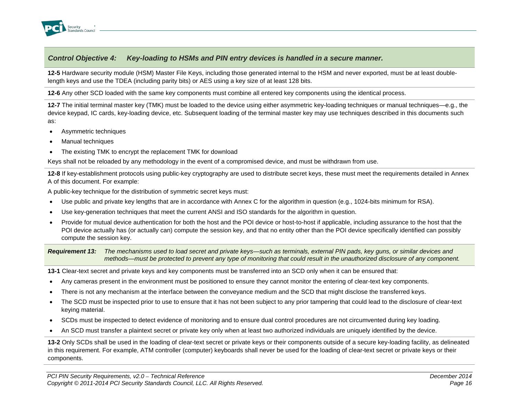

**12-5** Hardware security module (HSM) Master File Keys, including those generated internal to the HSM and never exported, must be at least doublelength keys and use the TDEA (including parity bits) or AES using a key size of at least 128 bits.

**12-6** Any other SCD loaded with the same key components must combine all entered key components using the identical process.

**12-7** The initial terminal master key (TMK) must be loaded to the device using either asymmetric key-loading techniques or manual techniques—e.g., the device keypad, IC cards, key-loading device, etc. Subsequent loading of the terminal master key may use techniques described in this documents such as:

- Asymmetric techniques
- Manual techniques
- The existing TMK to encrypt the replacement TMK for download

Keys shall not be reloaded by any methodology in the event of a compromised device, and must be withdrawn from use.

**12-8** If key-establishment protocols using public-key cryptography are used to distribute secret keys, these must meet the requirements detailed in Annex A of this document. For example:

A public-key technique for the distribution of symmetric secret keys must:

- Use public and private key lengths that are in accordance with Annex C for the algorithm in question (e.g., 1024-bits minimum for RSA).
- Use key-generation techniques that meet the current ANSI and ISO standards for the algorithm in question.
- Provide for mutual device authentication for both the host and the POI device or host-to-host if applicable, including assurance to the host that the POI device actually has (or actually can) compute the session key, and that no entity other than the POI device specifically identified can possibly compute the session key.

*Requirement 13: The mechanisms used to load secret and private keys—such as terminals, external PIN pads, key guns, or similar devices and methods—must be protected to prevent any type of monitoring that could result in the unauthorized disclosure of any component.*

**13-1** Clear-text secret and private keys and key components must be transferred into an SCD only when it can be ensured that:

- Any cameras present in the environment must be positioned to ensure they cannot monitor the entering of clear-text key components.
- There is not any mechanism at the interface between the conveyance medium and the SCD that might disclose the transferred keys.
- The SCD must be inspected prior to use to ensure that it has not been subject to any prior tampering that could lead to the disclosure of clear-text keying material.
- SCDs must be inspected to detect evidence of monitoring and to ensure dual control procedures are not circumvented during key loading.
- An SCD must transfer a plaintext secret or private key only when at least two authorized individuals are uniquely identified by the device.

**13-2** Only SCDs shall be used in the loading of clear-text secret or private keys or their components outside of a secure key-loading facility, as delineated in this requirement. For example, ATM controller (computer) keyboards shall never be used for the loading of clear-text secret or private keys or their components.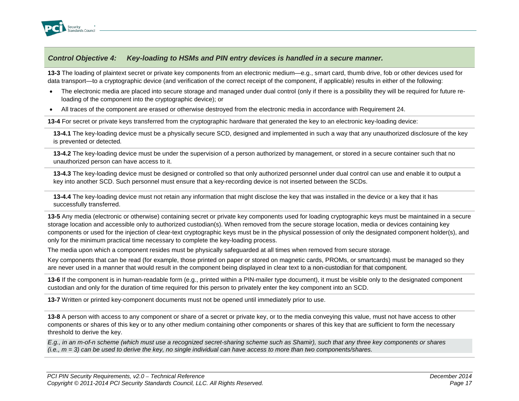

**13-3** The loading of plaintext secret or private key components from an electronic medium—e.g., smart card, thumb drive, fob or other devices used for data transport—to a cryptographic device (and verification of the correct receipt of the component, if applicable) results in either of the following:

- The electronic media are placed into secure storage and managed under dual control (only if there is a possibility they will be required for future reloading of the component into the cryptographic device); or
- All traces of the component are erased or otherwise destroyed from the electronic media in accordance with Requirement 24.

**13-4** For secret or private keys transferred from the cryptographic hardware that generated the key to an electronic key-loading device:

**13-4.1** The key-loading device must be a physically secure SCD, designed and implemented in such a way that any unauthorized disclosure of the key is prevented or detected*.*

**13-4.2** The key-loading device must be under the supervision of a person authorized by management, or stored in a secure container such that no unauthorized person can have access to it.

**13-4.3** The key-loading device must be designed or controlled so that only authorized personnel under dual control can use and enable it to output a key into another SCD. Such personnel must ensure that a key-recording device is not inserted between the SCDs.

**13-4.4** The key-loading device must not retain any information that might disclose the key that was installed in the device or a key that it has successfully transferred.

**13-5** Any media (electronic or otherwise) containing secret or private key components used for loading cryptographic keys must be maintained in a secure storage location and accessible only to authorized custodian(s). When removed from the secure storage location, media or devices containing key components or used for the injection of clear-text cryptographic keys must be in the physical possession of only the designated component holder(s), and only for the minimum practical time necessary to complete the key-loading process.

The media upon which a component resides must be physically safeguarded at all times when removed from secure storage.

Key components that can be read (for example, those printed on paper or stored on magnetic cards, PROMs, or smartcards) must be managed so they are never used in a manner that would result in the component being displayed in clear text to a non-custodian for that component.

**13-6** If the component is in human-readable form (e.g., printed within a PIN-mailer type document), it must be visible only to the designated component custodian and only for the duration of time required for this person to privately enter the key component into an SCD.

**13-7** Written or printed key-component documents must not be opened until immediately prior to use.

**13-8** A person with access to any component or share of a secret or private key, or to the media conveying this value, must not have access to other components or shares of this key or to any other medium containing other components or shares of this key that are sufficient to form the necessary threshold to derive the key.

*E.g., in an m-of-n scheme (which must use a recognized secret-sharing scheme such as Shamir), such that any three key components or shares (i.e., m = 3) can be used to derive the key, no single individual can have access to more than two components/shares.*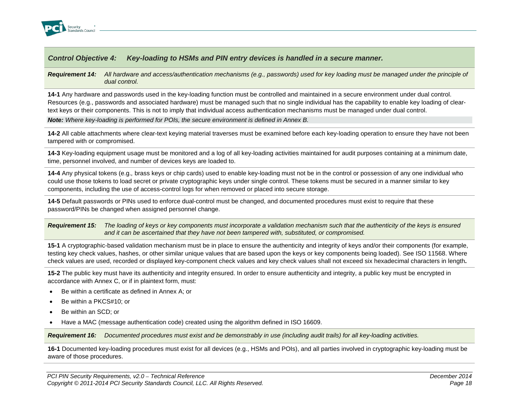

#### *Requirement 14: All hardware and access/authentication mechanisms (e.g., passwords) used for key loading must be managed under the principle of dual control.*

**14-1** Any hardware and passwords used in the key-loading function must be controlled and maintained in a secure environment under dual control. Resources (e.g., passwords and associated hardware) must be managed such that no single individual has the capability to enable key loading of cleartext keys or their components. This is not to imply that individual access authentication mechanisms must be managed under dual control.

*Note: Where key-loading is performed for POIs, the secure environment is defined in Annex B.*

**14-2** All cable attachments where clear-text keying material traverses must be examined before each key-loading operation to ensure they have not been tampered with or compromised.

**14-3** Key-loading equipment usage must be monitored and a log of all key-loading activities maintained for audit purposes containing at a minimum date, time, personnel involved, and number of devices keys are loaded to.

**14-4** Any physical tokens (e.g.*,* brass keys or chip cards) used to enable key-loading must not be in the control or possession of any one individual who could use those tokens to load secret or private cryptographic keys under single control. These tokens must be secured in a manner similar to key components, including the use of access-control logs for when removed or placed into secure storage.

**14-5** Default passwords or PINs used to enforce dual-control must be changed, and documented procedures must exist to require that these password/PINs be changed when assigned personnel change.

*Requirement 15: The loading of keys or key components must incorporate a validation mechanism such that the authenticity of the keys is ensured and it can be ascertained that they have not been tampered with, substituted, or compromised.*

**15-1** A cryptographic-based validation mechanism must be in place to ensure the authenticity and integrity of keys and/or their components (for example, testing key check values, hashes, or other similar unique values that are based upon the keys or key components being loaded). See ISO 11568. Where check values are used, recorded or displayed key-component check values and key check values shall not exceed six hexadecimal characters in length**.**

**15-2** The public key must have its authenticity and integrity ensured. In order to ensure authenticity and integrity, a public key must be encrypted in accordance with Annex C, or if in plaintext form, must:

- Be within a certificate as defined in Annex A; or
- Be within a PKCS#10; or
- Be within an SCD; or
- Have a MAC (message authentication code) created using the algorithm defined in ISO 16609.

*Requirement 16: Documented procedures must exist and be demonstrably in use (including audit trails) for all key-loading activities.*

**16-1** Documented key-loading procedures must exist for all devices (e.g., HSMs and POIs), and all parties involved in cryptographic key-loading must be aware of those procedures.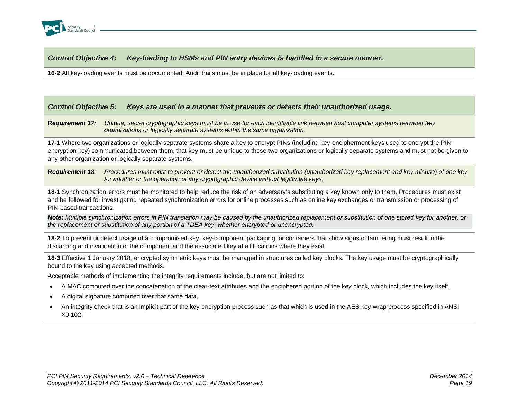

**16-2** All key-loading events must be documented. Audit trails must be in place for all key-loading events.

#### *Control Objective 5: Keys are used in a manner that prevents or detects their unauthorized usage.*

*Requirement 17: Unique, secret cryptographic keys must be in use for each identifiable link between host computer systems between two organizations or logically separate systems within the same organization.*

**17-1** Where two organizations or logically separate systems share a key to encrypt PINs (including key-encipherment keys used to encrypt the PINencryption key) communicated between them, that key must be unique to those two organizations or logically separate systems and must not be given to any other organization or logically separate systems.

*Requirement 18: Procedures must exist to prevent or detect the unauthorized substitution (unauthorized key replacement and key misuse) of one key for another or the operation of any cryptographic device without legitimate keys.*

**18-1** Synchronization errors must be monitored to help reduce the risk of an adversary's substituting a key known only to them. Procedures must exist and be followed for investigating repeated synchronization errors for online processes such as online key exchanges or transmission or processing of PIN-based transactions.

*Note: Multiple synchronization errors in PIN translation may be caused by the unauthorized replacement or substitution of one stored key for another, or the replacement or substitution of any portion of a TDEA key, whether encrypted or unencrypted.*

**18-2** To prevent or detect usage of a compromised key, key-component packaging, or containers that show signs of tampering must result in the discarding and invalidation of the component and the associated key at all locations where they exist.

**18-3** Effective 1 January 2018, encrypted symmetric keys must be managed in structures called key blocks. The key usage must be cryptographically bound to the key using accepted methods.

Acceptable methods of implementing the integrity requirements include, but are not limited to:

- A MAC computed over the concatenation of the clear-text attributes and the enciphered portion of the key block, which includes the key itself,
- A digital signature computed over that same data,
- An integrity check that is an implicit part of the key-encryption process such as that which is used in the AES key-wrap process specified in ANSI X9.102.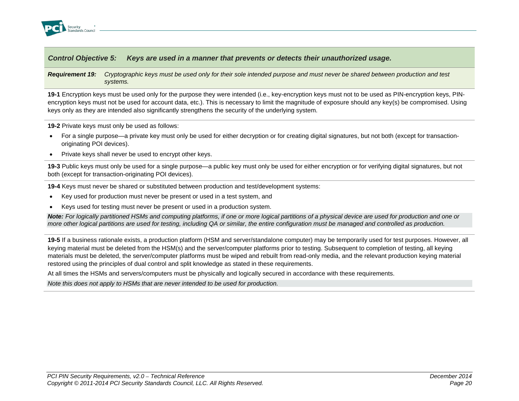

#### *Control Objective 5: Keys are used in a manner that prevents or detects their unauthorized usage.*

#### *Requirement 19: Cryptographic keys must be used only for their sole intended purpose and must never be shared between production and test systems.*

**19-1** Encryption keys must be used only for the purpose they were intended (i.e., key-encryption keys must not to be used as PIN-encryption keys, PINencryption keys must not be used for account data, etc.). This is necessary to limit the magnitude of exposure should any key(s) be compromised. Using keys only as they are intended also significantly strengthens the security of the underlying system.

**19-2** Private keys must only be used as follows:

- For a single purpose—a private key must only be used for either decryption or for creating digital signatures, but not both (except for transactionoriginating POI devices).
- Private keys shall never be used to encrypt other keys.

**19-3** Public keys must only be used for a single purpose—a public key must only be used for either encryption or for verifying digital signatures, but not both (except for transaction-originating POI devices).

**19-4** Keys must never be shared or substituted between production and test/development systems:

- Key used for production must never be present or used in a test system, and
- Keys used for testing must never be present or used in a production system.

*Note: For logically partitioned HSMs and computing platforms, if one or more logical partitions of a physical device are used for production and one or more other logical partitions are used for testing, including QA or similar, the entire configuration must be managed and controlled as production.*

**19-5** If a business rationale exists, a production platform (HSM and server/standalone computer) may be temporarily used for test purposes. However, all keying material must be deleted from the HSM(s) and the server/computer platforms prior to testing. Subsequent to completion of testing, all keying materials must be deleted, the server/computer platforms must be wiped and rebuilt from read-only media, and the relevant production keying material restored using the principles of dual control and split knowledge as stated in these requirements.

At all times the HSMs and servers/computers must be physically and logically secured in accordance with these requirements.

*Note this does not apply to HSMs that are never intended to be used for production.*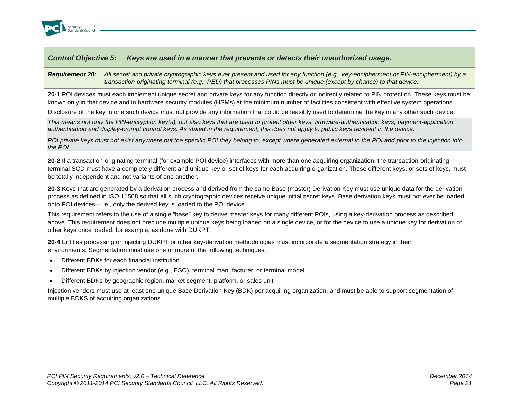

#### *Control Objective 5: Keys are used in a manner that prevents or detects their unauthorized usage.*

#### *Requirement 20: All secret and private cryptographic keys ever present and used for any function (e.g., key-encipherment or PIN-encipherment) by a transaction-originating terminal (e.g., PED) that processes PINs must be unique (except by chance) to that device.*

**20-1** POI devices must each implement unique secret and private keys for any function directly or indirectly related to PIN protection. These keys must be known only in that device and in hardware security modules (HSMs) at the minimum number of facilities consistent with effective system operations.

Disclosure of the key in one such device must not provide any information that could be feasibly used to determine the key in any other such device.

*This means not only the PIN-encryption key(s), but also keys that are used to protect other keys, firmware-authentication keys, payment-application authentication and display-prompt control keys. As stated in the requirement, this does not apply to public keys resident in the device.*

*POI private keys must not exist anywhere but the specific POI they belong to, except where generated external to the POI and prior to the injection into the POI.*

**20-2** If a transaction-originating terminal (for example POI device) interfaces with more than one acquiring organization, the transaction-originating terminal SCD must have a completely different and unique key or set of keys for each acquiring organization. These different keys, or sets of keys, must be totally independent and not variants of one another.

**20-3** Keys that are generated by a derivation process and derived from the same Base (master) Derivation Key must use unique data for the derivation process as defined in ISO 11568 so that all such cryptographic devices receive unique initial secret keys. Base derivation keys must not ever be loaded onto POI devices—i.e., only the derived key is loaded to the POI device.

This requirement refers to the use of a single "base" key to derive master keys for many different POIs, using a key-derivation process as described above. This requirement does not preclude multiple unique keys being loaded on a single device, or for the device to use a unique key for derivation of other keys once loaded, for example, as done with DUKPT.

**20-4** Entities processing or injecting DUKPT or other key-derivation methodologies must incorporate a segmentation strategy in their environments. Segmentation must use one or more of the following techniques:

- Different BDKs for each financial institution
- Different BDKs by injection vendor (e.g., ESO), terminal manufacturer, or terminal model
- Different BDKs by geographic region, market segment, platform, or sales unit

Injection vendors must use at least one unique Base Derivation Key (BDK) per acquiring organization, and must be able to support segmentation of multiple BDKS of acquiring organizations.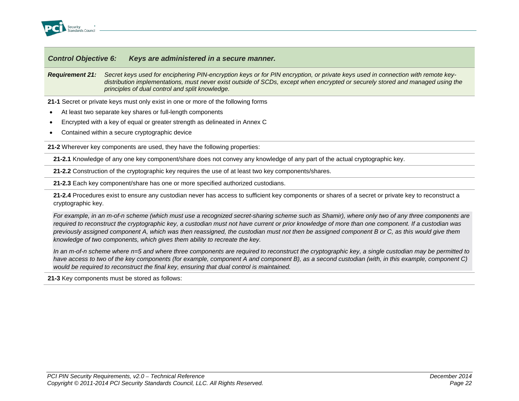

*Requirement 21: Secret keys used for enciphering PIN-encryption keys or for PIN encryption, or private keys used in connection with remote keydistribution implementations, must never exist outside of SCDs, except when encrypted or securely stored and managed using the principles of dual control and split knowledge.* 

**21-1** Secret or private keys must only exist in one or more of the following forms

- At least two separate key shares or full-length components
- Encrypted with a key of equal or greater strength as delineated in Annex C
- Contained within a secure cryptographic device

**21-2** Wherever key components are used, they have the following properties:

**21-2.1** Knowledge of any one key component/share does not convey any knowledge of any part of the actual cryptographic key.

**21-2.2** Construction of the cryptographic key requires the use of at least two key components/shares.

**21-2.3** Each key component/share has one or more specified authorized custodians.

**21-2.4** Procedures exist to ensure any custodian never has access to sufficient key components or shares of a secret or private key to reconstruct a cryptographic key.

*For example, in an m-of-n scheme (which must use a recognized secret-sharing scheme such as Shamir), where only two of any three components are required to reconstruct the cryptographic key, a custodian must not have current or prior knowledge of more than one component. If a custodian was previously assigned component A, which was then reassigned, the custodian must not then be assigned component B or C, as this would give them knowledge of two components, which gives them ability to recreate the key.*

*In an m-of-n scheme where n=5 and where three components are required to reconstruct the cryptographic key, a single custodian may be permitted to*  have access to two of the key components (for example, component A and component B), as a second custodian (with, in this example, component C) *would be required to reconstruct the final key, ensuring that dual control is maintained.*

**21-3** Key components must be stored as follows: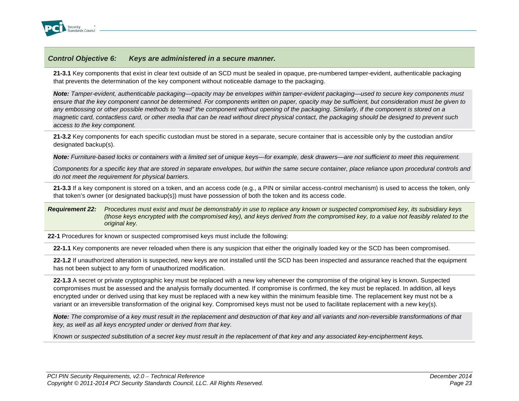

**21-3.1** Key components that exist in clear text outside of an SCD must be sealed in opaque, pre-numbered tamper-evident, authenticable packaging that prevents the determination of the key component without noticeable damage to the packaging.

*Note: Tamper-evident, authenticable packaging—opacity may be envelopes within tamper-evident packaging—used to secure key components must ensure that the key component cannot be determined. For components written on paper, opacity may be sufficient, but consideration must be given to any embossing or other possible methods to "read" the component without opening of the packaging. Similarly, if the component is stored on a magnetic card, contactless card, or other media that can be read without direct physical contact, the packaging should be designed to prevent such access to the key component.*

**21-3.2** Key components for each specific custodian must be stored in a separate, secure container that is accessible only by the custodian and/or designated backup(s).

*Note: Furniture-based locks or containers with a limited set of unique keys—for example, desk drawers—are not sufficient to meet this requirement.*

*Components for a specific key that are stored in separate envelopes, but within the same secure container, place reliance upon procedural controls and do not meet the requirement for physical barriers.*

**21-3.3** If a key component is stored on a token, and an access code (e.g., a PIN or similar access-control mechanism) is used to access the token, only that token's owner (or designated backup(s)) must have possession of both the token and its access code.

*Requirement 22: Procedures must exist and must be demonstrably in use to replace any known or suspected compromised key, its subsidiary keys (those keys encrypted with the compromised key), and keys derived from the compromised key, to a value not feasibly related to the original key.*

**22-1** Procedures for known or suspected compromised keys must include the following:

**22-1.1** Key components are never reloaded when there is any suspicion that either the originally loaded key or the SCD has been compromised.

**22-1.2** If unauthorized alteration is suspected, new keys are not installed until the SCD has been inspected and assurance reached that the equipment has not been subject to any form of unauthorized modification.

**22-1.3** A secret or private cryptographic key must be replaced with a new key whenever the compromise of the original key is known. Suspected compromises must be assessed and the analysis formally documented. If compromise is confirmed, the key must be replaced. In addition, all keys encrypted under or derived using that key must be replaced with a new key within the minimum feasible time. The replacement key must not be a variant or an irreversible transformation of the original key. Compromised keys must not be used to facilitate replacement with a new key(s).

*Note: The compromise of a key must result in the replacement and destruction of that key and all variants and non-reversible transformations of that key, as well as all keys encrypted under or derived from that key.* 

*Known or suspected substitution of a secret key must result in the replacement of that key and any associated key-encipherment keys.*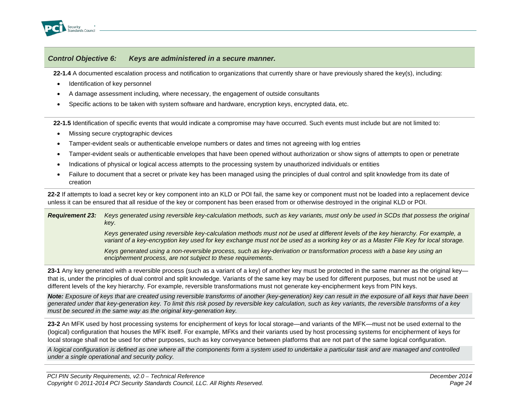

**22-1.4** A documented escalation process and notification to organizations that currently share or have previously shared the key(s), including:

- Identification of key personnel
- A damage assessment including, where necessary, the engagement of outside consultants
- Specific actions to be taken with system software and hardware, encryption keys, encrypted data, etc.

**22-1.5** Identification of specific events that would indicate a compromise may have occurred. Such events must include but are not limited to:

- Missing secure cryptographic devices
- Tamper-evident seals or authenticable envelope numbers or dates and times not agreeing with log entries
- Tamper-evident seals or authenticable envelopes that have been opened without authorization or show signs of attempts to open or penetrate
- Indications of physical or logical access attempts to the processing system by unauthorized individuals or entities
- Failure to document that a secret or private key has been managed using the principles of dual control and split knowledge from its date of creation

**22-2** If attempts to load a secret key or key component into an KLD or POI fail, the same key or component must not be loaded into a replacement device unless it can be ensured that all residue of the key or component has been erased from or otherwise destroyed in the original KLD or POI.

*Requirement 23: Keys generated using reversible key-calculation methods, such as key variants, must only be used in SCDs that possess the original key.* 

> *Keys generated using reversible key-calculation methods must not be used at different levels of the key hierarchy. For example, a variant of a key-encryption key used for key exchange must not be used as a working key or as a Master File Key for local storage.*

*Keys generated using a non-reversible process, such as key-derivation or transformation process with a base key using an encipherment process, are not subject to these requirements.*

**23-1** Any key generated with a reversible process (such as a variant of a key) of another key must be protected in the same manner as the original key that is, under the principles of dual control and split knowledge. Variants of the same key may be used for different purposes, but must not be used at different levels of the key hierarchy. For example, reversible transformations must not generate key-encipherment keys from PIN keys.

*Note: Exposure of keys that are created using reversible transforms of another (key-generation) key can result in the exposure of all keys that have been generated under that key-generation key. To limit this risk posed by reversible key calculation, such as key variants, the reversible transforms of a key must be secured in the same way as the original key-generation key.*

**23-2** An MFK used by host processing systems for encipherment of keys for local storage—and variants of the MFK—must not be used external to the (logical) configuration that houses the MFK itself. For example, MFKs and their variants used by host processing systems for encipherment of keys for local storage shall not be used for other purposes, such as key conveyance between platforms that are not part of the same logical configuration.

*A logical configuration is defined as one where all the components form a system used to undertake a particular task and are managed and controlled under a single operational and security policy.*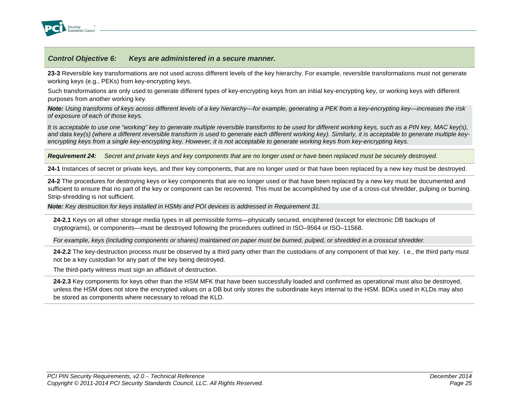

**23-3** Reversible key transformations are not used across different levels of the key hierarchy. For example, reversible transformations must not generate working keys (e.g., PEKs) from key-encrypting keys.

Such transformations are only used to generate different types of key-encrypting keys from an initial key-encrypting key, or working keys with different purposes from another working key.

*Note: Using transforms of keys across different levels of a key hierarchy—for example, generating a PEK from a key-encrypting key—increases the risk of exposure of each of those keys.* 

*It is acceptable to use one "working" key to generate multiple reversible transforms to be used for different working keys, such as a PIN key, MAC key(s),*  and data key(s) (where a different reversible transform is used to generate each different working key). Similarly, it is acceptable to generate multiple key*encrypting keys from a single key-encrypting key. However, it is not acceptable to generate working keys from key-encrypting keys.*

*Requirement 24: Secret and private keys and key components that are no longer used or have been replaced must be securely destroyed.*

**24-1** Instances of secret or private keys, and their key components, that are no longer used or that have been replaced by a new key must be destroyed.

**24-2** The procedures for destroying keys or key components that are no longer used or that have been replaced by a new key must be documented and sufficient to ensure that no part of the key or component can be recovered. This must be accomplished by use of a cross-cut shredder, pulping or burning. Strip-shredding is not sufficient.

*Note: Key destruction for keys installed in HSMs and POI devices is addressed in Requirement 31.*

**24-2.1** Keys on all other storage media types in all permissible forms—physically secured, enciphered (except for electronic DB backups of cryptograms), or components—must be destroyed following the procedures outlined in ISO–9564 or ISO–11568.

*For example, keys (including components or shares) maintained on paper must be burned, pulped, or shredded in a crosscut shredder.*

**24-2.2** The key-destruction process must be observed by a third party other than the custodians of any component of that key. I.e., the third party must not be a key custodian for any part of the key being destroyed.

The third-party witness must sign an affidavit of destruction.

**24-2.3** Key components for keys other than the HSM MFK that have been successfully loaded and confirmed as operational must also be destroyed, unless the HSM does not store the encrypted values on a DB but only stores the subordinate keys internal to the HSM. BDKs used in KLDs may also be stored as components where necessary to reload the KLD.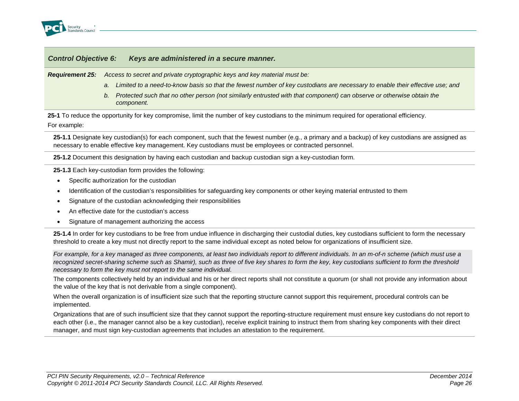

*Requirement 25: Access to secret and private cryptographic keys and key material must be:* 

- *a. Limited to a need-to-know basis so that the fewest number of key custodians are necessary to enable their effective use; and*
- *b. Protected such that no other person (not similarly entrusted with that component) can observe or otherwise obtain the component.*

**25-1** To reduce the opportunity for key compromise, limit the number of key custodians to the minimum required for operational efficiency.

For example:

**25-1.1** Designate key custodian(s) for each component, such that the fewest number (e.g., a primary and a backup) of key custodians are assigned as necessary to enable effective key management. Key custodians must be employees or contracted personnel.

**25-1.2** Document this designation by having each custodian and backup custodian sign a key-custodian form.

**25-1.3** Each key-custodian form provides the following:

- Specific authorization for the custodian
- Identification of the custodian's responsibilities for safeguarding key components or other keying material entrusted to them
- Signature of the custodian acknowledging their responsibilities
- An effective date for the custodian's access
- Signature of management authorizing the access

25-1.4 In order for key custodians to be free from undue influence in discharging their custodial duties, key custodians sufficient to form the necessary threshold to create a key must not directly report to the same individual except as noted below for organizations of insufficient size.

*For example, for a key managed as three components, at least two individuals report to different individuals. In an m-of-n scheme (which must use a recognized secret-sharing scheme such as Shamir), such as three of five key shares to form the key, key custodians sufficient to form the threshold necessary to form the key must not report to the same individual.*

The components collectively held by an individual and his or her direct reports shall not constitute a quorum (or shall not provide any information about the value of the key that is not derivable from a single component).

When the overall organization is of insufficient size such that the reporting structure cannot support this requirement, procedural controls can be implemented.

Organizations that are of such insufficient size that they cannot support the reporting-structure requirement must ensure key custodians do not report to each other (i.e., the manager cannot also be a key custodian), receive explicit training to instruct them from sharing key components with their direct manager, and must sign key-custodian agreements that includes an attestation to the requirement.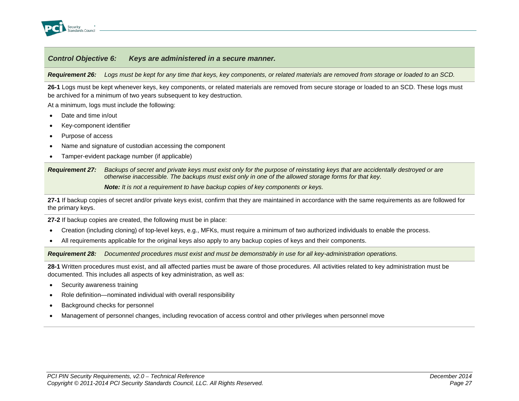

*Requirement 26: Logs must be kept for any time that keys, key components, or related materials are removed from storage or loaded to an SCD.*

**26-1** Logs must be kept whenever keys, key components, or related materials are removed from secure storage or loaded to an SCD. These logs must be archived for a minimum of two years subsequent to key destruction.

At a minimum, logs must include the following:

- Date and time in/out
- Key-component identifier
- Purpose of access
- Name and signature of custodian accessing the component
- Tamper-evident package number (if applicable)

*Requirement 27: Backups of secret and private keys must exist only for the purpose of reinstating keys that are accidentally destroyed or are otherwise inaccessible. The backups must exist only in one of the allowed storage forms for that key.*

*Note: It is not a requirement to have backup copies of key components or keys.*

**27-1** If backup copies of secret and/or private keys exist, confirm that they are maintained in accordance with the same requirements as are followed for the primary keys.

**27-2** If backup copies are created, the following must be in place:

- Creation (including cloning) of top-level keys, e.g., MFKs, must require a minimum of two authorized individuals to enable the process.
- All requirements applicable for the original keys also apply to any backup copies of keys and their components.

*Requirement 28: Documented procedures must exist and must be demonstrably in use for all key-administration operations.*

**28-1** Written procedures must exist, and all affected parties must be aware of those procedures. All activities related to key administration must be documented. This includes all aspects of key administration, as well as:

- Security awareness training
- Role definition—nominated individual with overall responsibility
- Background checks for personnel
- Management of personnel changes, including revocation of access control and other privileges when personnel move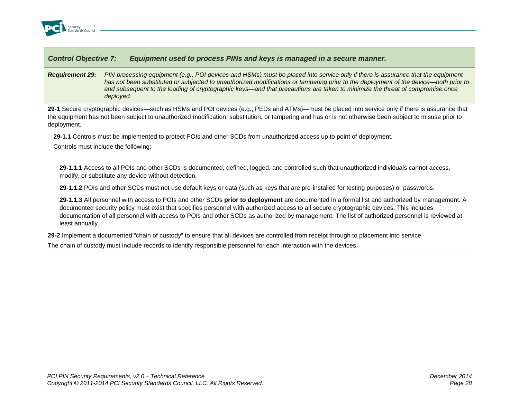

*Requirement 29: PIN-processing equipment (e.g., POI devices and HSMs) must be placed into service only if there is assurance that the equipment has not been substituted or subjected to unauthorized modifications or tampering prior to the deployment of the device—both prior to and subsequent to the loading of cryptographic keys—and that precautions are taken to minimize the threat of compromise once deployed.*

**29-1** Secure cryptographic devices—such as HSMs and POI devices (e.g., PEDs and ATMs)—must be placed into service only if there is assurance that the equipment has not been subject to unauthorized modification, substitution, or tampering and has or is not otherwise been subject to misuse prior to deployment.

**29-1.1** Controls must be implemented to protect POIs and other SCDs from unauthorized access up to point of deployment.

Controls must include the following:

**29-1.1.1** Access to all POIs and other SCDs is documented, defined, logged, and controlled such that unauthorized individuals cannot access, modify, or substitute any device without detection.

**29-1.1.2** POIs and other SCDs must not use default keys or data (such as keys that are pre-installed for testing purposes) or passwords.

**29-1.1.3** All personnel with access to POIs and other SCDs **prior to deployment** are documented in a formal list and authorized by management. A documented security policy must exist that specifies personnel with authorized access to all secure cryptographic devices. This includes documentation of all personnel with access to POIs and other SCDs as authorized by management. The list of authorized personnel is reviewed at least annually.

**29-2** Implement a documented "chain of custody" to ensure that all devices are controlled from receipt through to placement into service.

The chain of custody must include records to identify responsible personnel for each interaction with the devices.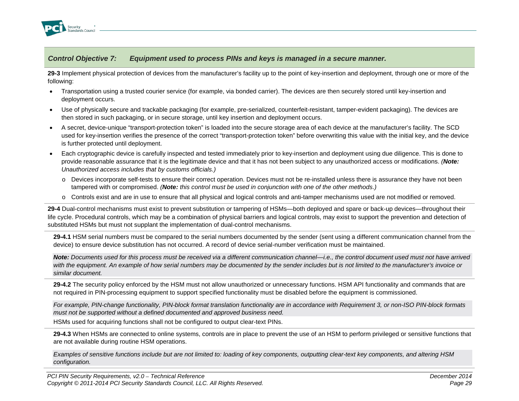

**29-3** Implement physical protection of devices from the manufacturer's facility up to the point of key-insertion and deployment, through one or more of the following:

- Transportation using a trusted courier service (for example, via bonded carrier). The devices are then securely stored until key-insertion and deployment occurs.
- Use of physically secure and trackable packaging (for example, pre-serialized, counterfeit-resistant, tamper-evident packaging). The devices are then stored in such packaging, or in secure storage, until key insertion and deployment occurs.
- A secret, device-unique "transport-protection token" is loaded into the secure storage area of each device at the manufacturer's facility. The SCD used for key-insertion verifies the presence of the correct "transport-protection token" before overwriting this value with the initial key, and the device is further protected until deployment.
- Each cryptographic device is carefully inspected and tested immediately prior to key-insertion and deployment using due diligence. This is done to provide reasonable assurance that it is the legitimate device and that it has not been subject to any unauthorized access or modifications. *(Note: Unauthorized access includes that by customs officials.)*
	- o Devices incorporate self-tests to ensure their correct operation. Devices must not be re-installed unless there is assurance they have not been tampered with or compromised. *(Note: this control must be used in conjunction with one of the other methods.)*
	- o Controls exist and are in use to ensure that all physical and logical controls and anti-tamper mechanisms used are not modified or removed.

**29-4** Dual-control mechanisms must exist to prevent substitution or tampering of HSMs—both deployed and spare or back-up devices—throughout their life cycle. Procedural controls, which may be a combination of physical barriers and logical controls, may exist to support the prevention and detection of substituted HSMs but must not supplant the implementation of dual-control mechanisms.

**29-4.1** HSM serial numbers must be compared to the serial numbers documented by the sender (sent using a different communication channel from the device) to ensure device substitution has not occurred. A record of device serial-number verification must be maintained.

*Note: Documents used for this process must be received via a different communication channel—i.e., the control document used must not have arrived*  with the equipment. An example of how serial numbers may be documented by the sender includes but is not limited to the manufacturer's invoice or *similar document.*

**29-4.2** The security policy enforced by the HSM must not allow unauthorized or unnecessary functions. HSM API functionality and commands that are not required in PIN-processing equipment to support specified functionality must be disabled before the equipment is commissioned.

*For example, PIN-change functionality, PIN-block format translation functionality are in accordance with Requirement 3, or non-ISO PIN-block formats must not be supported without a defined documented and approved business need.* 

HSMs used for acquiring functions shall not be configured to output clear-text PINs.

**29-4.3** When HSMs are connected to online systems, controls are in place to prevent the use of an HSM to perform privileged or sensitive functions that are not available during routine HSM operations.

*Examples of sensitive functions include but are not limited to: loading of key components, outputting clear-text key components, and altering HSM configuration.*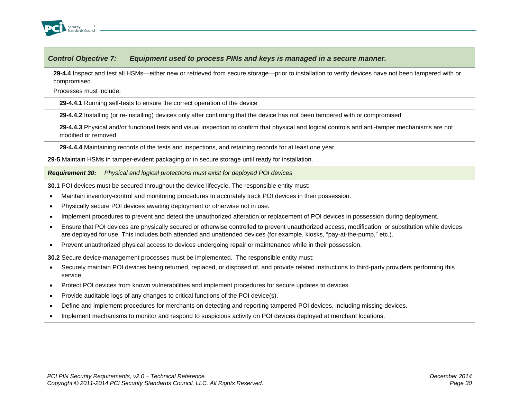

**29-4.4** Inspect and test all HSMs—either new or retrieved from secure storage—prior to installation to verify devices have not been tampered with or compromised.

Processes must include:

**29-4.4.1** Running self-tests to ensure the correct operation of the device

**29-4.4.2** Installing (or re-installing) devices only after confirming that the device has not been tampered with or compromised

**29-4.4.3** Physical and/or functional tests and visual inspection to confirm that physical and logical controls and anti-tamper mechanisms are not modified or removed

**29-4.4.4** Maintaining records of the tests and inspections, and retaining records for at least one year

**29-5** Maintain HSMs in tamper-evident packaging or in secure storage until ready for installation.

*Requirement 30: Physical and logical protections must exist for deployed POI devices*

**30.1** POI devices must be secured throughout the device lifecycle. The responsible entity must:

- Maintain inventory-control and monitoring procedures to accurately track POI devices in their possession.
- Physically secure POI devices awaiting deployment or otherwise not in use.
- Implement procedures to prevent and detect the unauthorized alteration or replacement of POI devices in possession during deployment.
- Ensure that POI devices are physically secured or otherwise controlled to prevent unauthorized access, modification, or substitution while devices are deployed for use. This includes both attended and unattended devices (for example, kiosks, "pay-at-the-pump," etc.).
- Prevent unauthorized physical access to devices undergoing repair or maintenance while in their possession.

**30.2** Secure device-management processes must be implemented. The responsible entity must:

- Securely maintain POI devices being returned, replaced, or disposed of, and provide related instructions to third-party providers performing this service.
- Protect POI devices from known vulnerabilities and implement procedures for secure updates to devices.
- Provide auditable logs of any changes to critical functions of the POI device(s).
- Define and implement procedures for merchants on detecting and reporting tampered POI devices, including missing devices.
- Implement mechanisms to monitor and respond to suspicious activity on POI devices deployed at merchant locations.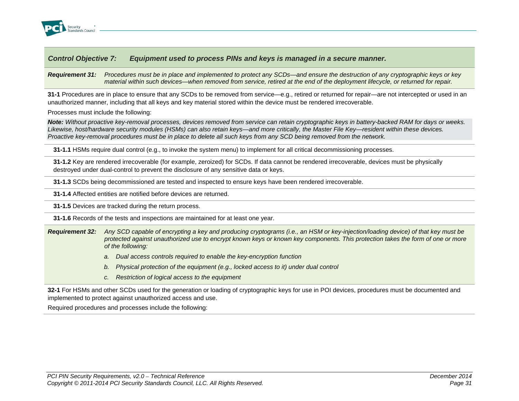

*Requirement 31: Procedures must be in place and implemented to protect any SCDs—and ensure the destruction of any cryptographic keys or key material within such devices—when removed from service, retired at the end of the deployment lifecycle, or returned for repair.*

**31-1** Procedures are in place to ensure that any SCDs to be removed from service—e.g., retired or returned for repair—are not intercepted or used in an unauthorized manner, including that all keys and key material stored within the device must be rendered irrecoverable.

Processes must include the following:

*Note: Without proactive key-removal processes, devices removed from service can retain cryptographic keys in battery-backed RAM for days or weeks. Likewise, host/hardware security modules (HSMs) can also retain keys—and more critically, the Master File Key—resident within these devices. Proactive key-removal procedures must be in place to delete all such keys from any SCD being removed from the network.*

**31-1.1** HSMs require dual control (e.g., to invoke the system menu) to implement for all critical decommissioning processes.

**31-1.2** Key are rendered irrecoverable (for example, zeroized) for SCDs. If data cannot be rendered irrecoverable, devices must be physically destroyed under dual-control to prevent the disclosure of any sensitive data or keys.

**31-1.3** SCDs being decommissioned are tested and inspected to ensure keys have been rendered irrecoverable.

**31-1.4** Affected entities are notified before devices are returned.

**31-1.5** Devices are tracked during the return process.

**31-1.6** Records of the tests and inspections are maintained for at least one year.

- *Requirement 32: Any SCD capable of encrypting a key and producing cryptograms (i.e., an HSM or key-injection/loading device) of that key must be protected against unauthorized use to encrypt known keys or known key components. This protection takes the form of one or more of the following:*
	- *a. Dual access controls required to enable the key-encryption function*
	- *b. Physical protection of the equipment (e.g., locked access to it) under dual control*
	- *c. Restriction of logical access to the equipment*

**32-1** For HSMs and other SCDs used for the generation or loading of cryptographic keys for use in POI devices, procedures must be documented and implemented to protect against unauthorized access and use.

Required procedures and processes include the following: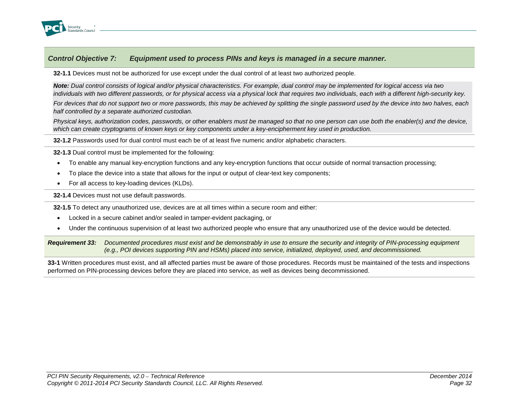

**32-1.1** Devices must not be authorized for use except under the dual control of at least two authorized people.

*Note: Dual control consists of logical and/or physical characteristics. For example, dual control may be implemented for logical access via two individuals with two different passwords, or for physical access via a physical lock that requires two individuals, each with a different high-security key.* 

*For devices that do not support two or more passwords, this may be achieved by splitting the single password used by the device into two halves, each half controlled by a separate authorized custodian.*

*Physical keys, authorization codes, passwords, or other enablers must be managed so that no one person can use both the enabler(s) and the device, which can create cryptograms of known keys or key components under a key-encipherment key used in production.*

**32-1.2** Passwords used for dual control must each be of at least five numeric and/or alphabetic characters.

**32-1.3** Dual control must be implemented for the following:

- To enable any manual key-encryption functions and any key-encryption functions that occur outside of normal transaction processing;
- To place the device into a state that allows for the input or output of clear-text key components;
- For all access to key-loading devices (KLDs).

**32-1.4** Devices must not use default passwords.

**32-1.5** To detect any unauthorized use, devices are at all times within a secure room and either:

- Locked in a secure cabinet and/or sealed in tamper-evident packaging, or
- Under the continuous supervision of at least two authorized people who ensure that any unauthorized use of the device would be detected.

*Requirement 33: Documented procedures must exist and be demonstrably in use to ensure the security and integrity of PIN-processing equipment (e.g., POI devices supporting PIN and HSMs) placed into service, initialized, deployed, used, and decommissioned.*

**33-1** Written procedures must exist, and all affected parties must be aware of those procedures. Records must be maintained of the tests and inspections performed on PIN-processing devices before they are placed into service, as well as devices being decommissioned.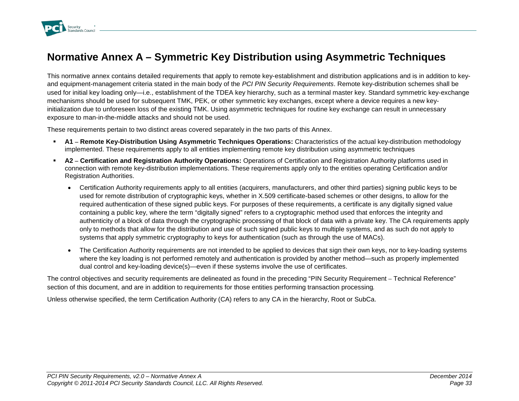

# **Normative Annex A – Symmetric Key Distribution using Asymmetric Techniques**

This normative annex contains detailed requirements that apply to remote key-establishment and distribution applications and is in addition to keyand equipment-management criteria stated in the main body of the *PCI PIN Security Requirements*. Remote key-distribution schemes shall be used for initial key loading only—i.e., establishment of the TDEA key hierarchy, such as a terminal master key. Standard symmetric key-exchange mechanisms should be used for subsequent TMK, PEK, or other symmetric key exchanges, except where a device requires a new keyinitialization due to unforeseen loss of the existing TMK. Using asymmetric techniques for routine key exchange can result in unnecessary exposure to man-in-the-middle attacks and should not be used.

These requirements pertain to two distinct areas covered separately in the two parts of this Annex.

- **A1 – Remote Key-Distribution Using Asymmetric Techniques Operations:** Characteristics of the actual key-distribution methodology implemented. These requirements apply to all entities implementing remote key distribution using asymmetric techniques
- **A2 – Certification and Registration Authority Operations:** Operations of Certification and Registration Authority platforms used in connection with remote key-distribution implementations. These requirements apply only to the entities operating Certification and/or Registration Authorities.
	- Certification Authority requirements apply to all entities (acquirers, manufacturers, and other third parties) signing public keys to be used for remote distribution of cryptographic keys, whether in X.509 certificate-based schemes or other designs, to allow for the required authentication of these signed public keys. For purposes of these requirements, a certificate is any digitally signed value containing a public key, where the term "digitally signed" refers to a cryptographic method used that enforces the integrity and authenticity of a block of data through the cryptographic processing of that block of data with a private key. The CA requirements apply only to methods that allow for the distribution and use of such signed public keys to multiple systems, and as such do not apply to systems that apply symmetric cryptography to keys for authentication (such as through the use of MACs).
	- The Certification Authority requirements are not intended to be applied to devices that sign their own keys, nor to key-loading systems where the key loading is not performed remotely and authentication is provided by another method—such as properly implemented dual control and key-loading device(s)—even if these systems involve the use of certificates.

The control objectives and security requirements are delineated as found in the preceding "PIN Security Requirement – Technical Reference" section of this document, and are in addition to requirements for those entities performing transaction processing*.* 

Unless otherwise specified, the term Certification Authority (CA) refers to any CA in the hierarchy, Root or SubCa.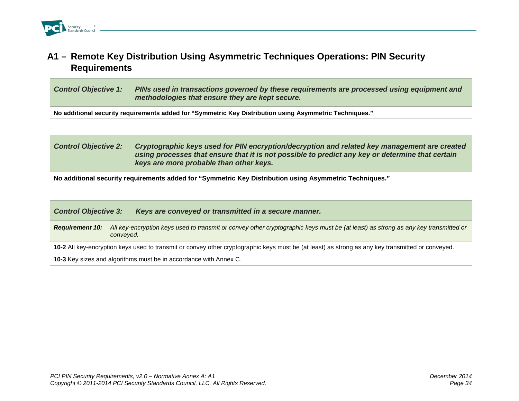# **A1 – Remote Key Distribution Using Asymmetric Techniques Operations: PIN Security Requirements**

*Control Objective 1: PINs used in transactions governed by these requirements are processed using equipment and methodologies that ensure they are kept secure.*

**No additional security requirements added for "Symmetric Key Distribution using Asymmetric Techniques."**

### *Control Objective 2: Cryptographic keys used for PIN encryption/decryption and related key management are created using processes that ensure that it is not possible to predict any key or determine that certain keys are more probable than other keys.*

**No additional security requirements added for "Symmetric Key Distribution using Asymmetric Techniques."**

| <b>Control Objective 3:</b>                                                                                                                       | Keys are conveyed or transmitted in a secure manner.                                                                                            |  |
|---------------------------------------------------------------------------------------------------------------------------------------------------|-------------------------------------------------------------------------------------------------------------------------------------------------|--|
| <b>Requirement 10:</b>                                                                                                                            | All key-encryption keys used to transmit or convey other cryptographic keys must be (at least) as strong as any key transmitted or<br>conveyed. |  |
| 10-2 All key-encryption keys used to transmit or convey other cryptographic keys must be (at least) as strong as any key transmitted or conveyed. |                                                                                                                                                 |  |
| 10-3 Key sizes and algorithms must be in accordance with Annex C.                                                                                 |                                                                                                                                                 |  |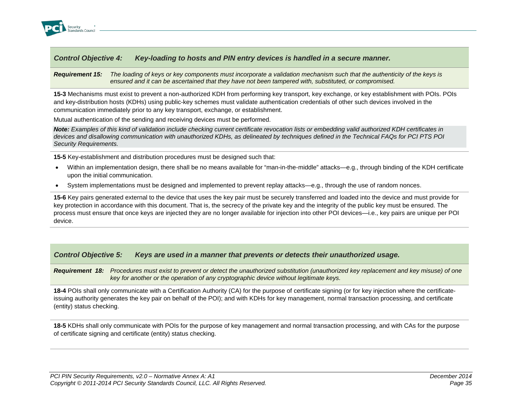

*Requirement 15: The loading of keys or key components must incorporate a validation mechanism such that the authenticity of the keys is ensured and it can be ascertained that they have not been tampered with, substituted, or compromised.*

**15-3** Mechanisms must exist to prevent a non-authorized KDH from performing key transport, key exchange, or key establishment with POIs. POIs and key-distribution hosts (KDHs) using public-key schemes must validate authentication credentials of other such devices involved in the communication immediately prior to any key transport, exchange, or establishment.

Mutual authentication of the sending and receiving devices must be performed.

*Note: Examples of this kind of validation include checking current certificate revocation lists or embedding valid authorized KDH certificates in devices and disallowing communication with unauthorized KDHs, as delineated by techniques defined in the Technical FAQs for PCI PTS POI Security Requirements.*

**15-5** Key-establishment and distribution procedures must be designed such that:

- Within an implementation design, there shall be no means available for "man-in-the-middle" attacks—e.g., through binding of the KDH certificate upon the initial communication.
- System implementations must be designed and implemented to prevent replay attacks—e.g., through the use of random nonces.

**15-6** Key pairs generated external to the device that uses the key pair must be securely transferred and loaded into the device and must provide for key protection in accordance with this document. That is, the secrecy of the private key and the integrity of the public key must be ensured. The process must ensure that once keys are injected they are no longer available for injection into other POI devices—i.e., key pairs are unique per POI device.

### *Control Objective 5: Keys are used in a manner that prevents or detects their unauthorized usage.*

*Requirement 18: Procedures must exist to prevent or detect the unauthorized substitution (unauthorized key replacement and key misuse) of one key for another or the operation of any cryptographic device without legitimate keys.*

**18-4** POIs shall only communicate with a Certification Authority (CA) for the purpose of certificate signing (or for key injection where the certificateissuing authority generates the key pair on behalf of the POI); and with KDHs for key management, normal transaction processing, and certificate (entity) status checking.

**18-5** KDHs shall only communicate with POIs for the purpose of key management and normal transaction processing, and with CAs for the purpose of certificate signing and certificate (entity) status checking.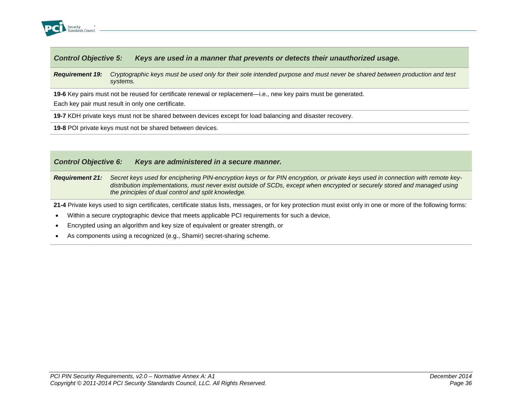

#### *Requirement 19: Cryptographic keys must be used only for their sole intended purpose and must never be shared between production and test systems.*

**19-6** Key pairs must not be reused for certificate renewal or replacement—i.e., new key pairs must be generated.

Each key pair must result in only one certificate.

**19-7** KDH private keys must not be shared between devices except for load balancing and disaster recovery.

**19-8** POI private keys must not be shared between devices.

### *Control Objective 6: Keys are administered in a secure manner.*

*Requirement 21: Secret keys used for enciphering PIN-encryption keys or for PIN encryption, or private keys used in connection with remote keydistribution implementations, must never exist outside of SCDs, except when encrypted or securely stored and managed using the principles of dual control and split knowledge.*

**21-4** Private keys used to sign certificates, certificate status lists, messages, or for key protection must exist only in one or more of the following forms:

- Within a secure cryptographic device that meets applicable PCI requirements for such a device,
- Encrypted using an algorithm and key size of equivalent or greater strength, or
- As components using a recognized (e.g., Shamir) secret-sharing scheme.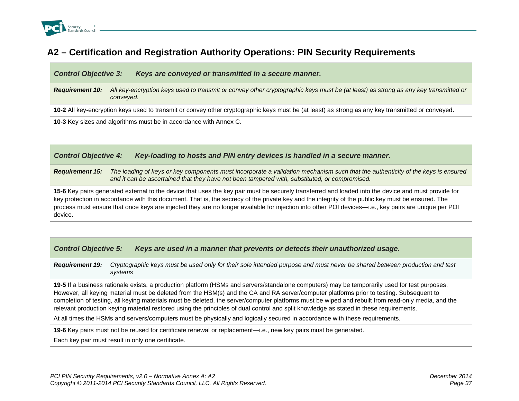

# **A2 – Certification and Registration Authority Operations: PIN Security Requirements**

*Control Objective 3: Keys are conveyed or transmitted in a secure manner.*

*Requirement 10: All key-encryption keys used to transmit or convey other cryptographic keys must be (at least) as strong as any key transmitted or conveyed.*

**10-2** All key-encryption keys used to transmit or convey other cryptographic keys must be (at least) as strong as any key transmitted or conveyed.

**10-3** Key sizes and algorithms must be in accordance with Annex C.

*Control Objective 4: Key-loading to hosts and PIN entry devices is handled in a secure manner.*

**Requirement 15:** The loading of keys or key components must incorporate a validation mechanism such that the authenticity of the keys is ensured *and it can be ascertained that they have not been tampered with, substituted, or compromised.*

**15-6** Key pairs generated external to the device that uses the key pair must be securely transferred and loaded into the device and must provide for key protection in accordance with this document. That is, the secrecy of the private key and the integrity of the public key must be ensured. The process must ensure that once keys are injected they are no longer available for injection into other POI devices—i.e., key pairs are unique per POI device.

| <b>Control Objective 5:</b> |  |  | Keys are used in a manner that prevents or detects their unauthorized usage. |
|-----------------------------|--|--|------------------------------------------------------------------------------|
|-----------------------------|--|--|------------------------------------------------------------------------------|

*Requirement 19: Cryptographic keys must be used only for their sole intended purpose and must never be shared between production and test systems*

**19-5** If a business rationale exists, a production platform (HSMs and servers/standalone computers) may be temporarily used for test purposes. However, all keying material must be deleted from the HSM(s) and the CA and RA server/computer platforms prior to testing. Subsequent to completion of testing, all keying materials must be deleted, the server/computer platforms must be wiped and rebuilt from read-only media, and the relevant production keying material restored using the principles of dual control and split knowledge as stated in these requirements.

At all times the HSMs and servers/computers must be physically and logically secured in accordance with these requirements.

**19-6** Key pairs must not be reused for certificate renewal or replacement—i.e., new key pairs must be generated.

Each key pair must result in only one certificate.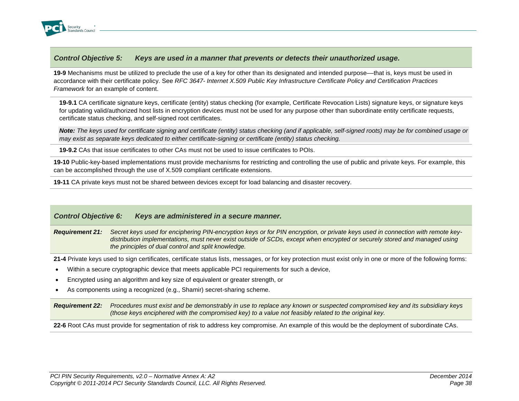

**19-9** Mechanisms must be utilized to preclude the use of a key for other than its designated and intended purpose––that is, keys must be used in accordance with their certificate policy. See *RFC 3647- Internet X.509 Public Key Infrastructure Certificate Policy and Certification Practices Framework* for an example of content.

**19-9.1** CA certificate signature keys, certificate (entity) status checking (for example, Certificate Revocation Lists) signature keys, or signature keys for updating valid/authorized host lists in encryption devices must not be used for any purpose other than subordinate entity certificate requests, certificate status checking, and self-signed root certificates.

*Note: The keys used for certificate signing and certificate (entity) status checking (and if applicable, self-signed roots) may be for combined usage or may exist as separate keys dedicated to either certificate-signing or certificate (entity) status checking.*

**19-9.2** CAs that issue certificates to other CAs must not be used to issue certificates to POIs.

**19-10** Public-key-based implementations must provide mechanisms for restricting and controlling the use of public and private keys. For example, this can be accomplished through the use of X.509 compliant certificate extensions.

**19-11** CA private keys must not be shared between devices except for load balancing and disaster recovery.

### *Control Objective 6: Keys are administered in a secure manner.*

*Requirement 21: Secret keys used for enciphering PIN-encryption keys or for PIN encryption, or private keys used in connection with remote keydistribution implementations, must never exist outside of SCDs, except when encrypted or securely stored and managed using the principles of dual control and split knowledge.*

**21-4** Private keys used to sign certificates, certificate status lists, messages, or for key protection must exist only in one or more of the following forms:

- Within a secure cryptographic device that meets applicable PCI requirements for such a device,
- Encrypted using an algorithm and key size of equivalent or greater strength, or
- As components using a recognized (e.g., Shamir) secret-sharing scheme.

*Requirement 22: Procedures must exist and be demonstrably in use to replace any known or suspected compromised key and its subsidiary keys (those keys enciphered with the compromised key) to a value not feasibly related to the original key.*

**22-6** Root CAs must provide for segmentation of risk to address key compromise. An example of this would be the deployment of subordinate CAs.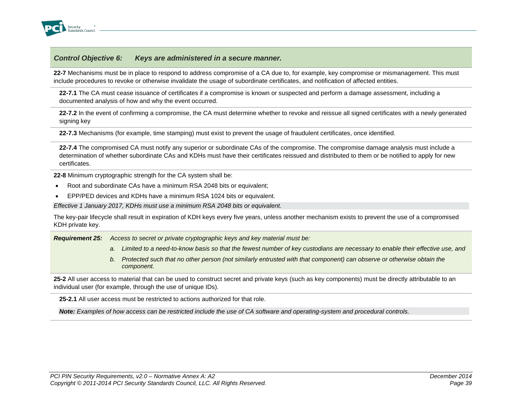

**22-7** Mechanisms must be in place to respond to address compromise of a CA due to, for example, key compromise or mismanagement. This must include procedures to revoke or otherwise invalidate the usage of subordinate certificates, and notification of affected entities.

**22-7.1** The CA must cease issuance of certificates if a compromise is known or suspected and perform a damage assessment, including a documented analysis of how and why the event occurred.

**22-7.2** In the event of confirming a compromise, the CA must determine whether to revoke and reissue all signed certificates with a newly generated signing key

**22-7.3** Mechanisms (for example, time stamping) must exist to prevent the usage of fraudulent certificates, once identified.

**22-7.4** The compromised CA must notify any superior or subordinate CAs of the compromise. The compromise damage analysis must include a determination of whether subordinate CAs and KDHs must have their certificates reissued and distributed to them or be notified to apply for new certificates.

**22-8** Minimum cryptographic strength for the CA system shall be:

- Root and subordinate CAs have a minimum RSA 2048 bits or equivalent;
- EPP/PED devices and KDHs have a minimum RSA 1024 bits or equivalent.

*Effective 1 January 2017, KDHs must use a minimum RSA 2048 bits or equivalent.*

The key-pair lifecycle shall result in expiration of KDH keys every five years, unless another mechanism exists to prevent the use of a compromised KDH private key.

*Requirement 25: Access to secret or private cryptographic keys and key material must be:*

- *a. Limited to a need-to-know basis so that the fewest number of key custodians are necessary to enable their effective use, and*
- *b. Protected such that no other person (not similarly entrusted with that component) can observe or otherwise obtain the component.*

25-2 All user access to material that can be used to construct secret and private keys (such as key components) must be directly attributable to an individual user (for example, through the use of unique IDs).

**25-2.1** All user access must be restricted to actions authorized for that role.

*Note: Examples of how access can be restricted include the use of CA software and operating-system and procedural controls.*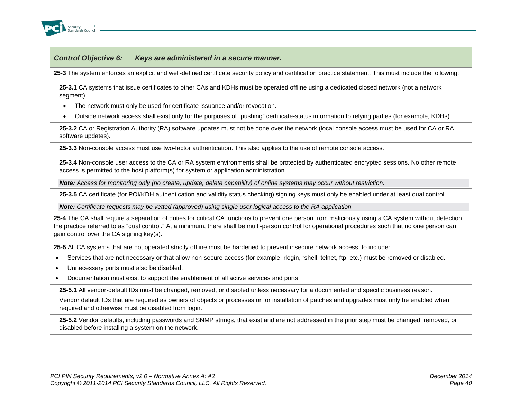

**25-3** The system enforces an explicit and well-defined certificate security policy and certification practice statement. This must include the following:

**25-3.1** CA systems that issue certificates to other CAs and KDHs must be operated offline using a dedicated closed network (not a network segment).

- The network must only be used for certificate issuance and/or revocation.
- Outside network access shall exist only for the purposes of "pushing" certificate-status information to relying parties (for example, KDHs).

**25-3.2** CA or Registration Authority (RA) software updates must not be done over the network (local console access must be used for CA or RA software updates).

**25-3.3** Non-console access must use two-factor authentication. This also applies to the use of remote console access.

**25-3.4** Non-console user access to the CA or RA system environments shall be protected by authenticated encrypted sessions. No other remote access is permitted to the host platform(s) for system or application administration.

*Note: Access for monitoring only (no create, update, delete capability) of online systems may occur without restriction.*

**25-3.5** CA certificate (for POI/KDH authentication and validity status checking) signing keys must only be enabled under at least dual control.

*Note: Certificate requests may be vetted (approved) using single user logical access to the RA application.*

**25-4** The CA shall require a separation of duties for critical CA functions to prevent one person from maliciously using a CA system without detection, the practice referred to as "dual control." At a minimum, there shall be multi-person control for operational procedures such that no one person can gain control over the CA signing key(s).

**25-5** All CA systems that are not operated strictly offline must be hardened to prevent insecure network access, to include:

- Services that are not necessary or that allow non-secure access (for example, rlogin, rshell, telnet, ftp, etc.) must be removed or disabled.
- Unnecessary ports must also be disabled.
- Documentation must exist to support the enablement of all active services and ports.

**25-5.1** All vendor-default IDs must be changed, removed, or disabled unless necessary for a documented and specific business reason.

Vendor default IDs that are required as owners of objects or processes or for installation of patches and upgrades must only be enabled when required and otherwise must be disabled from login.

**25-5.2** Vendor defaults, including passwords and SNMP strings, that exist and are not addressed in the prior step must be changed, removed, or disabled before installing a system on the network.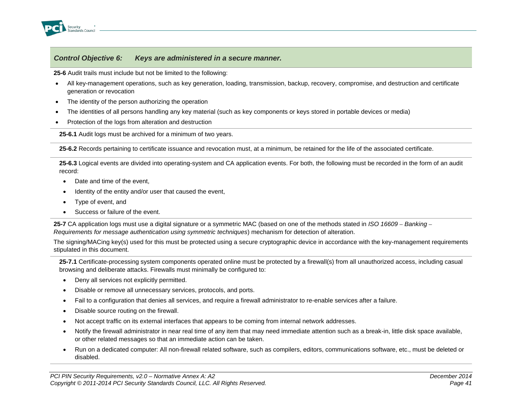

**25-6** Audit trails must include but not be limited to the following:

- All key-management operations, such as key generation, loading, transmission, backup, recovery, compromise, and destruction and certificate generation or revocation
- The identity of the person authorizing the operation
- The identities of all persons handling any key material (such as key components or keys stored in portable devices or media)
- Protection of the logs from alteration and destruction

**25-6.1** Audit logs must be archived for a minimum of two years.

**25-6.2** Records pertaining to certificate issuance and revocation must, at a minimum, be retained for the life of the associated certificate.

**25-6.3** Logical events are divided into operating-system and CA application events. For both, the following must be recorded in the form of an audit record:

- Date and time of the event,
- Identity of the entity and/or user that caused the event,
- Type of event, and
- Success or failure of the event.

**25-7** CA application logs must use a digital signature or a symmetric MAC (based on one of the methods stated in *ISO 16609 – Banking – Requirements for message authentication using symmetric techniques*) mechanism for detection of alteration.

The signing/MACing key(s) used for this must be protected using a secure cryptographic device in accordance with the key-management requirements stipulated in this document.

**25-7.1** Certificate-processing system components operated online must be protected by a firewall(s) from all unauthorized access, including casual browsing and deliberate attacks. Firewalls must minimally be configured to:

- Deny all services not explicitly permitted.
- Disable or remove all unnecessary services, protocols, and ports.
- Fail to a configuration that denies all services, and require a firewall administrator to re-enable services after a failure.
- Disable source routing on the firewall.
- Not accept traffic on its external interfaces that appears to be coming from internal network addresses.
- Notify the firewall administrator in near real time of any item that may need immediate attention such as a break-in, little disk space available, or other related messages so that an immediate action can be taken.
- Run on a dedicated computer: All non-firewall related software, such as compilers, editors, communications software, etc., must be deleted or disabled.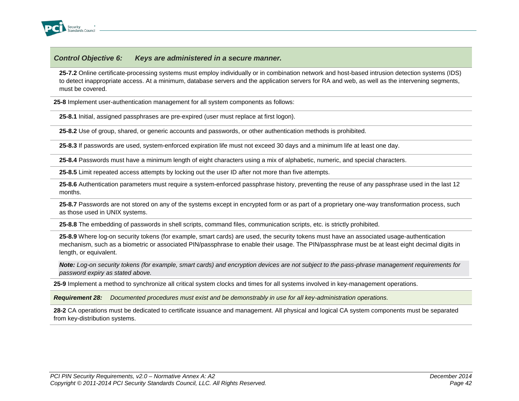

**25-7.2** Online certificate-processing systems must employ individually or in combination network and host-based intrusion detection systems (IDS) to detect inappropriate access. At a minimum, database servers and the application servers for RA and web, as well as the intervening segments, must be covered.

**25-8** Implement user-authentication management for all system components as follows:

**25-8.1** Initial, assigned passphrases are pre-expired (user must replace at first logon).

**25-8.2** Use of group, shared, or generic accounts and passwords, or other authentication methods is prohibited.

**25-8.3** If passwords are used, system-enforced expiration life must not exceed 30 days and a minimum life at least one day.

**25-8.4** Passwords must have a minimum length of eight characters using a mix of alphabetic, numeric, and special characters.

**25-8.5** Limit repeated access attempts by locking out the user ID after not more than five attempts.

**25-8.6** Authentication parameters must require a system-enforced passphrase history, preventing the reuse of any passphrase used in the last 12 months.

**25-8.7** Passwords are not stored on any of the systems except in encrypted form or as part of a proprietary one-way transformation process, such as those used in UNIX systems.

**25-8.8** The embedding of passwords in shell scripts, command files, communication scripts, etc. is strictly prohibited.

**25-8.9** Where log-on security tokens (for example, smart cards) are used, the security tokens must have an associated usage-authentication mechanism, such as a biometric or associated PIN/passphrase to enable their usage. The PIN/passphrase must be at least eight decimal digits in length, or equivalent.

*Note: Log-on security tokens (for example, smart cards) and encryption devices are not subject to the pass-phrase management requirements for password expiry as stated above.*

**25-9** Implement a method to synchronize all critical system clocks and times for all systems involved in key-management operations.

*Requirement 28: Documented procedures must exist and be demonstrably in use for all key-administration operations.*

**28-2** CA operations must be dedicated to certificate issuance and management. All physical and logical CA system components must be separated from key-distribution systems.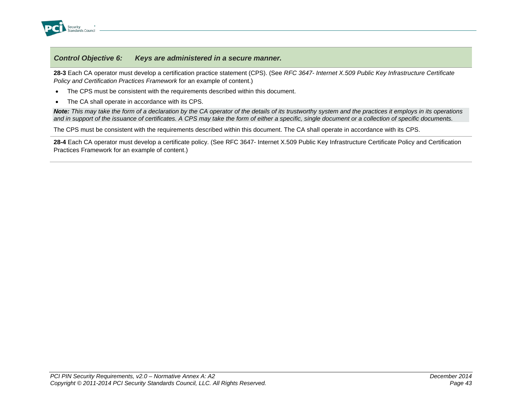

**28-3** Each CA operator must develop a certification practice statement (CPS). (See *RFC 3647- Internet X.509 Public Key Infrastructure Certificate Policy and Certification Practices Framework* for an example of content.)

- The CPS must be consistent with the requirements described within this document.
- The CA shall operate in accordance with its CPS.

*Note: This may take the form of a declaration by the CA operator of the details of its trustworthy system and the practices it employs in its operations and in support of the issuance of certificates. A CPS may take the form of either a specific, single document or a collection of specific documents.*

The CPS must be consistent with the requirements described within this document. The CA shall operate in accordance with its CPS.

**28-4** Each CA operator must develop a certificate policy. (See RFC 3647- Internet X.509 Public Key Infrastructure Certificate Policy and Certification Practices Framework for an example of content.)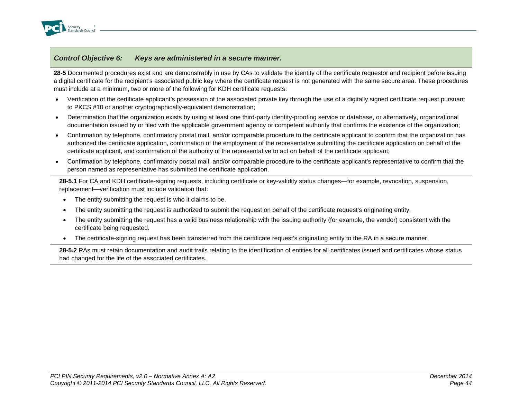

**28-5** Documented procedures exist and are demonstrably in use by CAs to validate the identity of the certificate requestor and recipient before issuing a digital certificate for the recipient's associated public key where the certificate request is not generated with the same secure area. These procedures must include at a minimum, two or more of the following for KDH certificate requests:

- Verification of the certificate applicant's possession of the associated private key through the use of a digitally signed certificate request pursuant to PKCS #10 or another cryptographically-equivalent demonstration;
- Determination that the organization exists by using at least one third-party identity-proofing service or database, or alternatively, organizational documentation issued by or filed with the applicable government agency or competent authority that confirms the existence of the organization;
- Confirmation by telephone, confirmatory postal mail, and/or comparable procedure to the certificate applicant to confirm that the organization has authorized the certificate application, confirmation of the employment of the representative submitting the certificate application on behalf of the certificate applicant, and confirmation of the authority of the representative to act on behalf of the certificate applicant;
- Confirmation by telephone, confirmatory postal mail, and/or comparable procedure to the certificate applicant's representative to confirm that the person named as representative has submitted the certificate application.

**28-5.1** For CA and KDH certificate-signing requests, including certificate or key-validity status changes—for example, revocation, suspension, replacement—verification must include validation that:

- The entity submitting the request is who it claims to be.
- The entity submitting the request is authorized to submit the request on behalf of the certificate request's originating entity.
- The entity submitting the request has a valid business relationship with the issuing authority (for example, the vendor) consistent with the certificate being requested.
- The certificate-signing request has been transferred from the certificate request's originating entity to the RA in a secure manner.

28-5.2 RAs must retain documentation and audit trails relating to the identification of entities for all certificates issued and certificates whose status had changed for the life of the associated certificates.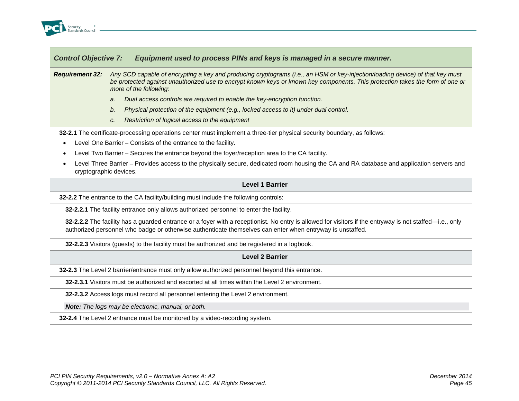

### *Requirement 32: Any SCD capable of encrypting a key and producing cryptograms (i.e., an HSM or key-injection/loading device) of that key must be protected against unauthorized use to encrypt known keys or known key components. This protection takes the form of one or more of the following:*

- *a. Dual access controls are required to enable the key-encryption function.*
- *b. Physical protection of the equipment (e.g., locked access to it) under dual control.*
- *c. Restriction of logical access to the equipment*

**32-2.1** The certificate-processing operations center must implement a three-tier physical security boundary, as follows:

- Level One Barrier Consists of the entrance to the facility.
- Level Two Barrier Secures the entrance beyond the foyer/reception area to the CA facility.
- Level Three Barrier Provides access to the physically secure, dedicated room housing the CA and RA database and application servers and cryptographic devices.

#### **Level 1 Barrier**

**32-2.2** The entrance to the CA facility/building must include the following controls:

**32-2.2.1** The facility entrance only allows authorized personnel to enter the facility.

**32-2.2.2** The facility has a guarded entrance or a foyer with a receptionist. No entry is allowed for visitors if the entryway is not staffed—i.e., only authorized personnel who badge or otherwise authenticate themselves can enter when entryway is unstaffed.

**32-2.2.3** Visitors (guests) to the facility must be authorized and be registered in a logbook.

### **Level 2 Barrier**

**32-2.3** The Level 2 barrier/entrance must only allow authorized personnel beyond this entrance.

**32-2.3.1** Visitors must be authorized and escorted at all times within the Level 2 environment.

**32-2.3.2** Access logs must record all personnel entering the Level 2 environment.

*Note: The logs may be electronic, manual, or both.*

**32-2.4** The Level 2 entrance must be monitored by a video-recording system.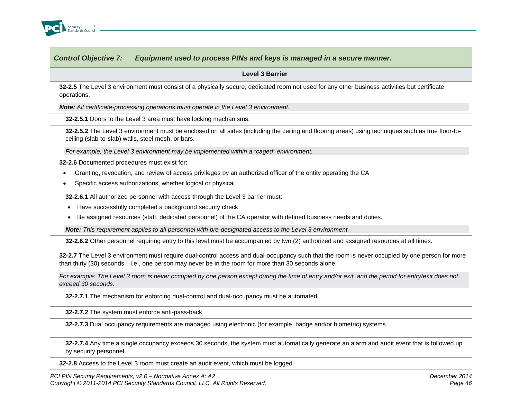

**Level 3 Barrier**

**32-2.5** The Level 3 environment must consist of a physically secure, dedicated room not used for any other business activities but certificate operations.

*Note: All certificate-processing operations must operate in the Level 3 environment.*

**32-2.5.1** Doors to the Level 3 area must have locking mechanisms.

**32-2.5.2** The Level 3 environment must be enclosed on all sides (including the ceiling and flooring areas) using techniques such as true floor-toceiling (slab-to-slab) walls, steel mesh, or bars.

*For example, the Level 3 environment may be implemented within a "caged" environment.*

**32-2.6** Documented procedures must exist for:

- Granting, revocation, and review of access privileges by an authorized officer of the entity operating the CA
- Specific access authorizations, whether logical or physical

**32-2.6.1** All authorized personnel with access through the Level 3 barrier must:

- Have successfully completed a background security check.
- Be assigned resources (staff, dedicated personnel) of the CA operator with defined business needs and duties.

*Note: This requirement applies to all personnel with pre-designated access to the Level 3 environment.*

**32-2.6.2** Other personnel requiring entry to this level must be accompanied by two (2) authorized and assigned resources at all times.

**32-2.7** The Level 3 environment must require dual-control access and dual-occupancy such that the room is never occupied by one person for more than thirty (30) seconds—i.e., one person may never be in the room for more than 30 seconds alone.

*For example: The Level 3 room is never occupied by one person except during the time of entry and/or exit, and the period for entry/exit does not exceed 30 seconds.*

**32-2.7.1** The mechanism for enforcing dual-control and dual-occupancy must be automated.

**32-2.7.2** The system must enforce anti-pass-back.

**32-2.7.3** Dual occupancy requirements are managed using electronic (for example, badge and/or biometric) systems.

**32-2.7.4** Any time a single occupancy exceeds 30 seconds, the system must automatically generate an alarm and audit event that is followed up by security personnel.

**32-2.8** Access to the Level 3 room must create an audit event, which must be logged.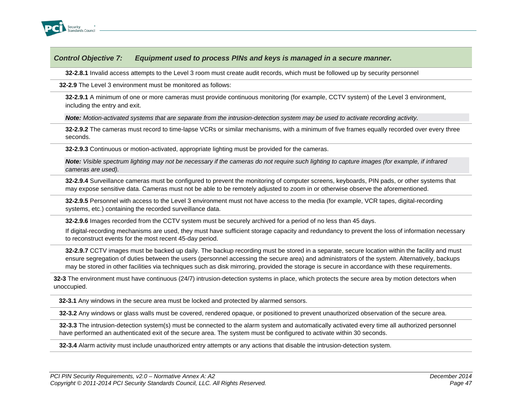

**32-2.8.1** Invalid access attempts to the Level 3 room must create audit records, which must be followed up by security personnel

**32-2.9** The Level 3 environment must be monitored as follows:

**32-2.9.1** A minimum of one or more cameras must provide continuous monitoring (for example, CCTV system) of the Level 3 environment, including the entry and exit.

*Note: Motion-activated systems that are separate from the intrusion-detection system may be used to activate recording activity.*

**32-2.9.2** The cameras must record to time-lapse VCRs or similar mechanisms, with a minimum of five frames equally recorded over every three seconds.

**32-2.9.3** Continuous or motion-activated, appropriate lighting must be provided for the cameras.

*Note: Visible spectrum lighting may not be necessary if the cameras do not require such lighting to capture images (for example, if infrared cameras are used).*

**32-2.9.4** Surveillance cameras must be configured to prevent the monitoring of computer screens, keyboards, PIN pads, or other systems that may expose sensitive data. Cameras must not be able to be remotely adjusted to zoom in or otherwise observe the aforementioned.

**32-2.9.5** Personnel with access to the Level 3 environment must not have access to the media (for example, VCR tapes, digital-recording systems, etc.) containing the recorded surveillance data.

**32-2.9.6** Images recorded from the CCTV system must be securely archived for a period of no less than 45 days.

If digital-recording mechanisms are used, they must have sufficient storage capacity and redundancy to prevent the loss of information necessary to reconstruct events for the most recent 45-day period.

**32-2.9.7** CCTV images must be backed up daily. The backup recording must be stored in a separate, secure location within the facility and must ensure segregation of duties between the users (personnel accessing the secure area) and administrators of the system. Alternatively, backups may be stored in other facilities via techniques such as disk mirroring, provided the storage is secure in accordance with these requirements.

**32-3** The environment must have continuous (24/7) intrusion-detection systems in place, which protects the secure area by motion detectors when unoccupied.

**32-3.1** Any windows in the secure area must be locked and protected by alarmed sensors.

**32-3.2** Any windows or glass walls must be covered, rendered opaque, or positioned to prevent unauthorized observation of the secure area.

**32-3.3** The intrusion-detection system(s) must be connected to the alarm system and automatically activated every time all authorized personnel have performed an authenticated exit of the secure area. The system must be configured to activate within 30 seconds.

**32-3.4** Alarm activity must include unauthorized entry attempts or any actions that disable the intrusion-detection system.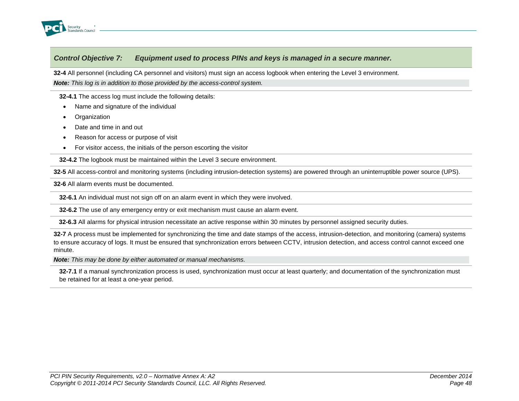

**32-4** All personnel (including CA personnel and visitors) must sign an access logbook when entering the Level 3 environment.

*Note: This log is in addition to those provided by the access-control system.*

**32-4.1** The access log must include the following details:

- Name and signature of the individual
- **Organization**
- Date and time in and out
- Reason for access or purpose of visit
- For visitor access, the initials of the person escorting the visitor

**32-4.2** The logbook must be maintained within the Level 3 secure environment.

**32-5** All access-control and monitoring systems (including intrusion-detection systems) are powered through an uninterruptible power source (UPS).

**32-6** All alarm events must be documented.

**32-6.1** An individual must not sign off on an alarm event in which they were involved.

**32-6.2** The use of any emergency entry or exit mechanism must cause an alarm event.

**32-6.3** All alarms for physical intrusion necessitate an active response within 30 minutes by personnel assigned security duties.

**32-7** A process must be implemented for synchronizing the time and date stamps of the access, intrusion-detection, and monitoring (camera) systems to ensure accuracy of logs. It must be ensured that synchronization errors between CCTV, intrusion detection, and access control cannot exceed one minute.

*Note: This may be done by either automated or manual mechanisms.* 

**32-7.1** If a manual synchronization process is used, synchronization must occur at least quarterly; and documentation of the synchronization must be retained for at least a one-year period.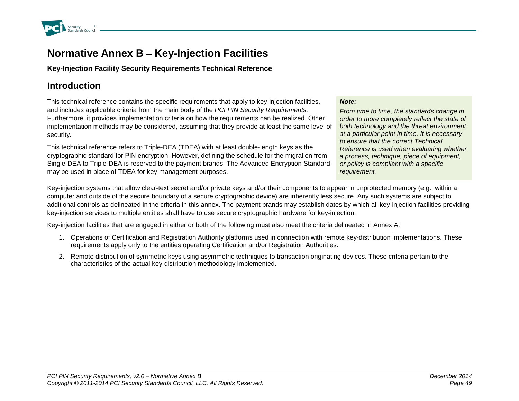

# **Normative Annex B – Key-Injection Facilities**

# **Key-Injection Facility Security Requirements Technical Reference**

# **Introduction**

This technical reference contains the specific requirements that apply to key-injection facilities, and includes applicable criteria from the main body of the *PCI PIN Security Requirements.* Furthermore, it provides implementation criteria on how the requirements can be realized. Other implementation methods may be considered, assuming that they provide at least the same level of security.

This technical reference refers to Triple-DEA (TDEA) with at least double-length keys as the cryptographic standard for PIN encryption. However, defining the schedule for the migration from Single-DEA to Triple-DEA is reserved to the payment brands. The Advanced Encryption Standard may be used in place of TDEA for key-management purposes.

### *Note:*

*From time to time, the standards change in order to more completely reflect the state of both technology and the threat environment at a particular point in time. It is necessary to ensure that the correct Technical Reference is used when evaluating whether a process, technique, piece of equipment, or policy is compliant with a specific requirement.*

Key-injection systems that allow clear-text secret and/or private keys and/or their components to appear in unprotected memory (e.g., within a computer and outside of the secure boundary of a secure cryptographic device) are inherently less secure. Any such systems are subject to additional controls as delineated in the criteria in this annex. The payment brands may establish dates by which all key-injection facilities providing key-injection services to multiple entities shall have to use secure cryptographic hardware for key-injection.

Key-injection facilities that are engaged in either or both of the following must also meet the criteria delineated in Annex A:

- 1. Operations of Certification and Registration Authority platforms used in connection with remote key-distribution implementations. These requirements apply only to the entities operating Certification and/or Registration Authorities.
- 2. Remote distribution of symmetric keys using asymmetric techniques to transaction originating devices. These criteria pertain to the characteristics of the actual key-distribution methodology implemented.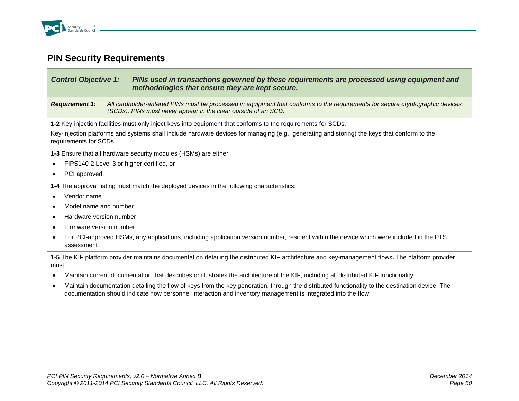

# **PIN Security Requirements**

| <b>Control Objective 1:</b>                                                                                   | PINs used in transactions governed by these requirements are processed using equipment and<br>methodologies that ensure they are kept secure.                                                   |  |
|---------------------------------------------------------------------------------------------------------------|-------------------------------------------------------------------------------------------------------------------------------------------------------------------------------------------------|--|
| <b>Requirement 1:</b>                                                                                         | All cardholder-entered PINs must be processed in equipment that conforms to the requirements for secure cryptographic devices<br>(SCDs). PINs must never appear in the clear outside of an SCD. |  |
| 1-2 Key-injection facilities must only inject keys into equipment that conforms to the requirements for SCDs. |                                                                                                                                                                                                 |  |

Key-injection platforms and systems shall include hardware devices for managing (e.g., generating and storing) the keys that conform to the requirements for SCDs.

**1-3** Ensure that all hardware security modules (HSMs) are either:

- FIPS140-2 Level 3 or higher certified, or
- PCI approved.

**1-4** The approval listing must match the deployed devices in the following characteristics:

- Vendor name
- Model name and number
- Hardware version number
- Firmware version number
- For PCI-approved HSMs, any applications, including application version number, resident within the device which were included in the PTS assessment

**1-5** The KIF platform provider maintains documentation detailing the distributed KIF architecture and key-management flows**.** The platform provider must:

- Maintain current documentation that describes or illustrates the architecture of the KIF, including all distributed KIF functionality.
- Maintain documentation detailing the flow of keys from the key generation, through the distributed functionality to the destination device. The documentation should indicate how personnel interaction and inventory management is integrated into the flow.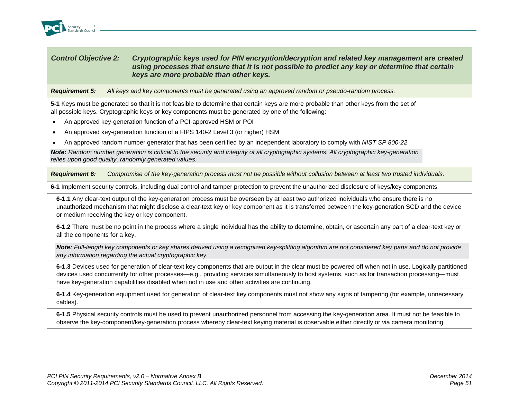

## *Control Objective 2: Cryptographic keys used for PIN encryption/decryption and related key management are created using processes that ensure that it is not possible to predict any key or determine that certain keys are more probable than other keys.*

*Requirement 5: All keys and key components must be generated using an approved random or pseudo-random process.*

**5-1** Keys must be generated so that it is not feasible to determine that certain keys are more probable than other keys from the set of all possible keys. Cryptographic keys or key components must be generated by one of the following:

- An approved key-generation function of a PCI-approved HSM or POI
- An approved key-generation function of a FIPS 140-2 Level 3 (or higher) HSM
- An approved random number generator that has been certified by an independent laboratory to comply with *NIST SP 800-22*

*Note: Random number generation is critical to the security and integrity of all cryptographic systems. All cryptographic key-generation relies upon good quality, randomly generated values.*

*Requirement 6: Compromise of the key-generation process must not be possible without collusion between at least two trusted individuals.*

**6-1** Implement security controls, including dual control and tamper protection to prevent the unauthorized disclosure of keys/key components.

**6-1.1** Any clear-text output of the key-generation process must be overseen by at least two authorized individuals who ensure there is no unauthorized mechanism that might disclose a clear-text key or key component as it is transferred between the key-generation SCD and the device or medium receiving the key or key component.

**6-1.2** There must be no point in the process where a single individual has the ability to determine, obtain, or ascertain any part of a clear-text key or all the components for a key.

*Note: Full-length key components or key shares derived using a recognized key-splitting algorithm are not considered key parts and do not provide any information regarding the actual cryptographic key.*

**6-1.3** Devices used for generation of clear-text key components that are output in the clear must be powered off when not in use. Logically partitioned devices used concurrently for other processes—e.g., providing services simultaneously to host systems, such as for transaction processing—must have key-generation capabilities disabled when not in use and other activities are continuing.

**6-1.4** Key-generation equipment used for generation of clear-text key components must not show any signs of tampering (for example, unnecessary cables).

**6-1.5** Physical security controls must be used to prevent unauthorized personnel from accessing the key-generation area. It must not be feasible to observe the key-component/key-generation process whereby clear-text keying material is observable either directly or via camera monitoring.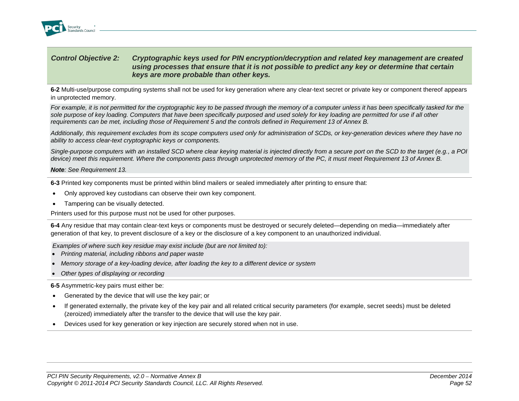

### *Control Objective 2: Cryptographic keys used for PIN encryption/decryption and related key management are created using processes that ensure that it is not possible to predict any key or determine that certain keys are more probable than other keys.*

**6-2** Multi-use/purpose computing systems shall not be used for key generation where any clear-text secret or private key or component thereof appears in unprotected memory.

*For example, it is not permitted for the cryptographic key to be passed through the memory of a computer unless it has been specifically tasked for the sole purpose of key loading. Computers that have been specifically purposed and used solely for key loading are permitted for use if all other requirements can be met, including those of Requirement 5 and the controls defined in Requirement 13 of Annex B.*

*Additionally, this requirement excludes from its scope computers used only for administration of SCDs, or key-generation devices where they have no ability to access clear-text cryptographic keys or components.* 

*Single-purpose computers with an installed SCD where clear keying material is injected directly from a secure port on the SCD to the target (e.g., a POI device) meet this requirement. Where the components pass through unprotected memory of the PC, it must meet Requirement 13 of Annex B.*

*Note: See Requirement 13.*

**6-3** Printed key components must be printed within blind mailers or sealed immediately after printing to ensure that:

- Only approved key custodians can observe their own key component.
- Tampering can be visually detected.

Printers used for this purpose must not be used for other purposes.

**6-4** Any residue that may contain clear-text keys or components must be destroyed or securely deleted—depending on media—immediately after generation of that key, to prevent disclosure of a key or the disclosure of a key component to an unauthorized individual.

*Examples of where such key residue may exist include (but are not limited to):*

- *Printing material, including ribbons and paper waste*
- *Memory storage of a key-loading device, after loading the key to a different device or system*
- *Other types of displaying or recording*

**6-5** Asymmetric-key pairs must either be:

- Generated by the device that will use the key pair; or
- If generated externally, the private key of the key pair and all related critical security parameters (for example, secret seeds) must be deleted (zeroized) immediately after the transfer to the device that will use the key pair.
- Devices used for key generation or key injection are securely stored when not in use.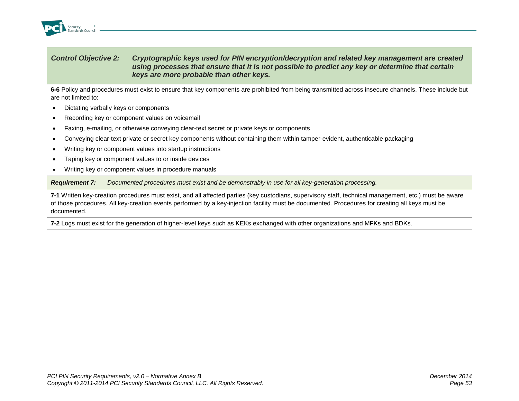

### *Control Objective 2: Cryptographic keys used for PIN encryption/decryption and related key management are created using processes that ensure that it is not possible to predict any key or determine that certain keys are more probable than other keys.*

**6-6** Policy and procedures must exist to ensure that key components are prohibited from being transmitted across insecure channels. These include but are not limited to:

- Dictating verbally keys or components
- Recording key or component values on voicemail
- Faxing, e-mailing, or otherwise conveying clear-text secret or private keys or components
- Conveying clear-text private or secret key components without containing them within tamper-evident, authenticable packaging
- Writing key or component values into startup instructions
- Taping key or component values to or inside devices
- Writing key or component values in procedure manuals

*Requirement 7: Documented procedures must exist and be demonstrably in use for all key-generation processing.*

**7-1** Written key-creation procedures must exist, and all affected parties (key custodians, supervisory staff, technical management, etc.) must be aware of those procedures. All key-creation events performed by a key-injection facility must be documented. Procedures for creating all keys must be documented.

**7-2** Logs must exist for the generation of higher-level keys such as KEKs exchanged with other organizations and MFKs and BDKs.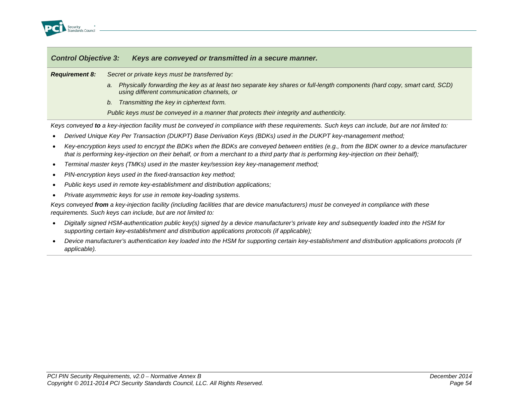

| <b>Control Objective 3:</b> | Keys are conveyed or transmitted in a secure manner.                                                                                                                         |  |
|-----------------------------|------------------------------------------------------------------------------------------------------------------------------------------------------------------------------|--|
| <b>Requirement 8:</b>       | Secret or private keys must be transferred by:                                                                                                                               |  |
|                             | Physically forwarding the key as at least two separate key shares or full-length components (hard copy, smart card, SCD)<br>a.<br>using different communication channels, or |  |
|                             | Transmitting the key in ciphertext form.<br>b.                                                                                                                               |  |
|                             | Public keys must be conveyed in a manner that protects their integrity and authenticity.                                                                                     |  |

*Keys conveyed to a key-injection facility must be conveyed in compliance with these requirements. Such keys can include, but are not limited to:*

- *Derived Unique Key Per Transaction (DUKPT) Base Derivation Keys (BDKs) used in the DUKPT key-management method;*
- *Key-encryption keys used to encrypt the BDKs when the BDKs are conveyed between entities (e.g., from the BDK owner to a device manufacturer that is performing key-injection on their behalf, or from a merchant to a third party that is performing key-injection on their behalf);*
- *Terminal master keys (TMKs) used in the master key/session key key-management method;*
- *PIN-encryption keys used in the fixed-transaction key method;*
- *Public keys used in remote key-establishment and distribution applications;*
- *Private asymmetric keys for use in remote key-loading systems.*

*Keys conveyed from a key-injection facility (including facilities that are device manufacturers) must be conveyed in compliance with these requirements. Such keys can include, but are not limited to:*

- *Digitally signed HSM-authentication public key(s) signed by a device manufacturer's private key and subsequently loaded into the HSM for supporting certain key-establishment and distribution applications protocols (if applicable);*
- *Device manufacturer's authentication key loaded into the HSM for supporting certain key-establishment and distribution applications protocols (if applicable).*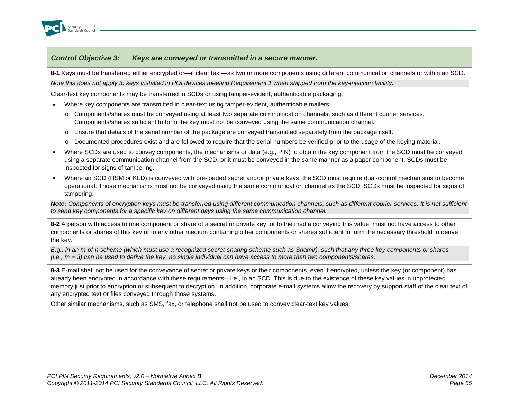

### *Control Objective 3: Keys are conveyed or transmitted in a secure manner.*

**8-1** Keys must be transferred either encrypted or—if clear text—as two or more components using different communication channels or within an SCD. *Note this does not apply to keys installed in POI devices meeting Requirement 1 when shipped from the key-injection facility.*

Clear-text key components may be transferred in SCDs or using tamper-evident, authenticable packaging.

- Where key components are transmitted in clear-text using tamper-evident, authenticable mailers:
	- o Components/shares must be conveyed using at least two separate communication channels, such as different courier services. Components/shares sufficient to form the key must not be conveyed using the same communication channel.
	- $\circ$  Ensure that details of the serial number of the package are conveyed transmitted separately from the package itself.
	- o Documented procedures exist and are followed to require that the serial numbers be verified prior to the usage of the keying material.
- Where SCDs are used to convey components, the mechanisms or data (e.g., PIN) to obtain the key component from the SCD must be conveyed using a separate communication channel from the SCD, or it must be conveyed in the same manner as a paper component. SCDs must be inspected for signs of tampering.
- Where an SCD (HSM or KLD) is conveyed with pre-loaded secret and/or private keys, the SCD must require dual-control mechanisms to become operational. Those mechanisms must not be conveyed using the same communication channel as the SCD. SCDs must be inspected for signs of tampering.

*Note: Components of encryption keys must be transferred using different communication channels, such as different courier services. It is not sufficient to send key components for a specific key on different days using the same communication channel.*

**8-2** A person with access to one component or share of a secret or private key, or to the media conveying this value, must not have access to other components or shares of this key or to any other medium containing other components or shares sufficient to form the necessary threshold to derive the key.

*E.g., in an m-of-n scheme (which must use a recognized secret-sharing scheme such as Shamir), such that any three key components or shares (i.e., m = 3) can be used to derive the key, no single individual can have access to more than two components/shares.*

**8-3** E-mail shall not be used for the conveyance of secret or private keys or their components, even if encrypted, unless the key (or component) has already been encrypted in accordance with these requirements—i.e., in an SCD. This is due to the existence of these key values in unprotected memory just prior to encryption or subsequent to decryption. In addition, corporate e-mail systems allow the recovery by support staff of the clear text of any encrypted text or files conveyed through those systems.

Other similar mechanisms, such as SMS, fax, or telephone shall not be used to convey clear-text key values.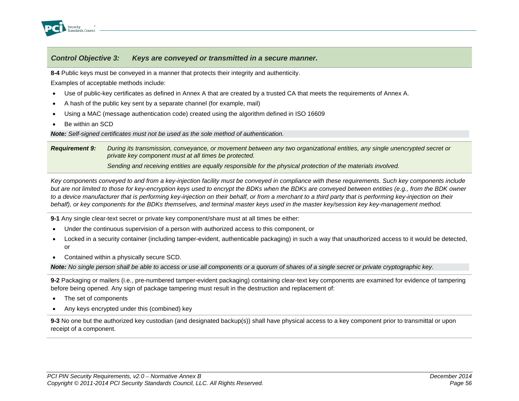

### *Control Objective 3: Keys are conveyed or transmitted in a secure manner.*

**8-4** Public keys must be conveyed in a manner that protects their integrity and authenticity.

Examples of acceptable methods include:

- Use of public-key certificates as defined in Annex A that are created by a trusted CA that meets the requirements of Annex A.
- A hash of the public key sent by a separate channel (for example, mail)
- Using a MAC (message authentication code) created using the algorithm defined in ISO 16609
- Be within an SCD

*Note: Self-signed certificates must not be used as the sole method of authentication.*

*Requirement 9: During its transmission, conveyance, or movement between any two organizational entities, any single unencrypted secret or private key component must at all times be protected.* 

*Sending and receiving entities are equally responsible for the physical protection of the materials involved.*

*Key components conveyed to and from a key-injection facility must be conveyed in compliance with these requirements. Such key components include*  but are not limited to those for key-encryption keys used to encrypt the BDKs when the BDKs are conveyed between entities (e.g., from the BDK owner *to a device manufacturer that is performing key-injection on their behalf, or from a merchant to a third party that is performing key-injection on their behalf), or key components for the BDKs themselves, and terminal master keys used in the master key/session key key-management method.*

**9-1** Any single clear-text secret or private key component/share must at all times be either:

- Under the continuous supervision of a person with authorized access to this component, or
- Locked in a security container (including tamper-evident, authenticable packaging) in such a way that unauthorized access to it would be detected, or
- Contained within a physically secure SCD.

*Note: No single person shall be able to access or use all components or a quorum of shares of a single secret or private cryptographic key.*

**9-2** Packaging or mailers (i.e., pre-numbered tamper-evident packaging) containing clear-text key components are examined for evidence of tampering before being opened. Any sign of package tampering must result in the destruction and replacement of:

- The set of components
- Any keys encrypted under this (combined) key

**9-3** No one but the authorized key custodian (and designated backup(s)) shall have physical access to a key component prior to transmittal or upon receipt of a component.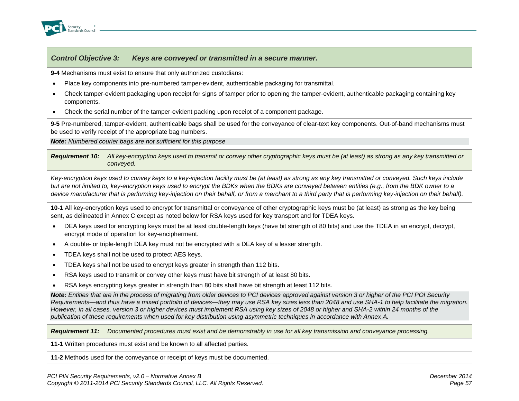

### *Control Objective 3: Keys are conveyed or transmitted in a secure manner.*

**9-4** Mechanisms must exist to ensure that only authorized custodians:

- Place key components into pre-numbered tamper-evident, authenticable packaging for transmittal.
- Check tamper-evident packaging upon receipt for signs of tamper prior to opening the tamper-evident, authenticable packaging containing key components.
- Check the serial number of the tamper-evident packing upon receipt of a component package.

**9-5** Pre-numbered, tamper-evident, authenticable bags shall be used for the conveyance of clear-text key components. Out-of-band mechanisms must be used to verify receipt of the appropriate bag numbers.

*Note: Numbered courier bags are not sufficient for this purpose*

*Requirement 10: All key-encryption keys used to transmit or convey other cryptographic keys must be (at least) as strong as any key transmitted or conveyed.*

*Key-encryption keys used to convey keys to a key-injection facility must be (at least) as strong as any key transmitted or conveyed. Such keys include but are not limited to, key-encryption keys used to encrypt the BDKs when the BDKs are conveyed between entities (e.g., from the BDK owner to a device manufacturer that is performing key-injection on their behalf, or from a merchant to a third party that is performing key-injection on their behalf).*

**10-1** All key-encryption keys used to encrypt for transmittal or conveyance of other cryptographic keys must be (at least) as strong as the key being sent, as delineated in Annex C except as noted below for RSA keys used for key transport and for TDEA keys.

- DEA keys used for encrypting keys must be at least double-length keys (have bit strength of 80 bits) and use the TDEA in an encrypt, decrypt, encrypt mode of operation for key-encipherment.
- A double- or triple-length DEA key must not be encrypted with a DEA key of a lesser strength.
- TDEA keys shall not be used to protect AES keys.
- TDEA keys shall not be used to encrypt keys greater in strength than 112 bits.
- RSA keys used to transmit or convey other keys must have bit strength of at least 80 bits.
- RSA keys encrypting keys greater in strength than 80 bits shall have bit strength at least 112 bits.

*Note: Entities that are in the process of migrating from older devices to PCI devices approved against version 3 or higher of the PCI POI Security Requirements—and thus have a mixed portfolio of devices—they may use RSA key sizes less than 2048 and use SHA-1 to help facilitate the migration. However, in all cases, version 3 or higher devices must implement RSA using key sizes of 2048 or higher and SHA-2 within 24 months of the publication of these requirements when used for key distribution using asymmetric techniques in accordance with Annex A.*

*Requirement 11: Documented procedures must exist and be demonstrably in use for all key transmission and conveyance processing.*

**11-1** Written procedures must exist and be known to all affected parties.

**11-2** Methods used for the conveyance or receipt of keys must be documented.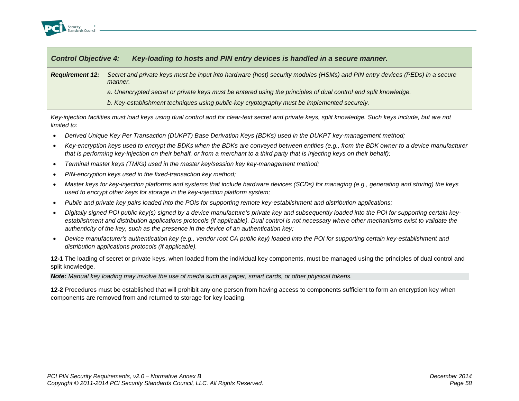

| <b>Control Objective 4:</b> | Key-loading to hosts and PIN entry devices is handled in a secure manner.                                                              |
|-----------------------------|----------------------------------------------------------------------------------------------------------------------------------------|
| <b>Requirement 12:</b>      | Secret and private keys must be input into hardware (host) security modules (HSMs) and PIN entry devices (PEDs) in a secure<br>manner. |
|                             | a. Unencrypted secret or private keys must be entered using the principles of dual control and split knowledge.                        |
|                             | b. Key-establishment techniques using public-key cryptography must be implemented securely.                                            |

*Key-injection facilities must load keys using dual control and for clear-text secret and private keys, split knowledge. Such keys include, but are not limited to:*

- *Derived Unique Key Per Transaction (DUKPT) Base Derivation Keys (BDKs) used in the DUKPT key-management method;*
- *Key-encryption keys used to encrypt the BDKs when the BDKs are conveyed between entities (e.g., from the BDK owner to a device manufacturer that is performing key-injection on their behalf, or from a merchant to a third party that is injecting keys on their behalf);*
- *Terminal master keys (TMKs) used in the master key/session key key-management method;*
- *PIN-encryption keys used in the fixed-transaction key method;*
- *Master keys for key-injection platforms and systems that include hardware devices (SCDs) for managing (e.g., generating and storing) the keys used to encrypt other keys for storage in the key-injection platform system;*
- *Public and private key pairs loaded into the POIs for supporting remote key-establishment and distribution applications;*
- *Digitally signed POI public key(s) signed by a device manufacture's private key and subsequently loaded into the POI for supporting certain keyestablishment and distribution applications protocols (if applicable). Dual control is not necessary where other mechanisms exist to validate the authenticity of the key, such as the presence in the device of an authentication key;*
- *Device manufacturer's authentication key (e.g., vendor root CA public key) loaded into the POI for supporting certain key-establishment and distribution applications protocols (if applicable).*

**12-1** The loading of secret or private keys, when loaded from the individual key components, must be managed using the principles of dual control and split knowledge.

*Note: Manual key loading may involve the use of media such as paper, smart cards, or other physical tokens.*

**12-2** Procedures must be established that will prohibit any one person from having access to components sufficient to form an encryption key when components are removed from and returned to storage for key loading.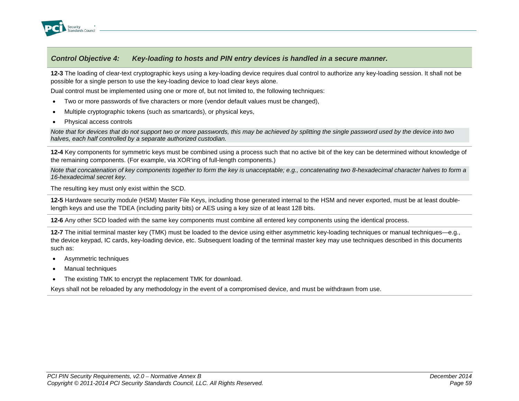

**12-3** The loading of clear-text cryptographic keys using a key-loading device requires dual control to authorize any key-loading session. It shall not be possible for a single person to use the key-loading device to load clear keys alone.

Dual control must be implemented using one or more of, but not limited to, the following techniques:

- Two or more passwords of five characters or more (vendor default values must be changed),
- Multiple cryptographic tokens (such as smartcards), or physical keys,
- Physical access controls

*Note that for devices that do not support two or more passwords, this may be achieved by splitting the single password used by the device into two halves, each half controlled by a separate authorized custodian.*

**12-4** Key components for symmetric keys must be combined using a process such that no active bit of the key can be determined without knowledge of the remaining components. (For example, via XOR'ing of full-length components.)

*Note that concatenation of key components together to form the key is unacceptable; e.g., concatenating two 8-hexadecimal character halves to form a 16-hexadecimal secret key.* 

The resulting key must only exist within the SCD.

**12-5** Hardware security module (HSM) Master File Keys, including those generated internal to the HSM and never exported, must be at least doublelength keys and use the TDEA (including parity bits) or AES using a key size of at least 128 bits.

**12-6** Any other SCD loaded with the same key components must combine all entered key components using the identical process.

**12-7** The initial terminal master key (TMK) must be loaded to the device using either asymmetric key-loading techniques or manual techniques—e.g., the device keypad, IC cards, key-loading device, etc. Subsequent loading of the terminal master key may use techniques described in this documents such as:

- Asymmetric techniques
- Manual techniques
- The existing TMK to encrypt the replacement TMK for download.

Keys shall not be reloaded by any methodology in the event of a compromised device, and must be withdrawn from use.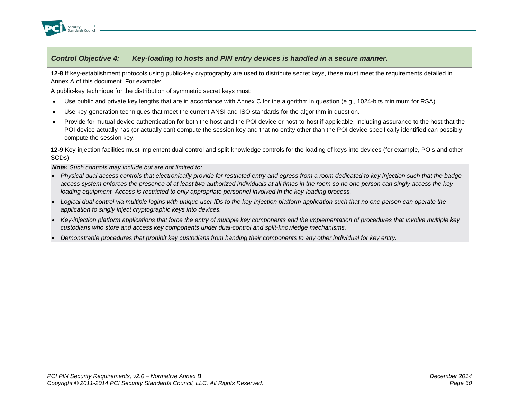

**12-8** If key-establishment protocols using public-key cryptography are used to distribute secret keys, these must meet the requirements detailed in Annex A of this document. For example:

A public-key technique for the distribution of symmetric secret keys must:

- Use public and private key lengths that are in accordance with Annex C for the algorithm in question (e.g., 1024-bits minimum for RSA).
- Use key-generation techniques that meet the current ANSI and ISO standards for the algorithm in question.
- Provide for mutual device authentication for both the host and the POI device or host-to-host if applicable, including assurance to the host that the POI device actually has (or actually can) compute the session key and that no entity other than the POI device specifically identified can possibly compute the session key.

**12-9** Key-injection facilities must implement dual control and split-knowledge controls for the loading of keys into devices (for example, POIs and other SCDs).

*Note: Such controls may include but are not limited to:*

- *Physical dual access controls that electronically provide for restricted entry and egress from a room dedicated to key injection such that the badgeaccess system enforces the presence of at least two authorized individuals at all times in the room so no one person can singly access the keyloading equipment. Access is restricted to only appropriate personnel involved in the key-loading process.*
- *Logical dual control via multiple logins with unique user IDs to the key-injection platform application such that no one person can operate the application to singly inject cryptographic keys into devices.*
- *Key-injection platform applications that force the entry of multiple key components and the implementation of procedures that involve multiple key custodians who store and access key components under dual-control and split-knowledge mechanisms.*
- *Demonstrable procedures that prohibit key custodians from handing their components to any other individual for key entry.*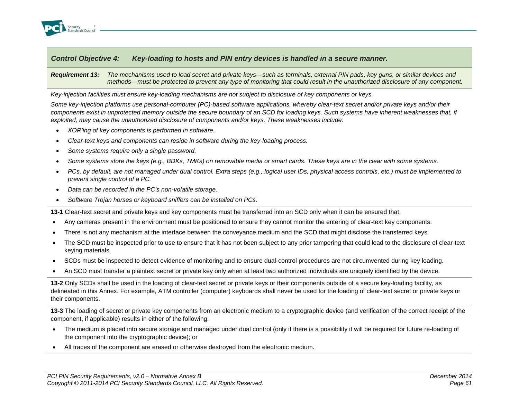

*Requirement 13: The mechanisms used to load secret and private keys—such as terminals, external PIN pads, key guns, or similar devices and methods—must be protected to prevent any type of monitoring that could result in the unauthorized disclosure of any component.*

*Key-injection facilities must ensure key-loading mechanisms are not subject to disclosure of key components or keys.* 

*Some key-injection platforms use personal-computer (PC)-based software applications, whereby clear-text secret and/or private keys and/or their*  components exist in unprotected memory outside the secure boundary of an SCD for loading keys. Such systems have inherent weaknesses that, if *exploited, may cause the unauthorized disclosure of components and/or keys. These weaknesses include:*

- *XOR'ing of key components is performed in software.*
- *Clear-text keys and components can reside in software during the key-loading process.*
- *Some systems require only a single password.*
- *Some systems store the keys (e.g., BDKs, TMKs) on removable media or smart cards. These keys are in the clear with some systems.*
- *PCs, by default, are not managed under dual control. Extra steps (e.g., logical user IDs, physical access controls, etc.) must be implemented to prevent single control of a PC.*
- *Data can be recorded in the PC's non-volatile storage.*
- *Software Trojan horses or keyboard sniffers can be installed on PCs.*

**13-1** Clear-text secret and private keys and key components must be transferred into an SCD only when it can be ensured that:

- Any cameras present in the environment must be positioned to ensure they cannot monitor the entering of clear-text key components.
- There is not any mechanism at the interface between the conveyance medium and the SCD that might disclose the transferred keys.
- The SCD must be inspected prior to use to ensure that it has not been subject to any prior tampering that could lead to the disclosure of clear-text keying materials.
- SCDs must be inspected to detect evidence of monitoring and to ensure dual-control procedures are not circumvented during key loading.
- An SCD must transfer a plaintext secret or private key only when at least two authorized individuals are uniquely identified by the device.

**13-2** Only SCDs shall be used in the loading of clear-text secret or private keys or their components outside of a secure key-loading facility, as delineated in this Annex. For example, ATM controller (computer) keyboards shall never be used for the loading of clear-text secret or private keys or their components.

**13-3** The loading of secret or private key components from an electronic medium to a cryptographic device (and verification of the correct receipt of the component, if applicable) results in either of the following:

- The medium is placed into secure storage and managed under dual control (only if there is a possibility it will be required for future re-loading of the component into the cryptographic device); or
- All traces of the component are erased or otherwise destroyed from the electronic medium.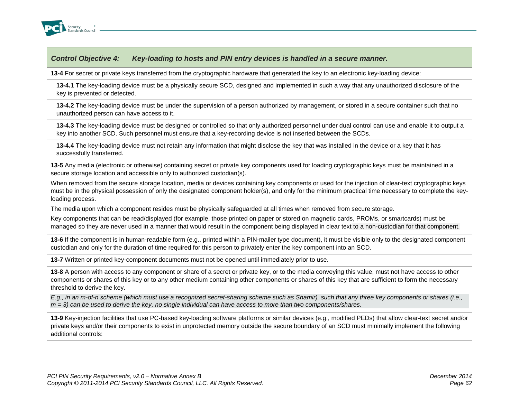

**13-4** For secret or private keys transferred from the cryptographic hardware that generated the key to an electronic key-loading device:

**13-4.1** The key-loading device must be a physically secure SCD, designed and implemented in such a way that any unauthorized disclosure of the key is prevented or detected.

**13-4.2** The key-loading device must be under the supervision of a person authorized by management, or stored in a secure container such that no unauthorized person can have access to it.

**13-4.3** The key-loading device must be designed or controlled so that only authorized personnel under dual control can use and enable it to output a key into another SCD. Such personnel must ensure that a key-recording device is not inserted between the SCDs.

**13-4.4** The key-loading device must not retain any information that might disclose the key that was installed in the device or a key that it has successfully transferred.

**13-5** Any media (electronic or otherwise) containing secret or private key components used for loading cryptographic keys must be maintained in a secure storage location and accessible only to authorized custodian(s).

When removed from the secure storage location, media or devices containing key components or used for the injection of clear-text cryptographic keys must be in the physical possession of only the designated component holder(s), and only for the minimum practical time necessary to complete the keyloading process.

The media upon which a component resides must be physically safeguarded at all times when removed from secure storage.

Key components that can be read/displayed (for example, those printed on paper or stored on magnetic cards, PROMs, or smartcards) must be managed so they are never used in a manner that would result in the component being displayed in clear text to a non-custodian for that component.

**13-6** If the component is in human-readable form (e.g., printed within a PIN-mailer type document), it must be visible only to the designated component custodian and only for the duration of time required for this person to privately enter the key component into an SCD.

**13-7** Written or printed key-component documents must not be opened until immediately prior to use.

**13-8** A person with access to any component or share of a secret or private key, or to the media conveying this value, must not have access to other components or shares of this key or to any other medium containing other components or shares of this key that are sufficient to form the necessary threshold to derive the key.

*E.g., in an m-of-n scheme (which must use a recognized secret-sharing scheme such as Shamir), such that any three key components or shares (i.e., m = 3) can be used to derive the key, no single individual can have access to more than two components/shares.*

**13-9** Key-injection facilities that use PC-based key-loading software platforms or similar devices (e.g., modified PEDs) that allow clear-text secret and/or private keys and/or their components to exist in unprotected memory outside the secure boundary of an SCD must minimally implement the following additional controls: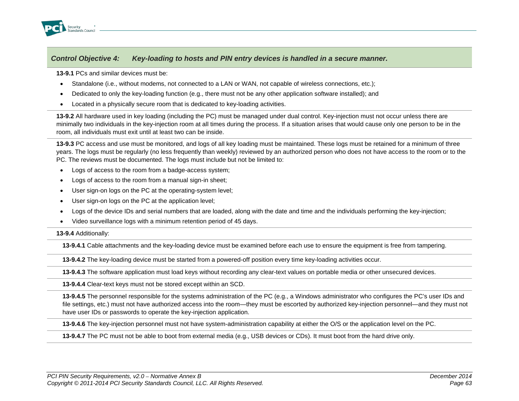

**13-9.1** PCs and similar devices must be:

- Standalone (i.e., without modems, not connected to a LAN or WAN, not capable of wireless connections, etc.);
- Dedicated to only the key-loading function (e.g., there must not be any other application software installed); and
- Located in a physically secure room that is dedicated to key-loading activities.

**13-9.2** All hardware used in key loading (including the PC) must be managed under dual control. Key-injection must not occur unless there are minimally two individuals in the key-injection room at all times during the process. If a situation arises that would cause only one person to be in the room, all individuals must exit until at least two can be inside.

**13-9.3** PC access and use must be monitored, and logs of all key loading must be maintained. These logs must be retained for a minimum of three years. The logs must be regularly (no less frequently than weekly) reviewed by an authorized person who does not have access to the room or to the PC. The reviews must be documented. The logs must include but not be limited to:

- Logs of access to the room from a badge-access system;
- Logs of access to the room from a manual sign-in sheet;
- User sign-on logs on the PC at the operating-system level;
- User sign-on logs on the PC at the application level;
- Logs of the device IDs and serial numbers that are loaded, along with the date and time and the individuals performing the key-injection;
- Video surveillance logs with a minimum retention period of 45 days.

**13-9.4** Additionally:

**13-9.4.1** Cable attachments and the key-loading device must be examined before each use to ensure the equipment is free from tampering.

**13-9.4.2** The key-loading device must be started from a powered-off position every time key-loading activities occur.

**13-9.4.3** The software application must load keys without recording any clear-text values on portable media or other unsecured devices.

**13-9.4.4** Clear-text keys must not be stored except within an SCD.

**13-9.4.5** The personnel responsible for the systems administration of the PC (e.g., a Windows administrator who configures the PC's user IDs and file settings, etc.) must not have authorized access into the room—they must be escorted by authorized key-injection personnel—and they must not have user IDs or passwords to operate the key-injection application.

**13-9.4.6** The key-injection personnel must not have system-administration capability at either the O/S or the application level on the PC.

**13-9.4.7** The PC must not be able to boot from external media (e.g., USB devices or CDs). It must boot from the hard drive only.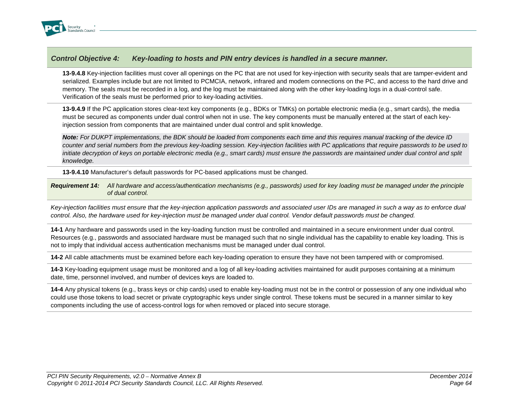

**13-9.4.8** Key-injection facilities must cover all openings on the PC that are not used for key-injection with security seals that are tamper-evident and serialized. Examples include but are not limited to PCMCIA, network, infrared and modem connections on the PC, and access to the hard drive and memory. The seals must be recorded in a log, and the log must be maintained along with the other key-loading logs in a dual-control safe. Verification of the seals must be performed prior to key-loading activities.

**13-9.4.9** If the PC application stores clear-text key components (e.g., BDKs or TMKs) on portable electronic media (e.g., smart cards), the media must be secured as components under dual control when not in use. The key components must be manually entered at the start of each keyinjection session from components that are maintained under dual control and split knowledge.

*Note: For DUKPT implementations, the BDK should be loaded from components each time and this requires manual tracking of the device ID counter and serial numbers from the previous key-loading session. Key-injection facilities with PC applications that require passwords to be used to initiate decryption of keys on portable electronic media (e.g., smart cards) must ensure the passwords are maintained under dual control and split knowledge.* 

**13-9.4.10** Manufacturer's default passwords for PC-based applications must be changed.

*Requirement 14: All hardware and access/authentication mechanisms (e.g., passwords) used for key loading must be managed under the principle of dual control.*

*Key-injection facilities must ensure that the key-injection application passwords and associated user IDs are managed in such a way as to enforce dual control. Also, the hardware used for key-injection must be managed under dual control. Vendor default passwords must be changed.*

**14-1** Any hardware and passwords used in the key-loading function must be controlled and maintained in a secure environment under dual control. Resources (e.g., passwords and associated hardware must be managed such that no single individual has the capability to enable key loading. This is not to imply that individual access authentication mechanisms must be managed under dual control.

**14-2** All cable attachments must be examined before each key-loading operation to ensure they have not been tampered with or compromised.

**14-3** Key-loading equipment usage must be monitored and a log of all key-loading activities maintained for audit purposes containing at a minimum date, time, personnel involved, and number of devices keys are loaded to.

**14-4** Any physical tokens (e.g., brass keys or chip cards) used to enable key-loading must not be in the control or possession of any one individual who could use those tokens to load secret or private cryptographic keys under single control. These tokens must be secured in a manner similar to key components including the use of access-control logs for when removed or placed into secure storage.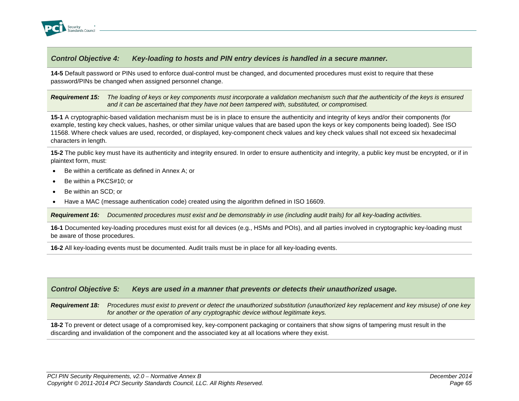

**14-5** Default password or PINs used to enforce dual-control must be changed, and documented procedures must exist to require that these password/PINs be changed when assigned personnel change.

### *Requirement 15: The loading of keys or key components must incorporate a validation mechanism such that the authenticity of the keys is ensured and it can be ascertained that they have not been tampered with, substituted, or compromised.*

**15-1** A cryptographic-based validation mechanism must be is in place to ensure the authenticity and integrity of keys and/or their components (for example, testing key check values, hashes, or other similar unique values that are based upon the keys or key components being loaded). See ISO 11568. Where check values are used, recorded, or displayed, key-component check values and key check values shall not exceed six hexadecimal characters in length.

**15-2** The public key must have its authenticity and integrity ensured. In order to ensure authenticity and integrity, a public key must be encrypted, or if in plaintext form, must:

- Be within a certificate as defined in Annex A; or
- Be within a PKCS#10; or
- Be within an SCD; or
- Have a MAC (message authentication code) created using the algorithm defined in ISO 16609.

*Requirement 16: Documented procedures must exist and be demonstrably in use (including audit trails) for all key-loading activities.*

**16-1** Documented key-loading procedures must exist for all devices (e.g., HSMs and POIs), and all parties involved in cryptographic key-loading must be aware of those procedures.

**16-2** All key-loading events must be documented. Audit trails must be in place for all key-loading events.

## *Control Objective 5: Keys are used in a manner that prevents or detects their unauthorized usage.*

*Requirement 18: Procedures must exist to prevent or detect the unauthorized substitution (unauthorized key replacement and key misuse) of one key for another or the operation of any cryptographic device without legitimate keys.*

**18-2** To prevent or detect usage of a compromised key, key-component packaging or containers that show signs of tampering must result in the discarding and invalidation of the component and the associated key at all locations where they exist.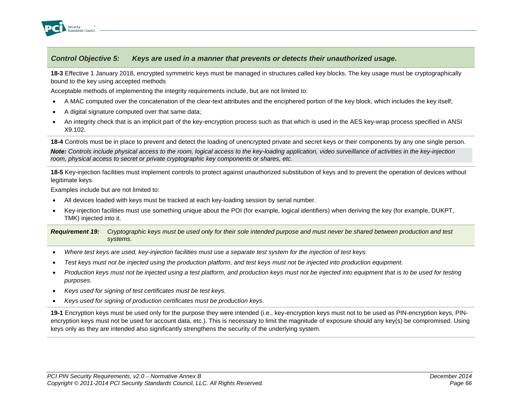

**18-3** Effective 1 January 2018, encrypted symmetric keys must be managed in structures called key blocks. The key usage must be cryptographically bound to the key using accepted methods

Acceptable methods of implementing the integrity requirements include, but are not limited to:

- A MAC computed over the concatenation of the clear-text attributes and the enciphered portion of the key block, which includes the key itself;
- A digital signature computed over that same data;
- An integrity check that is an implicit part of the key-encryption process such as that which is used in the AES key-wrap process specified in ANSI X9.102.

**18-4** Controls must be in place to prevent and detect the loading of unencrypted private and secret keys or their components by any one single person.

*Note: Controls include physical access to the room, logical access to the key-loading application, video surveillance of activities in the key-injection room, physical access to secret or private cryptographic key components or shares, etc.*

**18-5** Key-injection facilities must implement controls to protect against unauthorized substitution of keys and to prevent the operation of devices without legitimate keys.

Examples include but are not limited to:

- All devices loaded with keys must be tracked at each key-loading session by serial number.
- Key-injection facilities must use something unique about the POI (for example, logical identifiers) when deriving the key (for example, DUKPT, TMK) injected into it.

*Requirement 19: Cryptographic keys must be used only for their sole intended purpose and must never be shared between production and test systems.*

- *Where test keys are used, key-injection facilities must use a separate test system for the injection of test keys.*
- *Test keys must not be injected using the production platform, and test keys must not be injected into production equipment.*
- *Production keys must not be injected using a test platform, and production keys must not be injected into equipment that is to be used for testing purposes.*
- *Keys used for signing of test certificates must be test keys.*
- *Keys used for signing of production certificates must be production keys.*

**19-1** Encryption keys must be used only for the purpose they were intended (i.e., key-encryption keys must not to be used as PIN-encryption keys, PINencryption keys must not be used for account data, etc.). This is necessary to limit the magnitude of exposure should any key(s) be compromised. Using keys only as they are intended also significantly strengthens the security of the underlying system.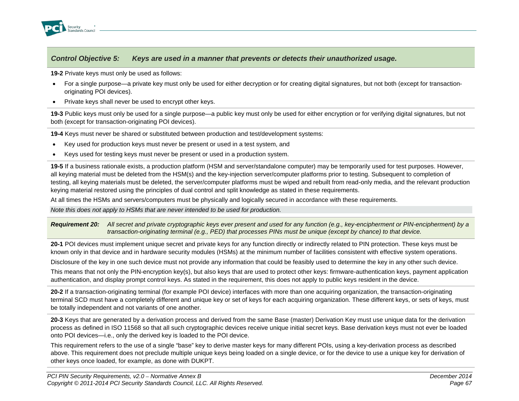

**19-2** Private keys must only be used as follows:

- For a single purpose—a private key must only be used for either decryption or for creating digital signatures, but not both (except for transactionoriginating POI devices).
- Private keys shall never be used to encrypt other keys.

**19-3** Public keys must only be used for a single purpose—a public key must only be used for either encryption or for verifying digital signatures, but not both (except for transaction-originating POI devices).

**19-4** Keys must never be shared or substituted between production and test/development systems:

- Key used for production keys must never be present or used in a test system, and
- Keys used for testing keys must never be present or used in a production system.

**19-5** If a business rationale exists, a production platform (HSM and server/standalone computer) may be temporarily used for test purposes. However, all keying material must be deleted from the HSM(s) and the key-injection server/computer platforms prior to testing. Subsequent to completion of testing, all keying materials must be deleted, the server/computer platforms must be wiped and rebuilt from read-only media, and the relevant production keying material restored using the principles of dual control and split knowledge as stated in these requirements.

At all times the HSMs and servers/computers must be physically and logically secured in accordance with these requirements.

*Note this does not apply to HSMs that are never intended to be used for production.*

*Requirement 20: All secret and private cryptographic keys ever present and used for any function (e.g., key-encipherment or PIN-encipherment) by a transaction-originating terminal (e.g., PED) that processes PINs must be unique (except by chance) to that device.*

**20-1** POI devices must implement unique secret and private keys for any function directly or indirectly related to PIN protection. These keys must be known only in that device and in hardware security modules (HSMs) at the minimum number of facilities consistent with effective system operations.

Disclosure of the key in one such device must not provide any information that could be feasibly used to determine the key in any other such device.

This means that not only the PIN-encryption key(s), but also keys that are used to protect other keys: firmware-authentication keys, payment application authentication, and display prompt control keys. As stated in the requirement, this does not apply to public keys resident in the device.

**20-2** If a transaction-originating terminal (for example POI device) interfaces with more than one acquiring organization, the transaction-originating terminal SCD must have a completely different and unique key or set of keys for each acquiring organization. These different keys, or sets of keys, must be totally independent and not variants of one another.

**20-3** Keys that are generated by a derivation process and derived from the same Base (master) Derivation Key must use unique data for the derivation process as defined in ISO 11568 so that all such cryptographic devices receive unique initial secret keys. Base derivation keys must not ever be loaded onto POI devices—i.e., only the derived key is loaded to the POI device.

This requirement refers to the use of a single "base" key to derive master keys for many different POIs, using a key-derivation process as described above. This requirement does not preclude multiple unique keys being loaded on a single device, or for the device to use a unique key for derivation of other keys once loaded, for example, as done with DUKPT.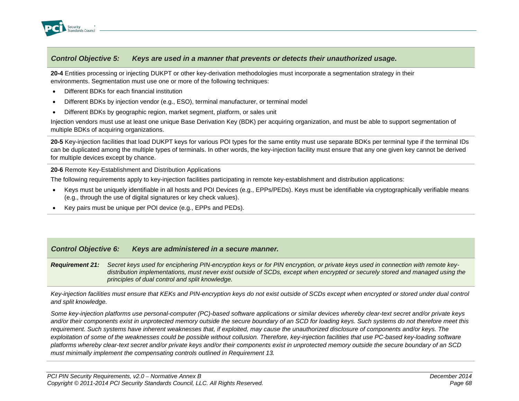

**20-4** Entities processing or injecting DUKPT or other key-derivation methodologies must incorporate a segmentation strategy in their environments. Segmentation must use one or more of the following techniques:

- Different BDKs for each financial institution
- Different BDKs by injection vendor (e.g., ESO), terminal manufacturer, or terminal model
- Different BDKs by geographic region, market segment, platform, or sales unit

Injection vendors must use at least one unique Base Derivation Key (BDK) per acquiring organization, and must be able to support segmentation of multiple BDKs of acquiring organizations.

**20-5** Key-injection facilities that load DUKPT keys for various POI types for the same entity must use separate BDKs per terminal type if the terminal IDs can be duplicated among the multiple types of terminals. In other words, the key-injection facility must ensure that any one given key cannot be derived for multiple devices except by chance.

**20-6** Remote Key-Establishment and Distribution Applications

The following requirements apply to key-injection facilities participating in remote key-establishment and distribution applications:

- Keys must be uniquely identifiable in all hosts and POI Devices (e.g., EPPs/PEDs). Keys must be identifiable via cryptographically verifiable means (e.g., through the use of digital signatures or key check values).
- Key pairs must be unique per POI device (e.g., EPPs and PEDs).

### *Control Objective 6: Keys are administered in a secure manner.*

*Requirement 21: Secret keys used for enciphering PIN-encryption keys or for PIN encryption, or private keys used in connection with remote keydistribution implementations, must never exist outside of SCDs, except when encrypted or securely stored and managed using the principles of dual control and split knowledge.*

*Key-injection facilities must ensure that KEKs and PIN-encryption keys do not exist outside of SCDs except when encrypted or stored under dual control and split knowledge.*

*Some key-injection platforms use personal-computer (PC)-based software applications or similar devices whereby clear-text secret and/or private keys and/or their components exist in unprotected memory outside the secure boundary of an SCD for loading keys. Such systems do not therefore meet this requirement. Such systems have inherent weaknesses that, if exploited, may cause the unauthorized disclosure of components and/or keys. The exploitation of some of the weaknesses could be possible without collusion. Therefore, key-injection facilities that use PC-based key-loading software platforms whereby clear-text secret and/or private keys and/or their components exist in unprotected memory outside the secure boundary of an SCD must minimally implement the compensating controls outlined in Requirement 13.*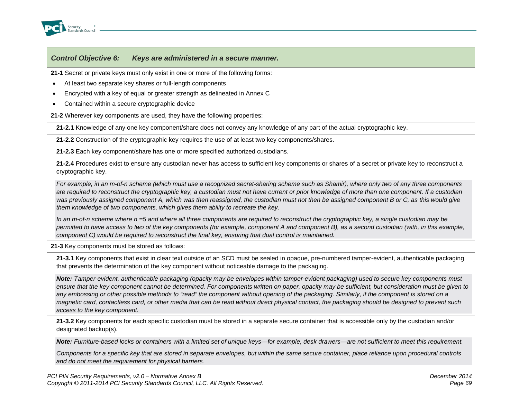

**21-1** Secret or private keys must only exist in one or more of the following forms:

- At least two separate key shares or full-length components
- Encrypted with a key of equal or greater strength as delineated in Annex C
- Contained within a secure cryptographic device

**21-2** Wherever key components are used, they have the following properties:

**21-2.1** Knowledge of any one key component/share does not convey any knowledge of any part of the actual cryptographic key.

**21-2.2** Construction of the cryptographic key requires the use of at least two key components/shares.

**21-2.3** Each key component/share has one or more specified authorized custodians.

**21-2.4** Procedures exist to ensure any custodian never has access to sufficient key components or shares of a secret or private key to reconstruct a cryptographic key.

*For example, in an m-of-n scheme (which must use a recognized secret-sharing scheme such as Shamir), where only two of any three components are required to reconstruct the cryptographic key, a custodian must not have current or prior knowledge of more than one component. If a custodian was previously assigned component A, which was then reassigned, the custodian must not then be assigned component B or C, as this would give them knowledge of two components, which gives them ability to recreate the key.*

*In an m-of-n scheme where n =5 and where all three components are required to reconstruct the cryptographic key, a single custodian may be permitted to have access to two of the key components (for example, component A and component B), as a second custodian (with, in this example, component C) would be required to reconstruct the final key, ensuring that dual control is maintained.*

**21-3** Key components must be stored as follows:

**21-3.1** Key components that exist in clear text outside of an SCD must be sealed in opaque, pre-numbered tamper-evident, authenticable packaging that prevents the determination of the key component without noticeable damage to the packaging.

*Note: Tamper-evident, authenticable packaging (opacity may be envelopes within tamper-evident packaging) used to secure key components must ensure that the key component cannot be determined. For components written on paper, opacity may be sufficient, but consideration must be given to any embossing or other possible methods to "read" the component without opening of the packaging. Similarly, if the component is stored on a magnetic card, contactless card, or other media that can be read without direct physical contact, the packaging should be designed to prevent such access to the key component.*

**21-3.2** Key components for each specific custodian must be stored in a separate secure container that is accessible only by the custodian and/or designated backup(s).

*Note: Furniture-based locks or containers with a limited set of unique keys—for example, desk drawers—are not sufficient to meet this requirement.*

*Components for a specific key that are stored in separate envelopes, but within the same secure container, place reliance upon procedural controls and do not meet the requirement for physical barriers.*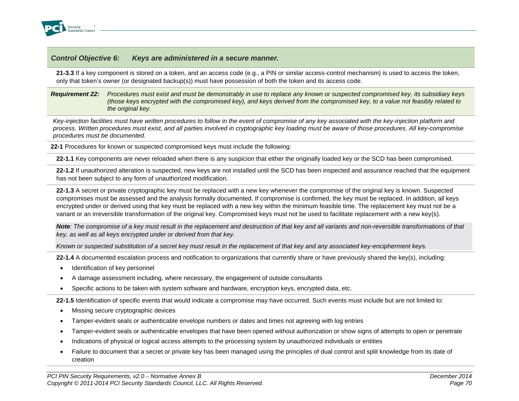

**21-3.3** If a key component is stored on a token, and an access code (e.g., a PIN or similar access-control mechanism) is used to access the token, only that token's owner (or designated backup(s)) must have possession of both the token and its access code.

*Requirement 22: Procedures must exist and must be demonstrably in use to replace any known or suspected compromised key, its subsidiary keys (those keys encrypted with the compromised key), and keys derived from the compromised key, to a value not feasibly related to the original key.*

*Key-injection facilities must have written procedures to follow in the event of compromise of any key associated with the key-injection platform and process. Written procedures must exist, and all parties involved in cryptographic key loading must be aware of those procedures. All key-compromise procedures must be documented.*

**22-1** Procedures for known or suspected compromised keys must include the following:

**22-1.1** Key components are never reloaded when there is any suspicion that either the originally loaded key or the SCD has been compromised.

**22-1.2** If unauthorized alteration is suspected, new keys are not installed until the SCD has been inspected and assurance reached that the equipment has not been subject to any form of unauthorized modification.

**22-1.3** A secret or private cryptographic key must be replaced with a new key whenever the compromise of the original key is known. Suspected compromises must be assessed and the analysis formally documented. If compromise is confirmed, the key must be replaced. In addition, all keys encrypted under or derived using that key must be replaced with a new key within the minimum feasible time. The replacement key must not be a variant or an irreversible transformation of the original key. Compromised keys must not be used to facilitate replacement with a new key(s).

*Note: The compromise of a key must result in the replacement and destruction of that key and all variants and non-reversible transformations of that key, as well as all keys encrypted under or derived from that key.* 

*Known or suspected substitution of a secret key must result in the replacement of that key and any associated key-encipherment keys.*

**22-1.4** A documented escalation process and notification to organizations that currently share or have previously shared the key(s), including:

- Identification of key personnel
- A damage assessment including, where necessary, the engagement of outside consultants
- Specific actions to be taken with system software and hardware, encryption keys, encrypted data, etc.

**22-1.5** Identification of specific events that would indicate a compromise may have occurred. Such events must include but are not limited to:

- Missing secure cryptographic devices
- Tamper-evident seals or authenticable envelope numbers or dates and times not agreeing with log entries
- Tamper-evident seals or authenticable envelopes that have been opened without authorization or show signs of attempts to open or penetrate
- Indications of physical or logical access attempts to the processing system by unauthorized individuals or entities
- Failure to document that a secret or private key has been managed using the principles of dual control and split knowledge from its date of creation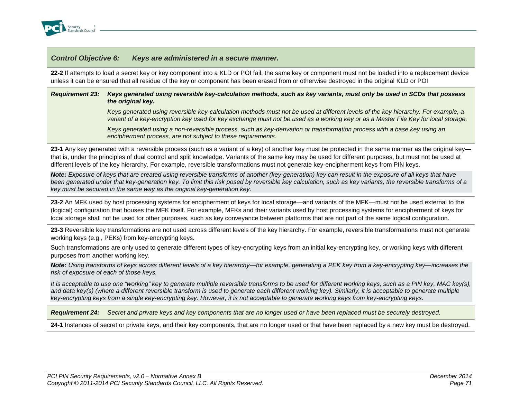

**22-2** If attempts to load a secret key or key component into a KLD or POI fail, the same key or component must not be loaded into a replacement device unless it can be ensured that all residue of the key or component has been erased from or otherwise destroyed in the original KLD or POI

#### *Requirement 23: Keys generated using reversible key-calculation methods, such as key variants, must only be used in SCDs that possess the original key.*

*Keys generated using reversible key-calculation methods must not be used at different levels of the key hierarchy. For example, a variant of a key-encryption key used for key exchange must not be used as a working key or as a Master File Key for local storage.*

*Keys generated using a non-reversible process, such as key-derivation or transformation process with a base key using an encipherment process, are not subject to these requirements.*

**23-1** Any key generated with a reversible process (such as a variant of a key) of another key must be protected in the same manner as the original key that is, under the principles of dual control and split knowledge. Variants of the same key may be used for different purposes, but must not be used at different levels of the key hierarchy. For example, reversible transformations must not generate key-encipherment keys from PIN keys.

*Note: Exposure of keys that are created using reversible transforms of another (key-generation) key can result in the exposure of all keys that have been generated under that key-generation key. To limit this risk posed by reversible key calculation, such as key variants, the reversible transforms of a key must be secured in the same way as the original key-generation key.*

**23-2** An MFK used by host processing systems for encipherment of keys for local storage—and variants of the MFK—must not be used external to the (logical) configuration that houses the MFK itself. For example, MFKs and their variants used by host processing systems for encipherment of keys for local storage shall not be used for other purposes, such as key conveyance between platforms that are not part of the same logical configuration.

**23-3** Reversible key transformations are not used across different levels of the key hierarchy. For example, reversible transformations must not generate working keys (e.g., PEKs) from key-encrypting keys.

Such transformations are only used to generate different types of key-encrypting keys from an initial key-encrypting key, or working keys with different purposes from another working key.

*Note: Using transforms of keys across different levels of a key hierarchy—for example, generating a PEK key from a key-encrypting key—increases the risk of exposure of each of those keys.* 

*It is acceptable to use one "working" key to generate multiple reversible transforms to be used for different working keys, such as a PIN key, MAC key(s),* and data key(s) (where a different reversible transform is used to generate each different working key). Similarly, it is acceptable to generate multiple *key-encrypting keys from a single key-encrypting key. However, it is not acceptable to generate working keys from key-encrypting keys.*

*Requirement 24: Secret and private keys and key components that are no longer used or have been replaced must be securely destroyed.*

**24-1** Instances of secret or private keys, and their key components, that are no longer used or that have been replaced by a new key must be destroyed.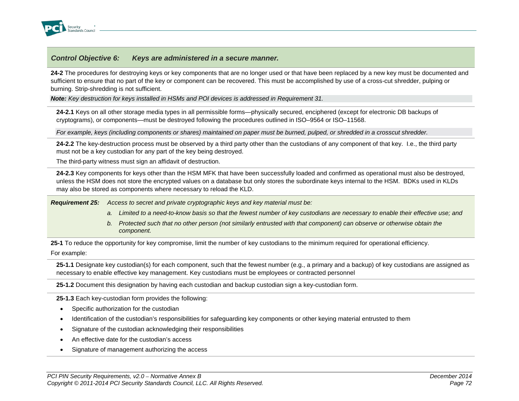

**24-2** The procedures for destroying keys or key components that are no longer used or that have been replaced by a new key must be documented and sufficient to ensure that no part of the key or component can be recovered. This must be accomplished by use of a cross-cut shredder, pulping or burning. Strip-shredding is not sufficient.

*Note: Key destruction for keys installed in HSMs and POI devices is addressed in Requirement 31.*

**24-2.1** Keys on all other storage media types in all permissible forms—physically secured, enciphered (except for electronic DB backups of cryptograms), or components—must be destroyed following the procedures outlined in ISO–9564 or ISO–11568.

*For example, keys (including components or shares) maintained on paper must be burned, pulped, or shredded in a crosscut shredder.*

**24-2.2** The key-destruction process must be observed by a third party other than the custodians of any component of that key. I.e., the third party must not be a key custodian for any part of the key being destroyed.

The third-party witness must sign an affidavit of destruction.

**24-2.3** Key components for keys other than the HSM MFK that have been successfully loaded and confirmed as operational must also be destroyed, unless the HSM does not store the encrypted values on a database but only stores the subordinate keys internal to the HSM. BDKs used in KLDs may also be stored as components where necessary to reload the KLD.

*Requirement 25: Access to secret and private cryptographic keys and key material must be:*

- *a. Limited to a need-to-know basis so that the fewest number of key custodians are necessary to enable their effective use; and*
- *b. Protected such that no other person (not similarly entrusted with that component) can observe or otherwise obtain the component.*

**25-1** To reduce the opportunity for key compromise, limit the number of key custodians to the minimum required for operational efficiency.

For example:

**25-1.1** Designate key custodian(s) for each component, such that the fewest number (e.g., a primary and a backup) of key custodians are assigned as necessary to enable effective key management. Key custodians must be employees or contracted personnel

**25-1.2** Document this designation by having each custodian and backup custodian sign a key-custodian form.

**25-1.3** Each key-custodian form provides the following:

- Specific authorization for the custodian
- Identification of the custodian's responsibilities for safeguarding key components or other keying material entrusted to them
- Signature of the custodian acknowledging their responsibilities
- An effective date for the custodian's access
- Signature of management authorizing the access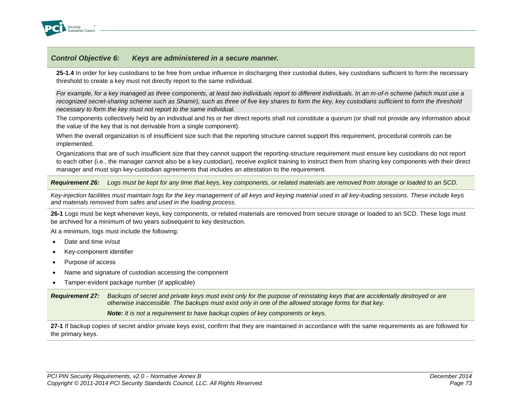

**25-1.4** In order for key custodians to be free from undue influence in discharging their custodial duties, key custodians sufficient to form the necessary threshold to create a key must not directly report to the same individual.

*For example, for a key managed as three components, at least two individuals report to different individuals. In an m-of-n scheme (which must use a recognized secret-sharing scheme such as Shamir), such as three of five key shares to form the key, key custodians sufficient to form the threshold necessary to form the key must not report to the same individual.*

The components collectively held by an individual and his or her direct reports shall not constitute a quorum (or shall not provide any information about the value of the key that is not derivable from a single component).

When the overall organization is of insufficient size such that the reporting structure cannot support this requirement, procedural controls can be implemented.

Organizations that are of such insufficient size that they cannot support the reporting-structure requirement must ensure key custodians do not report to each other (i.e., the manager cannot also be a key custodian), receive explicit training to instruct them from sharing key components with their direct manager and must sign key-custodian agreements that includes an attestation to the requirement.

*Requirement 26: Logs must be kept for any time that keys, key components, or related materials are removed from storage or loaded to an SCD.*

*Key-injection facilities must maintain logs for the key management of all keys and keying material used in all key-loading sessions. These include keys and materials removed from safes and used in the loading process.*

**26-1** Logs must be kept whenever keys, key components, or related materials are removed from secure storage or loaded to an SCD. These logs must be archived for a minimum of two years subsequent to key destruction.

At a minimum, logs must include the following:

- Date and time in/out
- Key-component identifier
- Purpose of access
- Name and signature of custodian accessing the component
- Tamper-evident package number (if applicable)

*Requirement 27: Backups of secret and private keys must exist only for the purpose of reinstating keys that are accidentally destroyed or are otherwise inaccessible. The backups must exist only in one of the allowed storage forms for that key.*

*Note: It is not a requirement to have backup copies of key components or keys.*

**27-1** If backup copies of secret and/or private keys exist, confirm that they are maintained in accordance with the same requirements as are followed for the primary keys.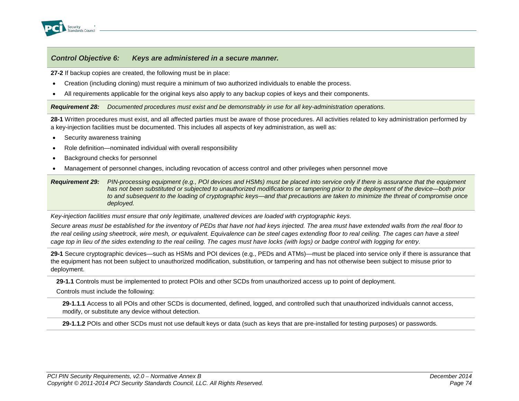

**27-2** If backup copies are created, the following must be in place:

- Creation (including cloning) must require a minimum of two authorized individuals to enable the process.
- All requirements applicable for the original keys also apply to any backup copies of keys and their components.

*Requirement 28: Documented procedures must exist and be demonstrably in use for all key-administration operations.*

**28-1** Written procedures must exist, and all affected parties must be aware of those procedures. All activities related to key administration performed by a key-injection facilities must be documented. This includes all aspects of key administration, as well as:

- Security awareness training
- Role definition—nominated individual with overall responsibility
- Background checks for personnel
- Management of personnel changes, including revocation of access control and other privileges when personnel move

*Requirement 29: PIN-processing equipment (e.g., POI devices and HSMs) must be placed into service only if there is assurance that the equipment has not been substituted or subjected to unauthorized modifications or tampering prior to the deployment of the device—both prior to and subsequent to the loading of cryptographic keys—and that precautions are taken to minimize the threat of compromise once deployed.*

*Key-injection facilities must ensure that only legitimate, unaltered devices are loaded with cryptographic keys.*

*Secure areas must be established for the inventory of PEDs that have not had keys injected. The area must have extended walls from the real floor to the real ceiling using sheetrock, wire mesh, or equivalent. Equivalence can be steel cages extending floor to real ceiling. The cages can have a steel cage top in lieu of the sides extending to the real ceiling. The cages must have locks (with logs) or badge control with logging for entry.*

**29-1** Secure cryptographic devices—such as HSMs and POI devices (e.g., PEDs and ATMs)—must be placed into service only if there is assurance that the equipment has not been subject to unauthorized modification, substitution, or tampering and has not otherwise been subject to misuse prior to deployment.

**29-1.1** Controls must be implemented to protect POIs and other SCDs from unauthorized access up to point of deployment.

Controls must include the following:

**29-1.1.1** Access to all POIs and other SCDs is documented, defined, logged, and controlled such that unauthorized individuals cannot access, modify, or substitute any device without detection.

**29-1.1.2** POIs and other SCDs must not use default keys or data (such as keys that are pre-installed for testing purposes) or passwords.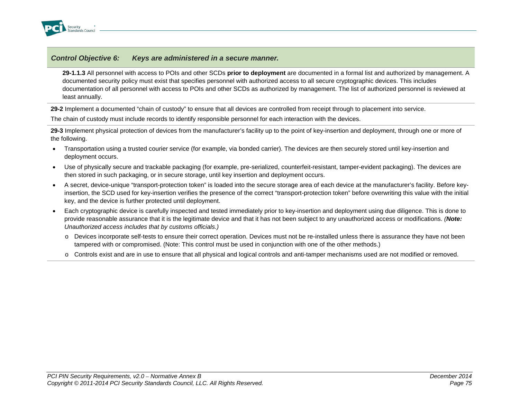

**29-1.1.3** All personnel with access to POIs and other SCDs **prior to deployment** are documented in a formal list and authorized by management. A documented security policy must exist that specifies personnel with authorized access to all secure cryptographic devices. This includes documentation of all personnel with access to POIs and other SCDs as authorized by management. The list of authorized personnel is reviewed at least annually.

**29-2** Implement a documented "chain of custody" to ensure that all devices are controlled from receipt through to placement into service.

The chain of custody must include records to identify responsible personnel for each interaction with the devices.

**29-3** Implement physical protection of devices from the manufacturer's facility up to the point of key-insertion and deployment, through one or more of the following.

- Transportation using a trusted courier service (for example, via bonded carrier). The devices are then securely stored until key-insertion and deployment occurs.
- Use of physically secure and trackable packaging (for example, pre-serialized, counterfeit-resistant, tamper-evident packaging). The devices are then stored in such packaging, or in secure storage, until key insertion and deployment occurs.
- A secret, device-unique "transport-protection token" is loaded into the secure storage area of each device at the manufacturer's facility. Before keyinsertion, the SCD used for key-insertion verifies the presence of the correct "transport-protection token" before overwriting this value with the initial key, and the device is further protected until deployment.
- Each cryptographic device is carefully inspected and tested immediately prior to key-insertion and deployment using due diligence. This is done to provide reasonable assurance that it is the legitimate device and that it has not been subject to any unauthorized access or modifications. *(Note: Unauthorized access includes that by customs officials.)*
	- o Devices incorporate self-tests to ensure their correct operation. Devices must not be re-installed unless there is assurance they have not been tampered with or compromised. (Note: This control must be used in conjunction with one of the other methods.)
	- o Controls exist and are in use to ensure that all physical and logical controls and anti-tamper mechanisms used are not modified or removed.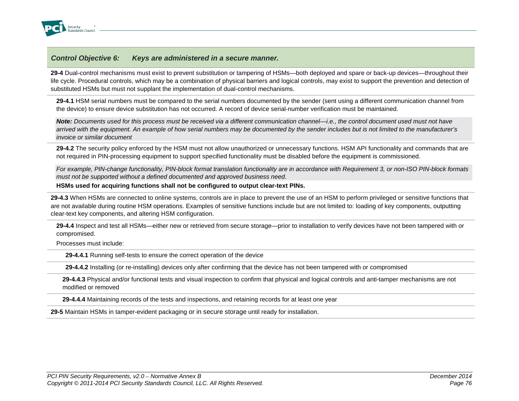

**29-4** Dual-control mechanisms must exist to prevent substitution or tampering of HSMs—both deployed and spare or back-up devices—throughout their life cycle. Procedural controls, which may be a combination of physical barriers and logical controls, may exist to support the prevention and detection of substituted HSMs but must not supplant the implementation of dual-control mechanisms.

**29-4.1** HSM serial numbers must be compared to the serial numbers documented by the sender (sent using a different communication channel from the device) to ensure device substitution has not occurred. A record of device serial-number verification must be maintained.

*Note: Documents used for this process must be received via a different communication channel—i.e., the control document used must not have arrived with the equipment. An example of how serial numbers may be documented by the sender includes but is not limited to the manufacturer's invoice or similar document*

**29-4.2** The security policy enforced by the HSM must not allow unauthorized or unnecessary functions. HSM API functionality and commands that are not required in PIN-processing equipment to support specified functionality must be disabled before the equipment is commissioned.

*For example, PIN-change functionality, PIN-block format translation functionality are in accordance with Requirement 3, or non-ISO PIN-block formats must not be supported without a defined documented and approved business need.*

**HSMs used for acquiring functions shall not be configured to output clear-text PINs.**

**29-4.3** When HSMs are connected to online systems, controls are in place to prevent the use of an HSM to perform privileged or sensitive functions that are not available during routine HSM operations. Examples of sensitive functions include but are not limited to: loading of key components, outputting clear-text key components, and altering HSM configuration.

**29-4.4** Inspect and test all HSMs—either new or retrieved from secure storage—prior to installation to verify devices have not been tampered with or compromised.

Processes must include:

**29-4.4.1** Running self-tests to ensure the correct operation of the device

**29-4.4.2** Installing (or re-installing) devices only after confirming that the device has not been tampered with or compromised

**29-4.4.3** Physical and/or functional tests and visual inspection to confirm that physical and logical controls and anti-tamper mechanisms are not modified or removed

**29-4.4.4** Maintaining records of the tests and inspections, and retaining records for at least one year

**29-5** Maintain HSMs in tamper-evident packaging or in secure storage until ready for installation.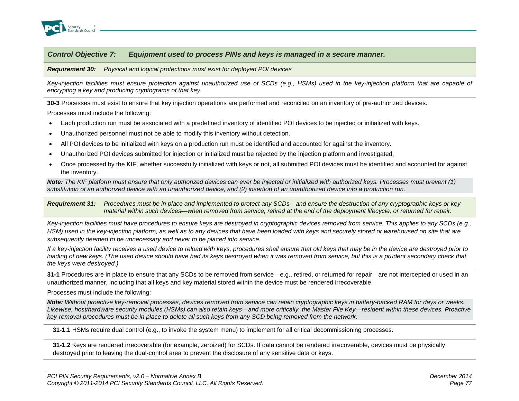

#### *Requirement 30: Physical and logical protections must exist for deployed POI devices*

*Key-injection facilities must ensure protection against unauthorized use of SCDs (e.g., HSMs) used in the key-injection platform that are capable of encrypting a key and producing cryptograms of that key.*

**30-3** Processes must exist to ensure that key injection operations are performed and reconciled on an inventory of pre-authorized devices.

Processes must include the following:

- Each production run must be associated with a predefined inventory of identified POI devices to be injected or initialized with keys.
- Unauthorized personnel must not be able to modify this inventory without detection.
- All POI devices to be initialized with keys on a production run must be identified and accounted for against the inventory.
- Unauthorized POI devices submitted for injection or initialized must be rejected by the injection platform and investigated.
- Once processed by the KIF, whether successfully initialized with keys or not, all submitted POI devices must be identified and accounted for against the inventory.

*Note: The KIF platform must ensure that only authorized devices can ever be injected or initialized with authorized keys. Processes must prevent (1) substitution of an authorized device with an unauthorized device, and (2) insertion of an unauthorized device into a production run.*

*Requirement 31: Procedures must be in place and implemented to protect any SCDs—and ensure the destruction of any cryptographic keys or key material within such devices—when removed from service, retired at the end of the deployment lifecycle, or returned for repair.*

*Key-injection facilities must have procedures to ensure keys are destroyed in cryptographic devices removed from service. This applies to any SCDs (e.g., HSM) used in the key-injection platform, as well as to any devices that have been loaded with keys and securely stored or warehoused on site that are subsequently deemed to be unnecessary and never to be placed into service.*

*If a key-injection facility receives a used device to reload with keys, procedures shall ensure that old keys that may be in the device are destroyed prior to*  loading of new keys. (The used device should have had its keys destroyed when it was removed from service, but this is a prudent secondary check that *the keys were destroyed.)*

**31-1** Procedures are in place to ensure that any SCDs to be removed from service—e.g., retired, or returned for repair—are not intercepted or used in an unauthorized manner, including that all keys and key material stored within the device must be rendered irrecoverable.

Processes must include the following:

*Note: Without proactive key-removal processes, devices removed from service can retain cryptographic keys in battery-backed RAM for days or weeks. Likewise, host/hardware security modules (HSMs) can also retain keys—and more critically, the Master File Key—resident within these devices. Proactive key-removal procedures must be in place to delete all such keys from any SCD being removed from the network.*

**31-1.1** HSMs require dual control (e.g., to invoke the system menu) to implement for all critical decommissioning processes.

**31-1.2** Keys are rendered irrecoverable (for example, zeroized) for SCDs. If data cannot be rendered irrecoverable, devices must be physically destroyed prior to leaving the dual-control area to prevent the disclosure of any sensitive data or keys.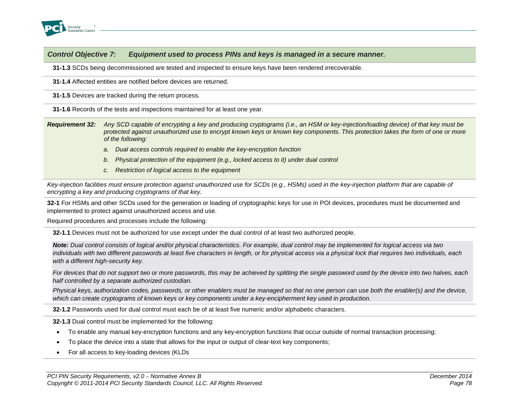

**31-1.3** SCDs being decommissioned are tested and inspected to ensure keys have been rendered irrecoverable.

**31-1.4** Affected entities are notified before devices are returned.

**31-1.5** Devices are tracked during the return process.

**31-1.6** Records of the tests and inspections maintained for at least one year.

*Requirement 32: Any SCD capable of encrypting a key and producing cryptograms (i.e., an HSM or key-injection/loading device) of that key must be protected against unauthorized use to encrypt known keys or known key components. This protection takes the form of one or more of the following:*

- *a. Dual access controls required to enable the key-encryption function*
- *b. Physical protection of the equipment (e.g., locked access to it) under dual control*
- *c. Restriction of logical access to the equipment*

*Key-injection facilities must ensure protection against unauthorized use for SCDs (e.g., HSMs) used in the key-injection platform that are capable of encrypting a key and producing cryptograms of that key.*

**32-1** For HSMs and other SCDs used for the generation or loading of cryptographic keys for use in POI devices, procedures must be documented and implemented to protect against unauthorized access and use.

Required procedures and processes include the following:

**32-1.1** Devices must not be authorized for use except under the dual control of at least two authorized people.

*Note: Dual control consists of logical and/or physical characteristics. For example, dual control may be implemented for logical access via two individuals with two different passwords at least five characters in length, or for physical access via a physical lock that requires two individuals, each with a different high-security key.* 

*For devices that do not support two or more passwords, this may be achieved by splitting the single password used by the device into two halves, each half controlled by a separate authorized custodian.*

*Physical keys, authorization codes, passwords, or other enablers must be managed so that no one person can use both the enabler(s) and the device, which can create cryptograms of known keys or key components under a key-encipherment key used in production.*

**32-1.2** Passwords used for dual control must each be of at least five numeric and/or alphabetic characters.

**32-1.3** Dual control must be implemented for the following:

- To enable any manual key-encryption functions and any key-encryption functions that occur outside of normal transaction processing;
- To place the device into a state that allows for the input or output of clear-text key components;
- For all access to key-loading devices (KLDs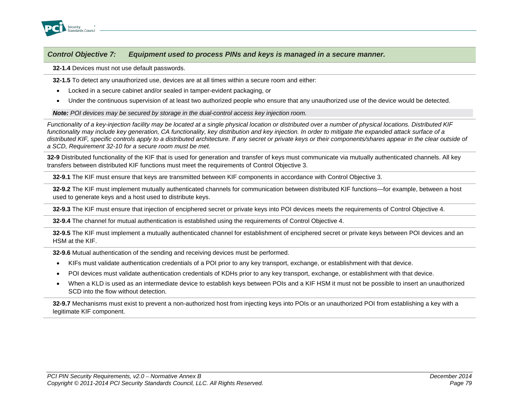

**32-1.4** Devices must not use default passwords.

**32-1.5** To detect any unauthorized use, devices are at all times within a secure room and either:

- Locked in a secure cabinet and/or sealed in tamper-evident packaging, or
- Under the continuous supervision of at least two authorized people who ensure that any unauthorized use of the device would be detected.

*Note: POI devices may be secured by storage in the dual-control access key injection room.*

*Functionality of a key-injection facility may be located at a single physical location or distributed over a number of physical locations. Distributed KIF functionality may include key generation, CA functionality, key distribution and key injection. In order to mitigate the expanded attack surface of a*  distributed KIF, specific controls apply to a distributed architecture. If any secret or private keys or their components/shares appear in the clear outside of *a SCD, Requirement 32-10 for a secure room must be met.*

**32-9** Distributed functionality of the KIF that is used for generation and transfer of keys must communicate via mutually authenticated channels. All key transfers between distributed KIF functions must meet the requirements of Control Objective 3.

**32-9.1** The KIF must ensure that keys are transmitted between KIF components in accordance with Control Objective 3.

**32-9.2** The KIF must implement mutually authenticated channels for communication between distributed KIF functions—for example, between a host used to generate keys and a host used to distribute keys.

**32-9.3** The KIF must ensure that injection of enciphered secret or private keys into POI devices meets the requirements of Control Objective 4.

**32-9.4** The channel for mutual authentication is established using the requirements of Control Objective 4.

**32-9.5** The KIF must implement a mutually authenticated channel for establishment of enciphered secret or private keys between POI devices and an HSM at the KIF.

**32-9.6** Mutual authentication of the sending and receiving devices must be performed.

- KIFs must validate authentication credentials of a POI prior to any key transport, exchange, or establishment with that device.
- POI devices must validate authentication credentials of KDHs prior to any key transport, exchange, or establishment with that device.
- When a KLD is used as an intermediate device to establish keys between POIs and a KIF HSM it must not be possible to insert an unauthorized SCD into the flow without detection.

**32-9.7** Mechanisms must exist to prevent a non-authorized host from injecting keys into POIs or an unauthorized POI from establishing a key with a legitimate KIF component.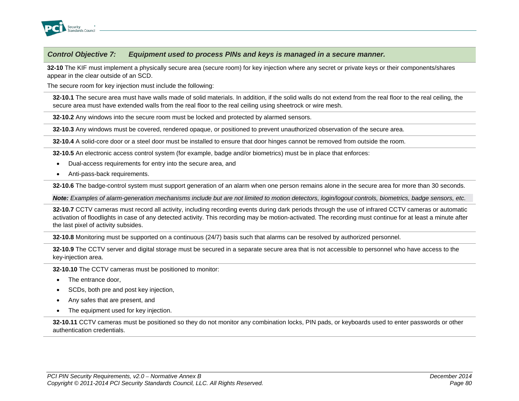

**32-10** The KIF must implement a physically secure area (secure room) for key injection where any secret or private keys or their components/shares appear in the clear outside of an SCD.

The secure room for key injection must include the following:

**32-10.1** The secure area must have walls made of solid materials. In addition, if the solid walls do not extend from the real floor to the real ceiling, the secure area must have extended walls from the real floor to the real ceiling using sheetrock or wire mesh.

**32-10.2** Any windows into the secure room must be locked and protected by alarmed sensors.

**32-10.3** Any windows must be covered, rendered opaque, or positioned to prevent unauthorized observation of the secure area.

**32-10.4** A solid-core door or a steel door must be installed to ensure that door hinges cannot be removed from outside the room.

**32-10.5** An electronic access control system (for example, badge and/or biometrics) must be in place that enforces:

- Dual-access requirements for entry into the secure area, and
- Anti-pass-back requirements.

**32-10.6** The badge-control system must support generation of an alarm when one person remains alone in the secure area for more than 30 seconds.

*Note: Examples of alarm-generation mechanisms include but are not limited to motion detectors, login/logout controls, biometrics, badge sensors, etc.*

**32-10.7** CCTV cameras must record all activity, including recording events during dark periods through the use of infrared CCTV cameras or automatic activation of floodlights in case of any detected activity. This recording may be motion-activated. The recording must continue for at least a minute after the last pixel of activity subsides.

**32-10.8** Monitoring must be supported on a continuous (24/7) basis such that alarms can be resolved by authorized personnel.

**32-10.9** The CCTV server and digital storage must be secured in a separate secure area that is not accessible to personnel who have access to the key-injection area.

**32-10.10** The CCTV cameras must be positioned to monitor:

- The entrance door,
- SCDs, both pre and post key injection,
- Any safes that are present, and
- The equipment used for key injection.

**32-10.11** CCTV cameras must be positioned so they do not monitor any combination locks, PIN pads, or keyboards used to enter passwords or other authentication credentials.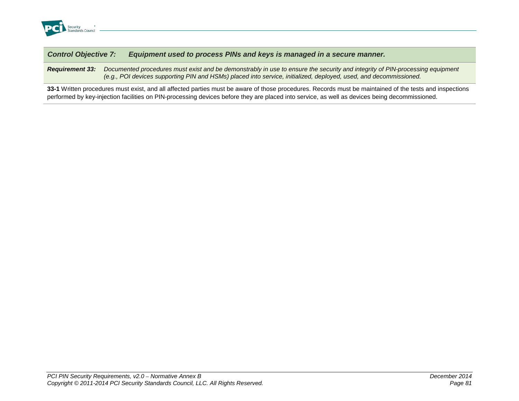

*Requirement 33: Documented procedures must exist and be demonstrably in use to ensure the security and integrity of PIN-processing equipment (e.g., POI devices supporting PIN and HSMs) placed into service, initialized, deployed, used, and decommissioned.*

**33-1** Written procedures must exist, and all affected parties must be aware of those procedures. Records must be maintained of the tests and inspections performed by key-injection facilities on PIN-processing devices before they are placed into service, as well as devices being decommissioned.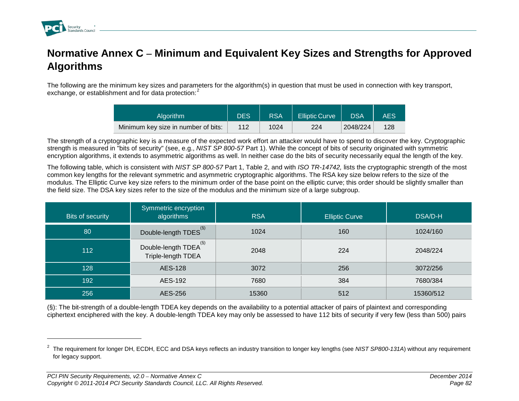

-

# **Normative Annex C – Minimum and Equivalent Key Sizes and Strengths for Approved Algorithms**

The following are the minimum key sizes and parameters for the algorithm(s) in question that must be used in connection with key transport, exchange, or establishment and for data protection:<sup>[2](#page-85-0)</sup>

<span id="page-85-0"></span>

| <b>Algorithm</b>                    | DES <sup>1</sup> | <b>RSA</b> | <b>Elliptic Curve</b> | <b>DSA</b> | AES |
|-------------------------------------|------------------|------------|-----------------------|------------|-----|
| Minimum key size in number of bits: | 112              | 1024       | 224                   | 2048/224   | 128 |

The strength of a cryptographic key is a measure of the expected work effort an attacker would have to spend to discover the key. Cryptographic strength is measured in "bits of security" (see, e.g., *NIST SP 800-57* Part 1). While the concept of bits of security originated with symmetric encryption algorithms, it extends to asymmetric algorithms as well. In neither case do the bits of security necessarily equal the length of the key.

The following table, which is consistent with *NIST SP 800-57* Part 1, Table 2, and with *ISO TR-14742,* lists the cryptographic strength of the most common key lengths for the relevant symmetric and asymmetric cryptographic algorithms. The RSA key size below refers to the size of the modulus. The Elliptic Curve key size refers to the minimum order of the base point on the elliptic curve; this order should be slightly smaller than the field size. The DSA key sizes refer to the size of the modulus and the minimum size of a large subgroup.

| Bits of security | Symmetric encryption<br>algorithms              | <b>RSA</b> | <b>Elliptic Curve</b> | DSA/D-H   |
|------------------|-------------------------------------------------|------------|-----------------------|-----------|
| 80               | Double-length TDES <sup>(§)</sup>               | 1024       | 160                   | 1024/160  |
| 112              | (S)<br>Double-length TDEA<br>Triple-length TDEA | 2048       | 224                   | 2048/224  |
| 128              | <b>AES-128</b>                                  | 3072       | 256                   | 3072/256  |
| 192              | AES-192                                         | 7680       | 384                   | 7680/384  |
| 256              | AES-256                                         | 15360      | 512                   | 15360/512 |

(§): The bit-strength of a double-length TDEA key depends on the availability to a potential attacker of pairs of plaintext and corresponding ciphertext enciphered with the key. A double-length TDEA key may only be assessed to have 112 bits of security if very few (less than 500) pairs

<sup>2</sup> The requirement for longer DH, ECDH, ECC and DSA keys reflects an industry transition to longer key lengths (see *NIST SP800-131A*) without any requirement for legacy support.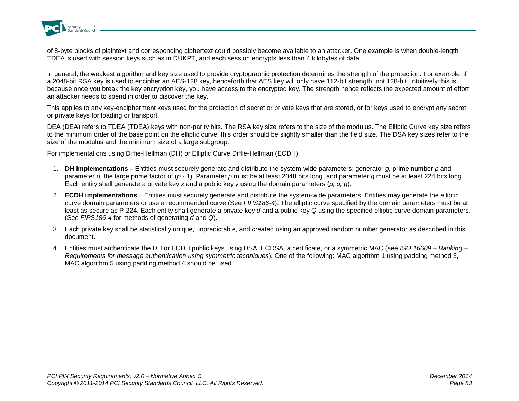

of 8-byte blocks of plaintext and corresponding ciphertext could possibly become available to an attacker. One example is when double-length TDEA is used with session keys such as in DUKPT, and each session encrypts less than 4 kilobytes of data.

In general, the weakest algorithm and key size used to provide cryptographic protection determines the strength of the protection. For example, if a 2048-bit RSA key is used to encipher an AES-128 key, henceforth that AES key will only have 112-bit strength, not 128-bit. Intuitively this is because once you break the key encryption key, you have access to the encrypted key. The strength hence reflects the expected amount of effort an attacker needs to spend in order to discover the key.

This applies to any key-encipherment keys used for the protection of secret or private keys that are stored, or for keys used to encrypt any secret or private keys for loading or transport.

DEA (DEA) refers to TDEA (TDEA) keys with non-parity bits. The RSA key size refers to the size of the modulus. The Elliptic Curve key size refers to the minimum order of the base point on the elliptic curve; this order should be slightly smaller than the field size. The DSA key sizes refer to the size of the modulus and the minimum size of a large subgroup.

For implementations using Diffie-Hellman (DH) or Elliptic Curve Diffie-Hellman (ECDH):

- 1. **DH implementations –** Entities must securely generate and distribute the system-wide parameters: generator *g,* prime number *p* and parameter *q,* the large prime factor of (*p* - 1). Parameter *p* must be at least 2048 bits long, and parameter *q* must be at least 224 bits long. Each entity shall generate a private key *x* and a public key *y* using the domain parameters (*p, q, g*).
- 2. **ECDH implementations –** Entities must securely generate and distribute the system-wide parameters. Entities may generate the elliptic curve domain parameters or use a recommended curve (See *FIPS186-4*). The elliptic curve specified by the domain parameters must be at least as secure as P-224. Each entity shall generate a private key *d* and a public key *Q* using the specified elliptic curve domain parameters. (See *FIPS186-4* for methods of generating *d* and *Q*).
- 3. Each private key shall be statistically unique, unpredictable, and created using an approved random number generator as described in this document.
- 4. Entities must authenticate the DH or ECDH public keys using DSA, ECDSA, a certificate, or a symmetric MAC (see *ISO 16609 – Banking – Requirements for message authentication using symmetric techniques*)*.* One of the following: MAC algorithm 1 using padding method 3, MAC algorithm 5 using padding method 4 should be used.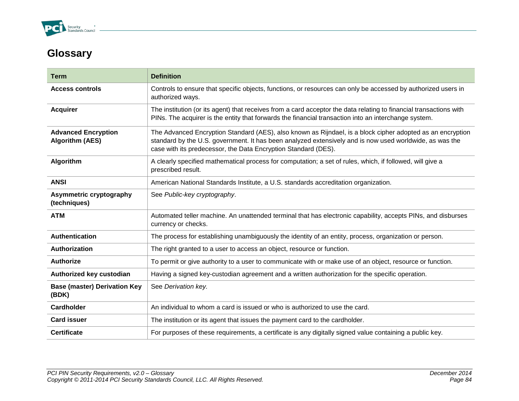

# **Glossary**

| Term                                                 | <b>Definition</b>                                                                                                                                                                                                                                                                       |
|------------------------------------------------------|-----------------------------------------------------------------------------------------------------------------------------------------------------------------------------------------------------------------------------------------------------------------------------------------|
| <b>Access controls</b>                               | Controls to ensure that specific objects, functions, or resources can only be accessed by authorized users in<br>authorized ways.                                                                                                                                                       |
| <b>Acquirer</b>                                      | The institution (or its agent) that receives from a card acceptor the data relating to financial transactions with<br>PINs. The acquirer is the entity that forwards the financial transaction into an interchange system.                                                              |
| <b>Advanced Encryption</b><br><b>Algorithm (AES)</b> | The Advanced Encryption Standard (AES), also known as Rijndael, is a block cipher adopted as an encryption<br>standard by the U.S. government. It has been analyzed extensively and is now used worldwide, as was the<br>case with its predecessor, the Data Encryption Standard (DES). |
| Algorithm                                            | A clearly specified mathematical process for computation; a set of rules, which, if followed, will give a<br>prescribed result.                                                                                                                                                         |
| <b>ANSI</b>                                          | American National Standards Institute, a U.S. standards accreditation organization.                                                                                                                                                                                                     |
| Asymmetric cryptography<br>(techniques)              | See Public-key cryptography.                                                                                                                                                                                                                                                            |
| <b>ATM</b>                                           | Automated teller machine. An unattended terminal that has electronic capability, accepts PINs, and disburses<br>currency or checks.                                                                                                                                                     |
| <b>Authentication</b>                                | The process for establishing unambiguously the identity of an entity, process, organization or person.                                                                                                                                                                                  |
| Authorization                                        | The right granted to a user to access an object, resource or function.                                                                                                                                                                                                                  |
| <b>Authorize</b>                                     | To permit or give authority to a user to communicate with or make use of an object, resource or function.                                                                                                                                                                               |
| Authorized key custodian                             | Having a signed key-custodian agreement and a written authorization for the specific operation.                                                                                                                                                                                         |
| <b>Base (master) Derivation Key</b><br>(BDK)         | See Derivation key.                                                                                                                                                                                                                                                                     |
| <b>Cardholder</b>                                    | An individual to whom a card is issued or who is authorized to use the card.                                                                                                                                                                                                            |
| <b>Card issuer</b>                                   | The institution or its agent that issues the payment card to the cardholder.                                                                                                                                                                                                            |
| <b>Certificate</b>                                   | For purposes of these requirements, a certificate is any digitally signed value containing a public key.                                                                                                                                                                                |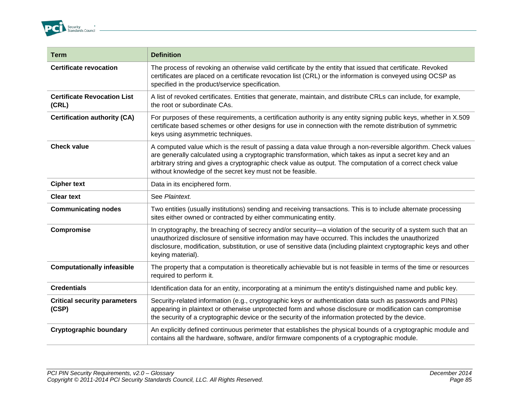

| <b>Term</b>                                  | <b>Definition</b>                                                                                                                                                                                                                                                                                                                                                                                   |
|----------------------------------------------|-----------------------------------------------------------------------------------------------------------------------------------------------------------------------------------------------------------------------------------------------------------------------------------------------------------------------------------------------------------------------------------------------------|
| <b>Certificate revocation</b>                | The process of revoking an otherwise valid certificate by the entity that issued that certificate. Revoked<br>certificates are placed on a certificate revocation list (CRL) or the information is conveyed using OCSP as<br>specified in the product/service specification.                                                                                                                        |
| <b>Certificate Revocation List</b><br>(CRL)  | A list of revoked certificates. Entities that generate, maintain, and distribute CRLs can include, for example,<br>the root or subordinate CAs.                                                                                                                                                                                                                                                     |
| <b>Certification authority (CA)</b>          | For purposes of these requirements, a certification authority is any entity signing public keys, whether in X.509<br>certificate based schemes or other designs for use in connection with the remote distribution of symmetric<br>keys using asymmetric techniques.                                                                                                                                |
| <b>Check value</b>                           | A computed value which is the result of passing a data value through a non-reversible algorithm. Check values<br>are generally calculated using a cryptographic transformation, which takes as input a secret key and an<br>arbitrary string and gives a cryptographic check value as output. The computation of a correct check value<br>without knowledge of the secret key must not be feasible. |
| <b>Cipher text</b>                           | Data in its enciphered form.                                                                                                                                                                                                                                                                                                                                                                        |
| <b>Clear text</b>                            | See Plaintext.                                                                                                                                                                                                                                                                                                                                                                                      |
| <b>Communicating nodes</b>                   | Two entities (usually institutions) sending and receiving transactions. This is to include alternate processing<br>sites either owned or contracted by either communicating entity.                                                                                                                                                                                                                 |
| Compromise                                   | In cryptography, the breaching of secrecy and/or security—a violation of the security of a system such that an<br>unauthorized disclosure of sensitive information may have occurred. This includes the unauthorized<br>disclosure, modification, substitution, or use of sensitive data (including plaintext cryptographic keys and other<br>keying material).                                     |
| <b>Computationally infeasible</b>            | The property that a computation is theoretically achievable but is not feasible in terms of the time or resources<br>required to perform it.                                                                                                                                                                                                                                                        |
| <b>Credentials</b>                           | Identification data for an entity, incorporating at a minimum the entity's distinguished name and public key.                                                                                                                                                                                                                                                                                       |
| <b>Critical security parameters</b><br>(CSP) | Security-related information (e.g., cryptographic keys or authentication data such as passwords and PINs)<br>appearing in plaintext or otherwise unprotected form and whose disclosure or modification can compromise<br>the security of a cryptographic device or the security of the information protected by the device.                                                                         |
| <b>Cryptographic boundary</b>                | An explicitly defined continuous perimeter that establishes the physical bounds of a cryptographic module and<br>contains all the hardware, software, and/or firmware components of a cryptographic module.                                                                                                                                                                                         |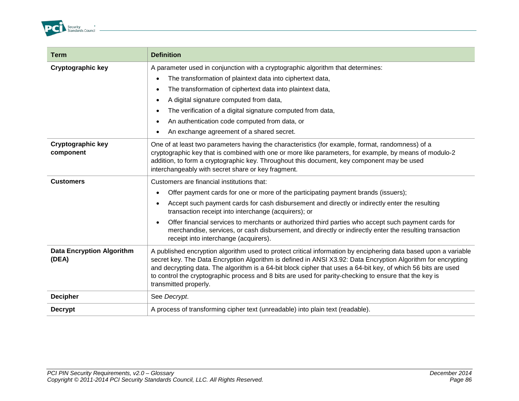

| Term                                      | <b>Definition</b>                                                                                                                                                                                                                                                                                                                                                                                                                                                                   |  |
|-------------------------------------------|-------------------------------------------------------------------------------------------------------------------------------------------------------------------------------------------------------------------------------------------------------------------------------------------------------------------------------------------------------------------------------------------------------------------------------------------------------------------------------------|--|
| <b>Cryptographic key</b>                  | A parameter used in conjunction with a cryptographic algorithm that determines:                                                                                                                                                                                                                                                                                                                                                                                                     |  |
|                                           | The transformation of plaintext data into ciphertext data,<br>$\bullet$                                                                                                                                                                                                                                                                                                                                                                                                             |  |
|                                           | The transformation of ciphertext data into plaintext data,<br>$\bullet$                                                                                                                                                                                                                                                                                                                                                                                                             |  |
|                                           | A digital signature computed from data,<br>$\bullet$                                                                                                                                                                                                                                                                                                                                                                                                                                |  |
|                                           | The verification of a digital signature computed from data,<br>٠                                                                                                                                                                                                                                                                                                                                                                                                                    |  |
|                                           | An authentication code computed from data, or<br>$\bullet$                                                                                                                                                                                                                                                                                                                                                                                                                          |  |
|                                           | An exchange agreement of a shared secret.                                                                                                                                                                                                                                                                                                                                                                                                                                           |  |
| <b>Cryptographic key</b><br>component     | One of at least two parameters having the characteristics (for example, format, randomness) of a<br>cryptographic key that is combined with one or more like parameters, for example, by means of modulo-2<br>addition, to form a cryptographic key. Throughout this document, key component may be used<br>interchangeably with secret share or key fragment.                                                                                                                      |  |
| <b>Customers</b>                          | Customers are financial institutions that:                                                                                                                                                                                                                                                                                                                                                                                                                                          |  |
|                                           | Offer payment cards for one or more of the participating payment brands (issuers);<br>$\bullet$                                                                                                                                                                                                                                                                                                                                                                                     |  |
|                                           | Accept such payment cards for cash disbursement and directly or indirectly enter the resulting<br>$\bullet$<br>transaction receipt into interchange (acquirers); or                                                                                                                                                                                                                                                                                                                 |  |
|                                           | Offer financial services to merchants or authorized third parties who accept such payment cards for<br>$\bullet$<br>merchandise, services, or cash disbursement, and directly or indirectly enter the resulting transaction<br>receipt into interchange (acquirers).                                                                                                                                                                                                                |  |
| <b>Data Encryption Algorithm</b><br>(DEA) | A published encryption algorithm used to protect critical information by enciphering data based upon a variable<br>secret key. The Data Encryption Algorithm is defined in ANSI X3.92: Data Encryption Algorithm for encrypting<br>and decrypting data. The algorithm is a 64-bit block cipher that uses a 64-bit key, of which 56 bits are used<br>to control the cryptographic process and 8 bits are used for parity-checking to ensure that the key is<br>transmitted properly. |  |
| <b>Decipher</b>                           | See Decrypt.                                                                                                                                                                                                                                                                                                                                                                                                                                                                        |  |
| <b>Decrypt</b>                            | A process of transforming cipher text (unreadable) into plain text (readable).                                                                                                                                                                                                                                                                                                                                                                                                      |  |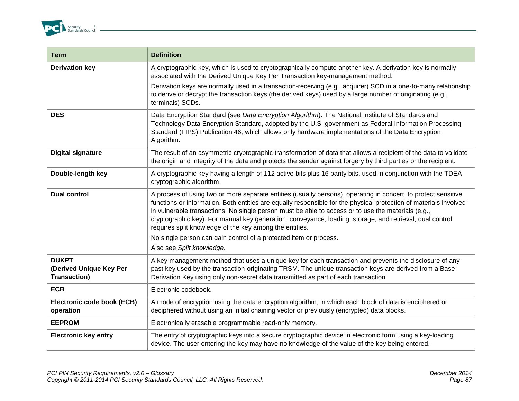

| <b>Term</b>                                                    | <b>Definition</b>                                                                                                                                                                                                                                                                                                                                                                                                                                                                                                |
|----------------------------------------------------------------|------------------------------------------------------------------------------------------------------------------------------------------------------------------------------------------------------------------------------------------------------------------------------------------------------------------------------------------------------------------------------------------------------------------------------------------------------------------------------------------------------------------|
| <b>Derivation key</b>                                          | A cryptographic key, which is used to cryptographically compute another key. A derivation key is normally<br>associated with the Derived Unique Key Per Transaction key-management method.                                                                                                                                                                                                                                                                                                                       |
|                                                                | Derivation keys are normally used in a transaction-receiving (e.g., acquirer) SCD in a one-to-many relationship<br>to derive or decrypt the transaction keys (the derived keys) used by a large number of originating (e.g.,<br>terminals) SCDs.                                                                                                                                                                                                                                                                 |
| <b>DES</b>                                                     | Data Encryption Standard (see Data Encryption Algorithm). The National Institute of Standards and<br>Technology Data Encryption Standard, adopted by the U.S. government as Federal Information Processing<br>Standard (FIPS) Publication 46, which allows only hardware implementations of the Data Encryption<br>Algorithm.                                                                                                                                                                                    |
| <b>Digital signature</b>                                       | The result of an asymmetric cryptographic transformation of data that allows a recipient of the data to validate<br>the origin and integrity of the data and protects the sender against forgery by third parties or the recipient.                                                                                                                                                                                                                                                                              |
| Double-length key                                              | A cryptographic key having a length of 112 active bits plus 16 parity bits, used in conjunction with the TDEA<br>cryptographic algorithm.                                                                                                                                                                                                                                                                                                                                                                        |
| <b>Dual control</b>                                            | A process of using two or more separate entities (usually persons), operating in concert, to protect sensitive<br>functions or information. Both entities are equally responsible for the physical protection of materials involved<br>in vulnerable transactions. No single person must be able to access or to use the materials (e.g.,<br>cryptographic key). For manual key generation, conveyance, loading, storage, and retrieval, dual control<br>requires split knowledge of the key among the entities. |
|                                                                | No single person can gain control of a protected item or process.                                                                                                                                                                                                                                                                                                                                                                                                                                                |
|                                                                | Also see Split knowledge.                                                                                                                                                                                                                                                                                                                                                                                                                                                                                        |
| <b>DUKPT</b><br>(Derived Unique Key Per<br><b>Transaction)</b> | A key-management method that uses a unique key for each transaction and prevents the disclosure of any<br>past key used by the transaction-originating TRSM. The unique transaction keys are derived from a Base<br>Derivation Key using only non-secret data transmitted as part of each transaction.                                                                                                                                                                                                           |
| <b>ECB</b>                                                     | Electronic codebook.                                                                                                                                                                                                                                                                                                                                                                                                                                                                                             |
| Electronic code book (ECB)<br>operation                        | A mode of encryption using the data encryption algorithm, in which each block of data is enciphered or<br>deciphered without using an initial chaining vector or previously (encrypted) data blocks.                                                                                                                                                                                                                                                                                                             |
| <b>EEPROM</b>                                                  | Electronically erasable programmable read-only memory.                                                                                                                                                                                                                                                                                                                                                                                                                                                           |
| <b>Electronic key entry</b>                                    | The entry of cryptographic keys into a secure cryptographic device in electronic form using a key-loading<br>device. The user entering the key may have no knowledge of the value of the key being entered.                                                                                                                                                                                                                                                                                                      |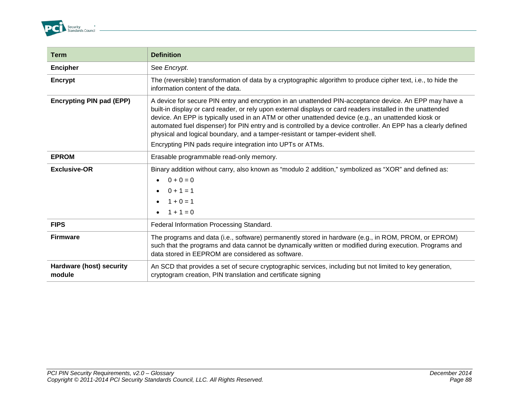

| <b>Term</b>                        | <b>Definition</b>                                                                                                                                                                                                                                                                                                                                                                                                                                                                                                                |
|------------------------------------|----------------------------------------------------------------------------------------------------------------------------------------------------------------------------------------------------------------------------------------------------------------------------------------------------------------------------------------------------------------------------------------------------------------------------------------------------------------------------------------------------------------------------------|
| <b>Encipher</b>                    | See Encrypt.                                                                                                                                                                                                                                                                                                                                                                                                                                                                                                                     |
| Encrypt                            | The (reversible) transformation of data by a cryptographic algorithm to produce cipher text, i.e., to hide the<br>information content of the data.                                                                                                                                                                                                                                                                                                                                                                               |
| <b>Encrypting PIN pad (EPP)</b>    | A device for secure PIN entry and encryption in an unattended PIN-acceptance device. An EPP may have a<br>built-in display or card reader, or rely upon external displays or card readers installed in the unattended<br>device. An EPP is typically used in an ATM or other unattended device (e.g., an unattended kiosk or<br>automated fuel dispenser) for PIN entry and is controlled by a device controller. An EPP has a clearly defined<br>physical and logical boundary, and a tamper-resistant or tamper-evident shell. |
|                                    | Encrypting PIN pads require integration into UPTs or ATMs.                                                                                                                                                                                                                                                                                                                                                                                                                                                                       |
| <b>EPROM</b>                       | Erasable programmable read-only memory.                                                                                                                                                                                                                                                                                                                                                                                                                                                                                          |
| <b>Exclusive-OR</b>                | Binary addition without carry, also known as "modulo 2 addition," symbolized as "XOR" and defined as:<br>$0 + 0 = 0$<br>$\bullet$<br>$0 + 1 = 1$<br>$1 + 0 = 1$<br>• $1 + 1 = 0$                                                                                                                                                                                                                                                                                                                                                 |
| <b>FIPS</b>                        | Federal Information Processing Standard.                                                                                                                                                                                                                                                                                                                                                                                                                                                                                         |
| <b>Firmware</b>                    | The programs and data (i.e., software) permanently stored in hardware (e.g., in ROM, PROM, or EPROM)<br>such that the programs and data cannot be dynamically written or modified during execution. Programs and<br>data stored in EEPROM are considered as software.                                                                                                                                                                                                                                                            |
| Hardware (host) security<br>module | An SCD that provides a set of secure cryptographic services, including but not limited to key generation,<br>cryptogram creation, PIN translation and certificate signing                                                                                                                                                                                                                                                                                                                                                        |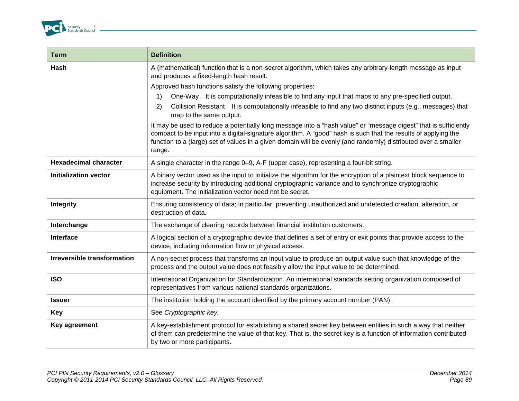

| <b>Term</b>                        | <b>Definition</b>                                                                                                                                                                                                                                                                                                                                              |
|------------------------------------|----------------------------------------------------------------------------------------------------------------------------------------------------------------------------------------------------------------------------------------------------------------------------------------------------------------------------------------------------------------|
| Hash                               | A (mathematical) function that is a non-secret algorithm, which takes any arbitrary-length message as input<br>and produces a fixed-length hash result.                                                                                                                                                                                                        |
|                                    | Approved hash functions satisfy the following properties:                                                                                                                                                                                                                                                                                                      |
|                                    | One-Way – It is computationally infeasible to find any input that maps to any pre-specified output.<br>1)                                                                                                                                                                                                                                                      |
|                                    | Collision Resistant – It is computationally infeasible to find any two distinct inputs (e.g., messages) that<br>2)<br>map to the same output.                                                                                                                                                                                                                  |
|                                    | It may be used to reduce a potentially long message into a "hash value" or "message digest" that is sufficiently<br>compact to be input into a digital-signature algorithm. A "good" hash is such that the results of applying the<br>function to a (large) set of values in a given domain will be evenly (and randomly) distributed over a smaller<br>range. |
| <b>Hexadecimal character</b>       | A single character in the range 0–9, A-F (upper case), representing a four-bit string.                                                                                                                                                                                                                                                                         |
| <b>Initialization vector</b>       | A binary vector used as the input to initialize the algorithm for the encryption of a plaintext block sequence to<br>increase security by introducing additional cryptographic variance and to synchronize cryptographic<br>equipment. The initialization vector need not be secret.                                                                           |
| Integrity                          | Ensuring consistency of data; in particular, preventing unauthorized and undetected creation, alteration, or<br>destruction of data.                                                                                                                                                                                                                           |
| Interchange                        | The exchange of clearing records between financial institution customers.                                                                                                                                                                                                                                                                                      |
| Interface                          | A logical section of a cryptographic device that defines a set of entry or exit points that provide access to the<br>device, including information flow or physical access.                                                                                                                                                                                    |
| <b>Irreversible transformation</b> | A non-secret process that transforms an input value to produce an output value such that knowledge of the<br>process and the output value does not feasibly allow the input value to be determined.                                                                                                                                                            |
| <b>ISO</b>                         | International Organization for Standardization. An international standards setting organization composed of<br>representatives from various national standards organizations.                                                                                                                                                                                  |
| <b>Issuer</b>                      | The institution holding the account identified by the primary account number (PAN).                                                                                                                                                                                                                                                                            |
| Key                                | See Cryptographic key.                                                                                                                                                                                                                                                                                                                                         |
| Key agreement                      | A key-establishment protocol for establishing a shared secret key between entities in such a way that neither<br>of them can predetermine the value of that key. That is, the secret key is a function of information contributed<br>by two or more participants.                                                                                              |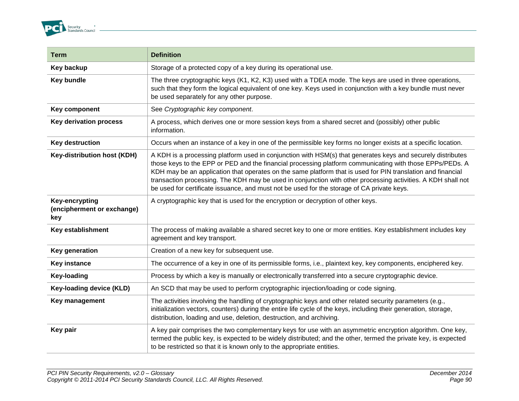

| <b>Term</b>                                         | <b>Definition</b>                                                                                                                                                                                                                                                                                                                                                                                                                                                                                                                                    |
|-----------------------------------------------------|------------------------------------------------------------------------------------------------------------------------------------------------------------------------------------------------------------------------------------------------------------------------------------------------------------------------------------------------------------------------------------------------------------------------------------------------------------------------------------------------------------------------------------------------------|
| Key backup                                          | Storage of a protected copy of a key during its operational use.                                                                                                                                                                                                                                                                                                                                                                                                                                                                                     |
| <b>Key bundle</b>                                   | The three cryptographic keys (K1, K2, K3) used with a TDEA mode. The keys are used in three operations,<br>such that they form the logical equivalent of one key. Keys used in conjunction with a key bundle must never<br>be used separately for any other purpose.                                                                                                                                                                                                                                                                                 |
| Key component                                       | See Cryptographic key component.                                                                                                                                                                                                                                                                                                                                                                                                                                                                                                                     |
| <b>Key derivation process</b>                       | A process, which derives one or more session keys from a shared secret and (possibly) other public<br>information.                                                                                                                                                                                                                                                                                                                                                                                                                                   |
| <b>Key destruction</b>                              | Occurs when an instance of a key in one of the permissible key forms no longer exists at a specific location.                                                                                                                                                                                                                                                                                                                                                                                                                                        |
| <b>Key-distribution host (KDH)</b>                  | A KDH is a processing platform used in conjunction with HSM(s) that generates keys and securely distributes<br>those keys to the EPP or PED and the financial processing platform communicating with those EPPs/PEDs. A<br>KDH may be an application that operates on the same platform that is used for PIN translation and financial<br>transaction processing. The KDH may be used in conjunction with other processing activities. A KDH shall not<br>be used for certificate issuance, and must not be used for the storage of CA private keys. |
| Key-encrypting<br>(encipherment or exchange)<br>key | A cryptographic key that is used for the encryption or decryption of other keys.                                                                                                                                                                                                                                                                                                                                                                                                                                                                     |
| Key establishment                                   | The process of making available a shared secret key to one or more entities. Key establishment includes key<br>agreement and key transport.                                                                                                                                                                                                                                                                                                                                                                                                          |
| Key generation                                      | Creation of a new key for subsequent use.                                                                                                                                                                                                                                                                                                                                                                                                                                                                                                            |
| <b>Key instance</b>                                 | The occurrence of a key in one of its permissible forms, i.e., plaintext key, key components, enciphered key.                                                                                                                                                                                                                                                                                                                                                                                                                                        |
| <b>Key-loading</b>                                  | Process by which a key is manually or electronically transferred into a secure cryptographic device.                                                                                                                                                                                                                                                                                                                                                                                                                                                 |
| <b>Key-loading device (KLD)</b>                     | An SCD that may be used to perform cryptographic injection/loading or code signing.                                                                                                                                                                                                                                                                                                                                                                                                                                                                  |
| Key management                                      | The activities involving the handling of cryptographic keys and other related security parameters (e.g.,<br>initialization vectors, counters) during the entire life cycle of the keys, including their generation, storage,<br>distribution, loading and use, deletion, destruction, and archiving.                                                                                                                                                                                                                                                 |
| Key pair                                            | A key pair comprises the two complementary keys for use with an asymmetric encryption algorithm. One key,<br>termed the public key, is expected to be widely distributed; and the other, termed the private key, is expected<br>to be restricted so that it is known only to the appropriate entities.                                                                                                                                                                                                                                               |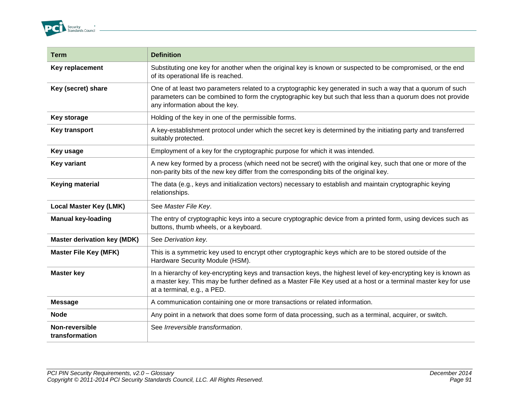

| <b>Term</b>                        | <b>Definition</b>                                                                                                                                                                                                                                                |
|------------------------------------|------------------------------------------------------------------------------------------------------------------------------------------------------------------------------------------------------------------------------------------------------------------|
| Key replacement                    | Substituting one key for another when the original key is known or suspected to be compromised, or the end<br>of its operational life is reached.                                                                                                                |
| Key (secret) share                 | One of at least two parameters related to a cryptographic key generated in such a way that a quorum of such<br>parameters can be combined to form the cryptographic key but such that less than a quorum does not provide<br>any information about the key.      |
| <b>Key storage</b>                 | Holding of the key in one of the permissible forms.                                                                                                                                                                                                              |
| Key transport                      | A key-establishment protocol under which the secret key is determined by the initiating party and transferred<br>suitably protected.                                                                                                                             |
| Key usage                          | Employment of a key for the cryptographic purpose for which it was intended.                                                                                                                                                                                     |
| <b>Key variant</b>                 | A new key formed by a process (which need not be secret) with the original key, such that one or more of the<br>non-parity bits of the new key differ from the corresponding bits of the original key.                                                           |
| <b>Keying material</b>             | The data (e.g., keys and initialization vectors) necessary to establish and maintain cryptographic keying<br>relationships.                                                                                                                                      |
| <b>Local Master Key (LMK)</b>      | See Master File Key.                                                                                                                                                                                                                                             |
| <b>Manual key-loading</b>          | The entry of cryptographic keys into a secure cryptographic device from a printed form, using devices such as<br>buttons, thumb wheels, or a keyboard.                                                                                                           |
| <b>Master derivation key (MDK)</b> | See Derivation key.                                                                                                                                                                                                                                              |
| <b>Master File Key (MFK)</b>       | This is a symmetric key used to encrypt other cryptographic keys which are to be stored outside of the<br>Hardware Security Module (HSM).                                                                                                                        |
| <b>Master key</b>                  | In a hierarchy of key-encrypting keys and transaction keys, the highest level of key-encrypting key is known as<br>a master key. This may be further defined as a Master File Key used at a host or a terminal master key for use<br>at a terminal, e.g., a PED. |
| <b>Message</b>                     | A communication containing one or more transactions or related information.                                                                                                                                                                                      |
| <b>Node</b>                        | Any point in a network that does some form of data processing, such as a terminal, acquirer, or switch.                                                                                                                                                          |
| Non-reversible<br>transformation   | See Irreversible transformation.                                                                                                                                                                                                                                 |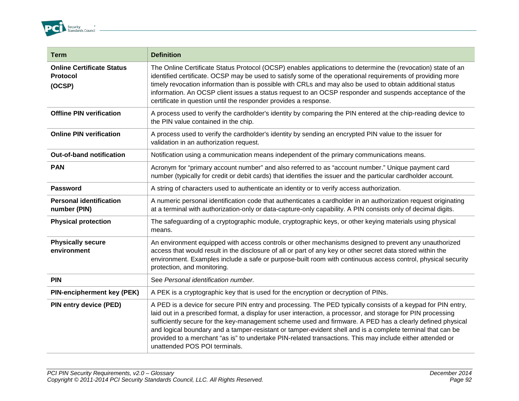

| <b>Term</b>                                            | <b>Definition</b>                                                                                                                                                                                                                                                                                                                                                                                                                                                                                                                                                                                     |
|--------------------------------------------------------|-------------------------------------------------------------------------------------------------------------------------------------------------------------------------------------------------------------------------------------------------------------------------------------------------------------------------------------------------------------------------------------------------------------------------------------------------------------------------------------------------------------------------------------------------------------------------------------------------------|
| <b>Online Certificate Status</b><br>Protocol<br>(OCSP) | The Online Certificate Status Protocol (OCSP) enables applications to determine the (revocation) state of an<br>identified certificate. OCSP may be used to satisfy some of the operational requirements of providing more<br>timely revocation information than is possible with CRLs and may also be used to obtain additional status<br>information. An OCSP client issues a status request to an OCSP responder and suspends acceptance of the<br>certificate in question until the responder provides a response.                                                                                |
| <b>Offline PIN verification</b>                        | A process used to verify the cardholder's identity by comparing the PIN entered at the chip-reading device to<br>the PIN value contained in the chip.                                                                                                                                                                                                                                                                                                                                                                                                                                                 |
| <b>Online PIN verification</b>                         | A process used to verify the cardholder's identity by sending an encrypted PIN value to the issuer for<br>validation in an authorization request.                                                                                                                                                                                                                                                                                                                                                                                                                                                     |
| <b>Out-of-band notification</b>                        | Notification using a communication means independent of the primary communications means.                                                                                                                                                                                                                                                                                                                                                                                                                                                                                                             |
| <b>PAN</b>                                             | Acronym for "primary account number" and also referred to as "account number." Unique payment card<br>number (typically for credit or debit cards) that identifies the issuer and the particular cardholder account.                                                                                                                                                                                                                                                                                                                                                                                  |
| Password                                               | A string of characters used to authenticate an identity or to verify access authorization.                                                                                                                                                                                                                                                                                                                                                                                                                                                                                                            |
| <b>Personal identification</b><br>number (PIN)         | A numeric personal identification code that authenticates a cardholder in an authorization request originating<br>at a terminal with authorization-only or data-capture-only capability. A PIN consists only of decimal digits.                                                                                                                                                                                                                                                                                                                                                                       |
| <b>Physical protection</b>                             | The safeguarding of a cryptographic module, cryptographic keys, or other keying materials using physical<br>means.                                                                                                                                                                                                                                                                                                                                                                                                                                                                                    |
| <b>Physically secure</b><br>environment                | An environment equipped with access controls or other mechanisms designed to prevent any unauthorized<br>access that would result in the disclosure of all or part of any key or other secret data stored within the<br>environment. Examples include a safe or purpose-built room with continuous access control, physical security<br>protection, and monitoring.                                                                                                                                                                                                                                   |
| <b>PIN</b>                                             | See Personal identification number.                                                                                                                                                                                                                                                                                                                                                                                                                                                                                                                                                                   |
| <b>PIN-encipherment key (PEK)</b>                      | A PEK is a cryptographic key that is used for the encryption or decryption of PINs.                                                                                                                                                                                                                                                                                                                                                                                                                                                                                                                   |
| PIN entry device (PED)                                 | A PED is a device for secure PIN entry and processing. The PED typically consists of a keypad for PIN entry,<br>laid out in a prescribed format, a display for user interaction, a processor, and storage for PIN processing<br>sufficiently secure for the key-management scheme used and firmware. A PED has a clearly defined physical<br>and logical boundary and a tamper-resistant or tamper-evident shell and is a complete terminal that can be<br>provided to a merchant "as is" to undertake PIN-related transactions. This may include either attended or<br>unattended POS POI terminals. |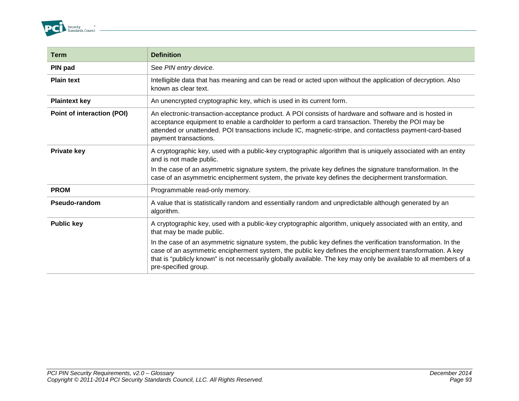

| <b>Term</b>                | <b>Definition</b>                                                                                                                                                                                                                                                                                                                                                      |
|----------------------------|------------------------------------------------------------------------------------------------------------------------------------------------------------------------------------------------------------------------------------------------------------------------------------------------------------------------------------------------------------------------|
| PIN pad                    | See PIN entry device.                                                                                                                                                                                                                                                                                                                                                  |
| <b>Plain text</b>          | Intelligible data that has meaning and can be read or acted upon without the application of decryption. Also<br>known as clear text.                                                                                                                                                                                                                                   |
| <b>Plaintext key</b>       | An unencrypted cryptographic key, which is used in its current form.                                                                                                                                                                                                                                                                                                   |
| Point of interaction (POI) | An electronic-transaction-acceptance product. A POI consists of hardware and software and is hosted in<br>acceptance equipment to enable a cardholder to perform a card transaction. Thereby the POI may be<br>attended or unattended. POI transactions include IC, magnetic-stripe, and contactless payment-card-based<br>payment transactions.                       |
| <b>Private key</b>         | A cryptographic key, used with a public-key cryptographic algorithm that is uniquely associated with an entity<br>and is not made public.                                                                                                                                                                                                                              |
|                            | In the case of an asymmetric signature system, the private key defines the signature transformation. In the<br>case of an asymmetric encipherment system, the private key defines the decipherment transformation.                                                                                                                                                     |
| <b>PROM</b>                | Programmable read-only memory.                                                                                                                                                                                                                                                                                                                                         |
| Pseudo-random              | A value that is statistically random and essentially random and unpredictable although generated by an<br>algorithm.                                                                                                                                                                                                                                                   |
| <b>Public key</b>          | A cryptographic key, used with a public-key cryptographic algorithm, uniquely associated with an entity, and<br>that may be made public.                                                                                                                                                                                                                               |
|                            | In the case of an asymmetric signature system, the public key defines the verification transformation. In the<br>case of an asymmetric encipherment system, the public key defines the encipherment transformation. A key<br>that is "publicly known" is not necessarily globally available. The key may only be available to all members of a<br>pre-specified group. |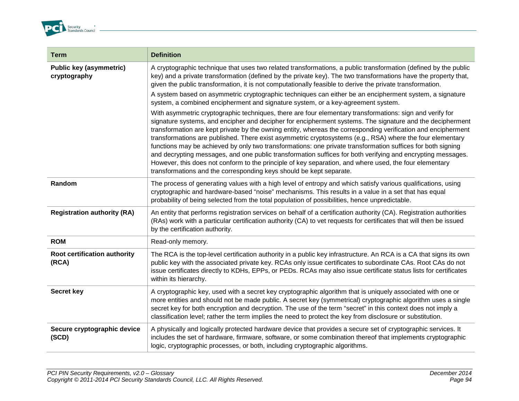

| <b>Term</b>                                    | <b>Definition</b>                                                                                                                                                                                                                                                                                                                                                                                                                                                                                                                                                                                                                                                                                                                                                                                                                                                  |
|------------------------------------------------|--------------------------------------------------------------------------------------------------------------------------------------------------------------------------------------------------------------------------------------------------------------------------------------------------------------------------------------------------------------------------------------------------------------------------------------------------------------------------------------------------------------------------------------------------------------------------------------------------------------------------------------------------------------------------------------------------------------------------------------------------------------------------------------------------------------------------------------------------------------------|
| <b>Public key (asymmetric)</b><br>cryptography | A cryptographic technique that uses two related transformations, a public transformation (defined by the public<br>key) and a private transformation (defined by the private key). The two transformations have the property that,<br>given the public transformation, it is not computationally feasible to derive the private transformation.                                                                                                                                                                                                                                                                                                                                                                                                                                                                                                                    |
|                                                | A system based on asymmetric cryptographic techniques can either be an encipherment system, a signature<br>system, a combined encipherment and signature system, or a key-agreement system.                                                                                                                                                                                                                                                                                                                                                                                                                                                                                                                                                                                                                                                                        |
|                                                | With asymmetric cryptographic techniques, there are four elementary transformations: sign and verify for<br>signature systems, and encipher and decipher for encipherment systems. The signature and the decipherment<br>transformation are kept private by the owning entity, whereas the corresponding verification and encipherment<br>transformations are published. There exist asymmetric cryptosystems (e.g., RSA) where the four elementary<br>functions may be achieved by only two transformations: one private transformation suffices for both signing<br>and decrypting messages, and one public transformation suffices for both verifying and encrypting messages.<br>However, this does not conform to the principle of key separation, and where used, the four elementary<br>transformations and the corresponding keys should be kept separate. |
| Random                                         | The process of generating values with a high level of entropy and which satisfy various qualifications, using<br>cryptographic and hardware-based "noise" mechanisms. This results in a value in a set that has equal<br>probability of being selected from the total population of possibilities, hence unpredictable.                                                                                                                                                                                                                                                                                                                                                                                                                                                                                                                                            |
| <b>Registration authority (RA)</b>             | An entity that performs registration services on behalf of a certification authority (CA). Registration authorities<br>(RAs) work with a particular certification authority (CA) to vet requests for certificates that will then be issued<br>by the certification authority.                                                                                                                                                                                                                                                                                                                                                                                                                                                                                                                                                                                      |
| <b>ROM</b>                                     | Read-only memory.                                                                                                                                                                                                                                                                                                                                                                                                                                                                                                                                                                                                                                                                                                                                                                                                                                                  |
| Root certification authority<br>(RCA)          | The RCA is the top-level certification authority in a public key infrastructure. An RCA is a CA that signs its own<br>public key with the associated private key. RCAs only issue certificates to subordinate CAs. Root CAs do not<br>issue certificates directly to KDHs, EPPs, or PEDs. RCAs may also issue certificate status lists for certificates<br>within its hierarchy.                                                                                                                                                                                                                                                                                                                                                                                                                                                                                   |
| <b>Secret key</b>                              | A cryptographic key, used with a secret key cryptographic algorithm that is uniquely associated with one or<br>more entities and should not be made public. A secret key (symmetrical) cryptographic algorithm uses a single<br>secret key for both encryption and decryption. The use of the term "secret" in this context does not imply a<br>classification level; rather the term implies the need to protect the key from disclosure or substitution.                                                                                                                                                                                                                                                                                                                                                                                                         |
| Secure cryptographic device<br>(SCD)           | A physically and logically protected hardware device that provides a secure set of cryptographic services. It<br>includes the set of hardware, firmware, software, or some combination thereof that implements cryptographic<br>logic, cryptographic processes, or both, including cryptographic algorithms.                                                                                                                                                                                                                                                                                                                                                                                                                                                                                                                                                       |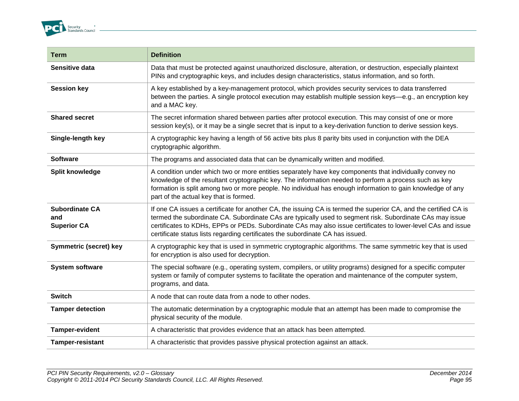

| <b>Term</b>                                        | <b>Definition</b>                                                                                                                                                                                                                                                                                                                                                                                                              |
|----------------------------------------------------|--------------------------------------------------------------------------------------------------------------------------------------------------------------------------------------------------------------------------------------------------------------------------------------------------------------------------------------------------------------------------------------------------------------------------------|
| Sensitive data                                     | Data that must be protected against unauthorized disclosure, alteration, or destruction, especially plaintext<br>PINs and cryptographic keys, and includes design characteristics, status information, and so forth.                                                                                                                                                                                                           |
| <b>Session key</b>                                 | A key established by a key-management protocol, which provides security services to data transferred<br>between the parties. A single protocol execution may establish multiple session keys—e.g., an encryption key<br>and a MAC key.                                                                                                                                                                                         |
| <b>Shared secret</b>                               | The secret information shared between parties after protocol execution. This may consist of one or more<br>session key(s), or it may be a single secret that is input to a key-derivation function to derive session keys.                                                                                                                                                                                                     |
| Single-length key                                  | A cryptographic key having a length of 56 active bits plus 8 parity bits used in conjunction with the DEA<br>cryptographic algorithm.                                                                                                                                                                                                                                                                                          |
| <b>Software</b>                                    | The programs and associated data that can be dynamically written and modified.                                                                                                                                                                                                                                                                                                                                                 |
| Split knowledge                                    | A condition under which two or more entities separately have key components that individually convey no<br>knowledge of the resultant cryptographic key. The information needed to perform a process such as key<br>formation is split among two or more people. No individual has enough information to gain knowledge of any<br>part of the actual key that is formed.                                                       |
| <b>Subordinate CA</b><br>and<br><b>Superior CA</b> | If one CA issues a certificate for another CA, the issuing CA is termed the superior CA, and the certified CA is<br>termed the subordinate CA. Subordinate CAs are typically used to segment risk. Subordinate CAs may issue<br>certificates to KDHs, EPPs or PEDs. Subordinate CAs may also issue certificates to lower-level CAs and issue<br>certificate status lists regarding certificates the subordinate CA has issued. |
| Symmetric (secret) key                             | A cryptographic key that is used in symmetric cryptographic algorithms. The same symmetric key that is used<br>for encryption is also used for decryption.                                                                                                                                                                                                                                                                     |
| <b>System software</b>                             | The special software (e.g., operating system, compilers, or utility programs) designed for a specific computer<br>system or family of computer systems to facilitate the operation and maintenance of the computer system,<br>programs, and data.                                                                                                                                                                              |
| <b>Switch</b>                                      | A node that can route data from a node to other nodes.                                                                                                                                                                                                                                                                                                                                                                         |
| <b>Tamper detection</b>                            | The automatic determination by a cryptographic module that an attempt has been made to compromise the<br>physical security of the module.                                                                                                                                                                                                                                                                                      |
| <b>Tamper-evident</b>                              | A characteristic that provides evidence that an attack has been attempted.                                                                                                                                                                                                                                                                                                                                                     |
| <b>Tamper-resistant</b>                            | A characteristic that provides passive physical protection against an attack.                                                                                                                                                                                                                                                                                                                                                  |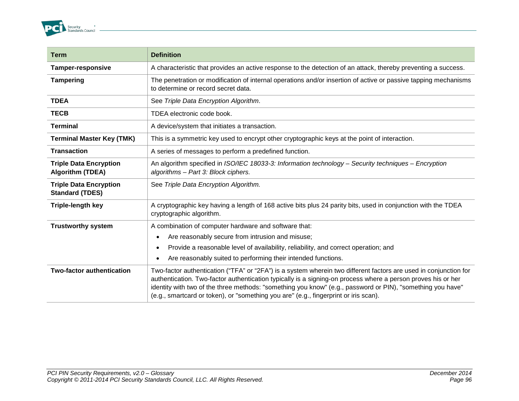

| <b>Term</b>                                              | <b>Definition</b>                                                                                                                                                                                                                                                                                                                                                                                                                      |
|----------------------------------------------------------|----------------------------------------------------------------------------------------------------------------------------------------------------------------------------------------------------------------------------------------------------------------------------------------------------------------------------------------------------------------------------------------------------------------------------------------|
| <b>Tamper-responsive</b>                                 | A characteristic that provides an active response to the detection of an attack, thereby preventing a success.                                                                                                                                                                                                                                                                                                                         |
| <b>Tampering</b>                                         | The penetration or modification of internal operations and/or insertion of active or passive tapping mechanisms<br>to determine or record secret data.                                                                                                                                                                                                                                                                                 |
| <b>TDEA</b>                                              | See Triple Data Encryption Algorithm.                                                                                                                                                                                                                                                                                                                                                                                                  |
| <b>TECB</b>                                              | TDEA electronic code book.                                                                                                                                                                                                                                                                                                                                                                                                             |
| <b>Terminal</b>                                          | A device/system that initiates a transaction.                                                                                                                                                                                                                                                                                                                                                                                          |
| <b>Terminal Master Key (TMK)</b>                         | This is a symmetric key used to encrypt other cryptographic keys at the point of interaction.                                                                                                                                                                                                                                                                                                                                          |
| <b>Transaction</b>                                       | A series of messages to perform a predefined function.                                                                                                                                                                                                                                                                                                                                                                                 |
| <b>Triple Data Encryption</b><br><b>Algorithm (TDEA)</b> | An algorithm specified in ISO/IEC 18033-3: Information technology - Security techniques - Encryption<br>algorithms - Part 3: Block ciphers.                                                                                                                                                                                                                                                                                            |
| <b>Triple Data Encryption</b><br><b>Standard (TDES)</b>  | See Triple Data Encryption Algorithm.                                                                                                                                                                                                                                                                                                                                                                                                  |
| <b>Triple-length key</b>                                 | A cryptographic key having a length of 168 active bits plus 24 parity bits, used in conjunction with the TDEA<br>cryptographic algorithm.                                                                                                                                                                                                                                                                                              |
| <b>Trustworthy system</b>                                | A combination of computer hardware and software that:                                                                                                                                                                                                                                                                                                                                                                                  |
|                                                          | Are reasonably secure from intrusion and misuse;<br>$\bullet$                                                                                                                                                                                                                                                                                                                                                                          |
|                                                          | Provide a reasonable level of availability, reliability, and correct operation; and<br>$\bullet$                                                                                                                                                                                                                                                                                                                                       |
|                                                          | Are reasonably suited to performing their intended functions.<br>$\bullet$                                                                                                                                                                                                                                                                                                                                                             |
| <b>Two-factor authentication</b>                         | Two-factor authentication ("TFA" or "2FA") is a system wherein two different factors are used in conjunction for<br>authentication. Two-factor authentication typically is a signing-on process where a person proves his or her<br>identity with two of the three methods: "something you know" (e.g., password or PIN), "something you have"<br>(e.g., smartcard or token), or "something you are" (e.g., fingerprint or iris scan). |